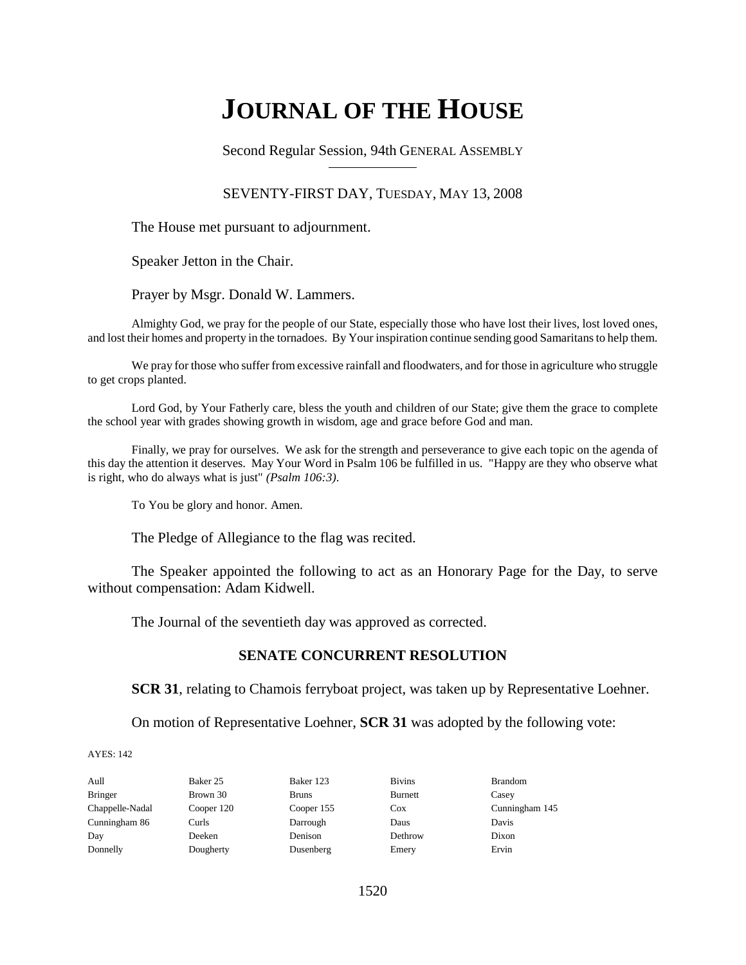# **JOURNAL OF THE HOUSE**

Second Regular Session, 94th GENERAL ASSEMBLY

## SEVENTY-FIRST DAY, TUESDAY, MAY 13, 2008

The House met pursuant to adjournment.

Speaker Jetton in the Chair.

Prayer by Msgr. Donald W. Lammers.

Almighty God, we pray for the people of our State, especially those who have lost their lives, lost loved ones, and lost their homes and property in the tornadoes. By Your inspiration continue sending good Samaritans to help them.

We pray for those who suffer from excessive rainfall and floodwaters, and for those in agriculture who struggle to get crops planted.

Lord God, by Your Fatherly care, bless the youth and children of our State; give them the grace to complete the school year with grades showing growth in wisdom, age and grace before God and man.

Finally, we pray for ourselves. We ask for the strength and perseverance to give each topic on the agenda of this day the attention it deserves. May Your Word in Psalm 106 be fulfilled in us. "Happy are they who observe what is right, who do always what is just" *(Psalm 106:3)*.

To You be glory and honor. Amen.

The Pledge of Allegiance to the flag was recited.

The Speaker appointed the following to act as an Honorary Page for the Day, to serve without compensation: Adam Kidwell.

The Journal of the seventieth day was approved as corrected.

## **SENATE CONCURRENT RESOLUTION**

**SCR 31**, relating to Chamois ferryboat project, was taken up by Representative Loehner.

On motion of Representative Loehner, **SCR 31** was adopted by the following vote:

| Aull            | Baker 25   | Baker 123    | <b>Bivins</b> | <b>Brandom</b> |
|-----------------|------------|--------------|---------------|----------------|
| <b>Bringer</b>  | Brown 30   | <b>Bruns</b> | Burnett       | Casey          |
| Chappelle-Nadal | Cooper 120 | Cooper 155   | $\cos$        | Cunningham 145 |
| Cunningham 86   | Curls      | Darrough     | Daus          | Davis          |
| Day             | Deeken     | Denison      | Dethrow       | Dixon          |
| Donnelly        | Dougherty  | Dusenberg    | Emery         | Ervin          |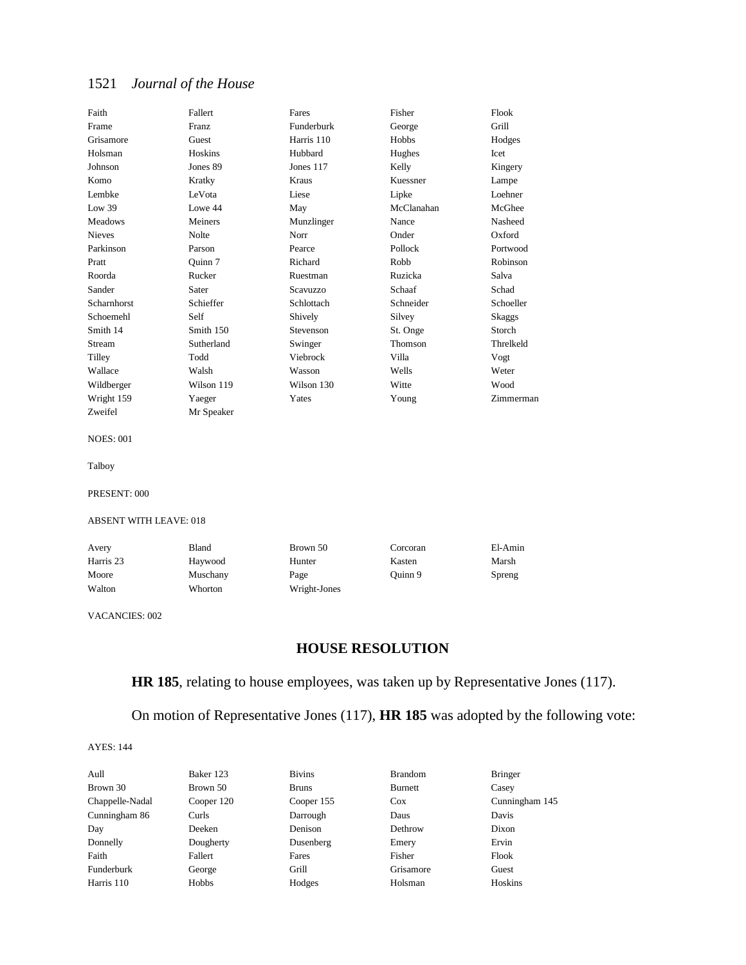| Faith              | Fallert    | Fares      | Fisher     | Flook     |
|--------------------|------------|------------|------------|-----------|
| Frame              | Franz      | Funderburk | George     | Grill     |
| Grisamore          | Guest      | Harris 110 | Hobbs      | Hodges    |
| Holsman            | Hoskins    | Hubbard    | Hughes     | Icet      |
| Johnson            | Jones 89   | Jones 117  | Kelly      | Kingery   |
| Komo               | Kratky     | Kraus      | Kuessner   | Lampe     |
| Lembke             | LeVota     | Liese      | Lipke      | Loehner   |
| Low 39             | Lowe 44    | May        | McClanahan | McGhee    |
| <b>Meadows</b>     | Meiners    | Munzlinger | Nance      | Nasheed   |
| <b>Nieves</b>      | Nolte      | Norr       | Onder      | Oxford    |
| Parkinson          | Parson     | Pearce     | Pollock    | Portwood  |
| Pratt              | Quinn 7    | Richard    | Robb       | Robinson  |
| Roorda             | Rucker     | Ruestman   | Ruzicka    | Salva     |
| Sander             | Sater      | Scavuzzo   | Schaaf     | Schad     |
| <b>Scharnhorst</b> | Schieffer  | Schlottach | Schneider  | Schoeller |
| Schoemehl          | Self       | Shively    | Silvey     | Skaggs    |
| Smith 14           | Smith 150  | Stevenson  | St. Onge   | Storch    |
| Stream             | Sutherland | Swinger    | Thomson    | Threlkeld |
| Tilley             | Todd       | Viebrock   | Villa      | Vogt      |
| Wallace            | Walsh      | Wasson     | Wells      | Weter     |
| Wildberger         | Wilson 119 | Wilson 130 | Witte      | Wood      |
| Wright 159         | Yaeger     | Yates      | Young      | Zimmerman |
| Zweifel            | Mr Speaker |            |            |           |

NOES: 001

Talboy

PRESENT: 000

#### ABSENT WITH LEAVE: 018

| Avery     | Bland    | Brown 50     | Corcoran | El-Amin |
|-----------|----------|--------------|----------|---------|
| Harris 23 | Haywood  | Hunter       | Kasten   | Marsh   |
| Moore     | Muschany | Page         | Ouinn 9  | Spreng  |
| Walton    | Whorton  | Wright-Jones |          |         |

VACANCIES: 002

## **HOUSE RESOLUTION**

**HR 185**, relating to house employees, was taken up by Representative Jones (117).

On motion of Representative Jones (117), **HR 185** was adopted by the following vote:

| Aull            | Baker 123  | <b>Bivins</b> | <b>Brandom</b> | <b>Bringer</b> |
|-----------------|------------|---------------|----------------|----------------|
| Brown 30        | Brown 50   | <b>Bruns</b>  | Burnett        | Casey          |
| Chappelle-Nadal | Cooper 120 | Cooper 155    | Cox            | Cunningham 145 |
| Cunningham 86   | Curls      | Darrough      | Daus           | Davis          |
| Day             | Deeken     | Denison       | Dethrow        | Dixon          |
| Donnelly        | Dougherty  | Dusenberg     | Emery          | Ervin          |
| Faith           | Fallert    | Fares         | Fisher         | Flook          |
| Funderburk      | George     | Grill         | Grisamore      | Guest          |
| Harris 110      | Hobbs      | Hodges        | Holsman        | Hoskins        |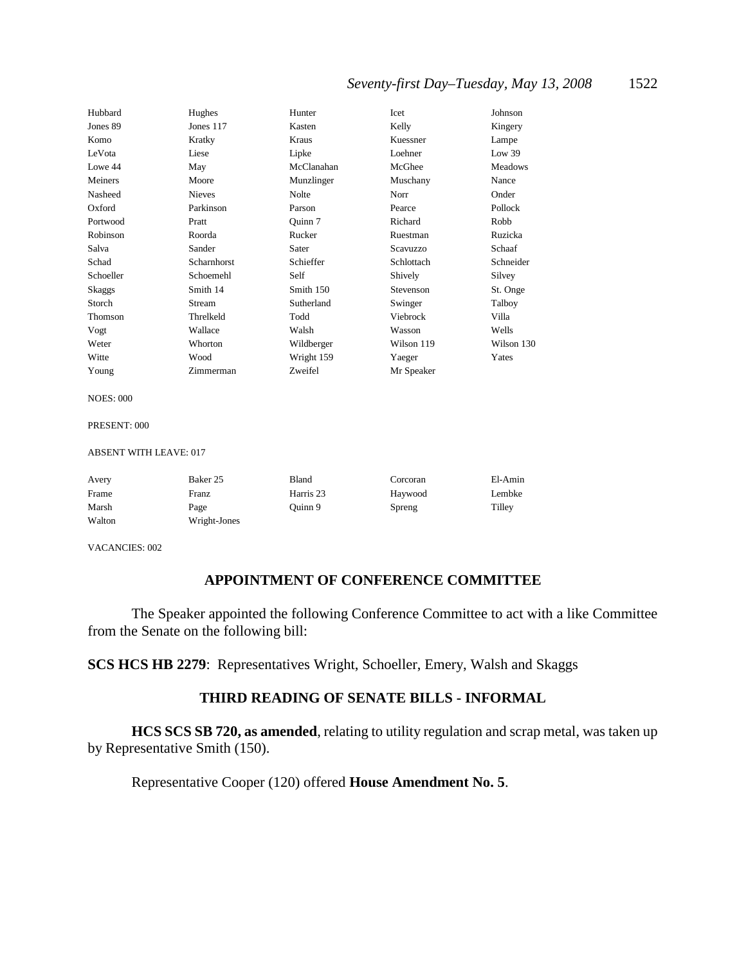## *Seventy-first Day–Tuesday, May 13, 2008* 1522

| Hubbard   | Hughes        | Hunter     | Icet       | Johnson    |
|-----------|---------------|------------|------------|------------|
| Jones 89  | Jones $117$   | Kasten     | Kelly      | Kingery    |
| Komo      | Kratky        | Kraus      | Kuessner   | Lampe      |
| LeVota    | Liese         | Lipke      | Loehner    | Low $39$   |
| Lowe 44   | May           | McClanahan | McGhee     | Meadows    |
| Meiners   | Moore         | Munzlinger | Muschany   | Nance      |
| Nasheed   | <b>Nieves</b> | Nolte      | Norr       | Onder      |
| Oxford    | Parkinson     | Parson     | Pearce     | Pollock    |
| Portwood  | Pratt         | Quinn 7    | Richard    | Robb       |
| Robinson  | Roorda        | Rucker     | Ruestman   | Ruzicka    |
| Salva     | Sander        | Sater      | Scavuzzo   | Schaaf     |
| Schad     | Scharnhorst   | Schieffer  | Schlottach | Schneider  |
| Schoeller | Schoemehl     | Self       | Shively    | Silvey     |
| Skaggs    | Smith 14      | Smith 150  | Stevenson  | St. Onge   |
| Storch    | Stream        | Sutherland | Swinger    | Talboy     |
| Thomson   | Threlkeld     | Todd       | Viebrock   | Villa      |
| Vogt      | Wallace       | Walsh      | Wasson     | Wells      |
| Weter     | Whorton       | Wildberger | Wilson 119 | Wilson 130 |
| Witte     | Wood          | Wright 159 | Yaeger     | Yates      |
| Young     | Zimmerman     | Zweifel    | Mr Speaker |            |

NOES: 000

PRESENT: 000

ABSENT WITH LEAVE: 017

| Avery  | Baker 25     | Bland     | Corcoran | El-Amin |
|--------|--------------|-----------|----------|---------|
| Frame  | Franz        | Harris 23 | Haywood  | Lembke  |
| Marsh  | Page         | Ouinn 9   | Spreng   | Tilley  |
| Walton | Wright-Jones |           |          |         |

VACANCIES: 002

## **APPOINTMENT OF CONFERENCE COMMITTEE**

The Speaker appointed the following Conference Committee to act with a like Committee from the Senate on the following bill:

**SCS HCS HB 2279**: Representatives Wright, Schoeller, Emery, Walsh and Skaggs

## **THIRD READING OF SENATE BILLS - INFORMAL**

**HCS SCS SB 720, as amended**, relating to utility regulation and scrap metal, was taken up by Representative Smith (150).

Representative Cooper (120) offered **House Amendment No. 5**.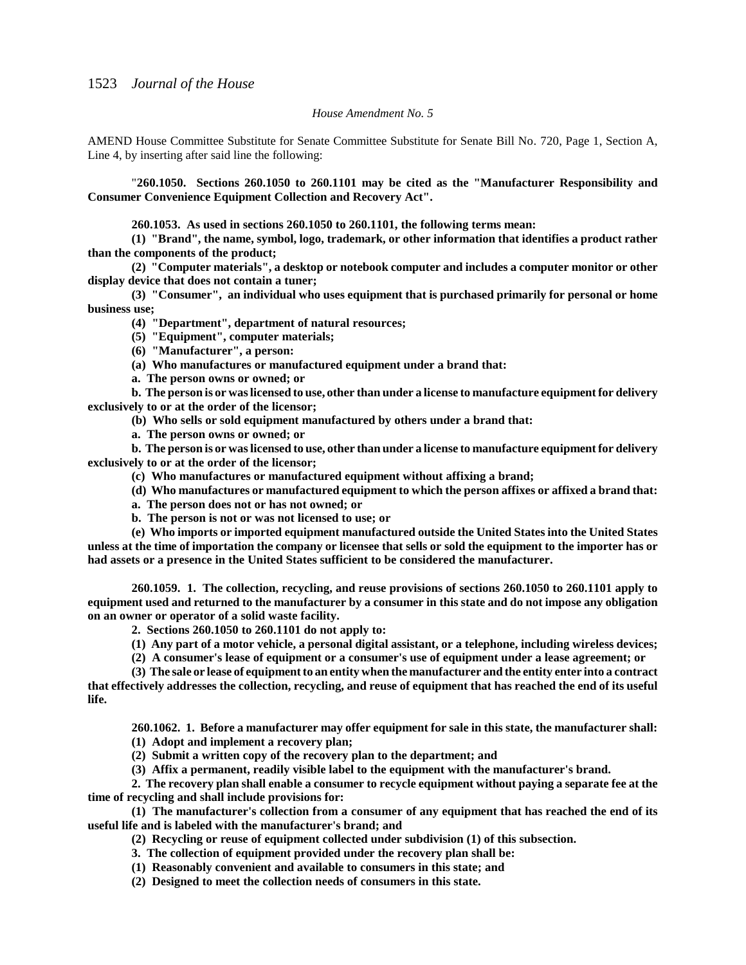#### *House Amendment No. 5*

AMEND House Committee Substitute for Senate Committee Substitute for Senate Bill No. 720, Page 1, Section A, Line 4, by inserting after said line the following:

"**260.1050. Sections 260.1050 to 260.1101 may be cited as the "Manufacturer Responsibility and Consumer Convenience Equipment Collection and Recovery Act".**

**260.1053. As used in sections 260.1050 to 260.1101, the following terms mean:**

**(1) "Brand", the name, symbol, logo, trademark, or other information that identifies a product rather than the components of the product;**

**(2) "Computer materials", a desktop or notebook computer and includes a computer monitor or other display device that does not contain a tuner;**

**(3) "Consumer", an individual who uses equipment that is purchased primarily for personal or home business use;**

**(4) "Department", department of natural resources;**

**(5) "Equipment", computer materials;**

**(6) "Manufacturer", a person:**

**(a) Who manufactures or manufactured equipment under a brand that:**

**a. The person owns or owned; or**

**b. The person is or was licensed to use, other than under a license to manufacture equipment for delivery exclusively to or at the order of the licensor;**

**(b) Who sells or sold equipment manufactured by others under a brand that:**

**a. The person owns or owned; or**

**b. The person is or was licensed to use, other than under a license to manufacture equipment for delivery exclusively to or at the order of the licensor;**

**(c) Who manufactures or manufactured equipment without affixing a brand;**

**(d) Who manufactures or manufactured equipment to which the person affixes or affixed a brand that:**

**a. The person does not or has not owned; or**

**b. The person is not or was not licensed to use; or**

**(e) Who imports or imported equipment manufactured outside the United States into the United States unless at the time of importation the company or licensee that sells or sold the equipment to the importer has or had assets or a presence in the United States sufficient to be considered the manufacturer.**

**260.1059. 1. The collection, recycling, and reuse provisions of sections 260.1050 to 260.1101 apply to equipment used and returned to the manufacturer by a consumer in this state and do not impose any obligation on an owner or operator of a solid waste facility.**

**2. Sections 260.1050 to 260.1101 do not apply to:**

**(1) Any part of a motor vehicle, a personal digital assistant, or a telephone, including wireless devices;**

**(2) A consumer's lease of equipment or a consumer's use of equipment under a lease agreement; or**

**(3) The sale or lease of equipment to an entity when the manufacturer and the entity enter into a contract that effectively addresses the collection, recycling, and reuse of equipment that has reached the end of its useful life.**

**260.1062. 1. Before a manufacturer may offer equipment for sale in this state, the manufacturer shall:**

**(1) Adopt and implement a recovery plan;**

**(2) Submit a written copy of the recovery plan to the department; and**

**(3) Affix a permanent, readily visible label to the equipment with the manufacturer's brand.**

**2. The recovery plan shall enable a consumer to recycle equipment without paying a separate fee at the time of recycling and shall include provisions for:**

**(1) The manufacturer's collection from a consumer of any equipment that has reached the end of its useful life and is labeled with the manufacturer's brand; and**

**(2) Recycling or reuse of equipment collected under subdivision (1) of this subsection.**

**3. The collection of equipment provided under the recovery plan shall be:**

**(1) Reasonably convenient and available to consumers in this state; and**

**(2) Designed to meet the collection needs of consumers in this state.**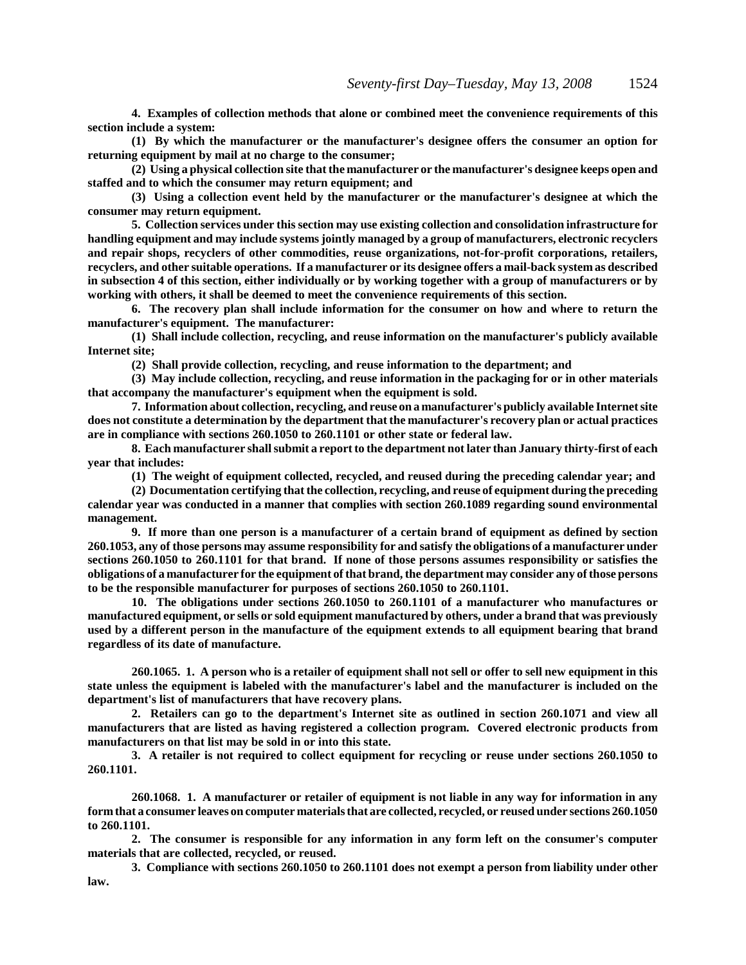**4. Examples of collection methods that alone or combined meet the convenience requirements of this section include a system:**

**(1) By which the manufacturer or the manufacturer's designee offers the consumer an option for returning equipment by mail at no charge to the consumer;**

**(2) Using a physical collection site that the manufacturer or the manufacturer's designee keeps open and staffed and to which the consumer may return equipment; and**

**(3) Using a collection event held by the manufacturer or the manufacturer's designee at which the consumer may return equipment.**

**5. Collection services under this section may use existing collection and consolidation infrastructure for handling equipment and may include systems jointly managed by a group of manufacturers, electronic recyclers and repair shops, recyclers of other commodities, reuse organizations, not-for-profit corporations, retailers, recyclers, and other suitable operations. If a manufacturer or its designee offers a mail-back system as described in subsection 4 of this section, either individually or by working together with a group of manufacturers or by working with others, it shall be deemed to meet the convenience requirements of this section.** 

**6. The recovery plan shall include information for the consumer on how and where to return the manufacturer's equipment. The manufacturer:**

**(1) Shall include collection, recycling, and reuse information on the manufacturer's publicly available Internet site;**

**(2) Shall provide collection, recycling, and reuse information to the department; and**

**(3) May include collection, recycling, and reuse information in the packaging for or in other materials that accompany the manufacturer's equipment when the equipment is sold.**

**7. Information about collection, recycling, and reuse on a manufacturer's publicly available Internet site does not constitute a determination by the department that the manufacturer's recovery plan or actual practices are in compliance with sections 260.1050 to 260.1101 or other state or federal law.**

**8. Each manufacturer shall submit a report to the department not later than January thirty-first of each year that includes:**

**(1) The weight of equipment collected, recycled, and reused during the preceding calendar year; and**

**(2) Documentation certifying that the collection, recycling, and reuse of equipment during the preceding calendar year was conducted in a manner that complies with section 260.1089 regarding sound environmental management.**

**9. If more than one person is a manufacturer of a certain brand of equipment as defined by section 260.1053, any of those persons may assume responsibility for and satisfy the obligations of a manufacturer under sections 260.1050 to 260.1101 for that brand. If none of those persons assumes responsibility or satisfies the obligations of a manufacturer for the equipment of that brand, the department may consider any of those persons to be the responsible manufacturer for purposes of sections 260.1050 to 260.1101.**

**10. The obligations under sections 260.1050 to 260.1101 of a manufacturer who manufactures or manufactured equipment, or sells or sold equipment manufactured by others, under a brand that was previously used by a different person in the manufacture of the equipment extends to all equipment bearing that brand regardless of its date of manufacture.**

**260.1065. 1. A person who is a retailer of equipment shall not sell or offer to sell new equipment in this state unless the equipment is labeled with the manufacturer's label and the manufacturer is included on the department's list of manufacturers that have recovery plans.**

**2. Retailers can go to the department's Internet site as outlined in section 260.1071 and view all manufacturers that are listed as having registered a collection program. Covered electronic products from manufacturers on that list may be sold in or into this state.**

**3. A retailer is not required to collect equipment for recycling or reuse under sections 260.1050 to 260.1101.**

**260.1068. 1. A manufacturer or retailer of equipment is not liable in any way for information in any form that a consumer leaves on computer materials that are collected, recycled, or reused under sections 260.1050 to 260.1101.**

**2. The consumer is responsible for any information in any form left on the consumer's computer materials that are collected, recycled, or reused.**

**3. Compliance with sections 260.1050 to 260.1101 does not exempt a person from liability under other law.**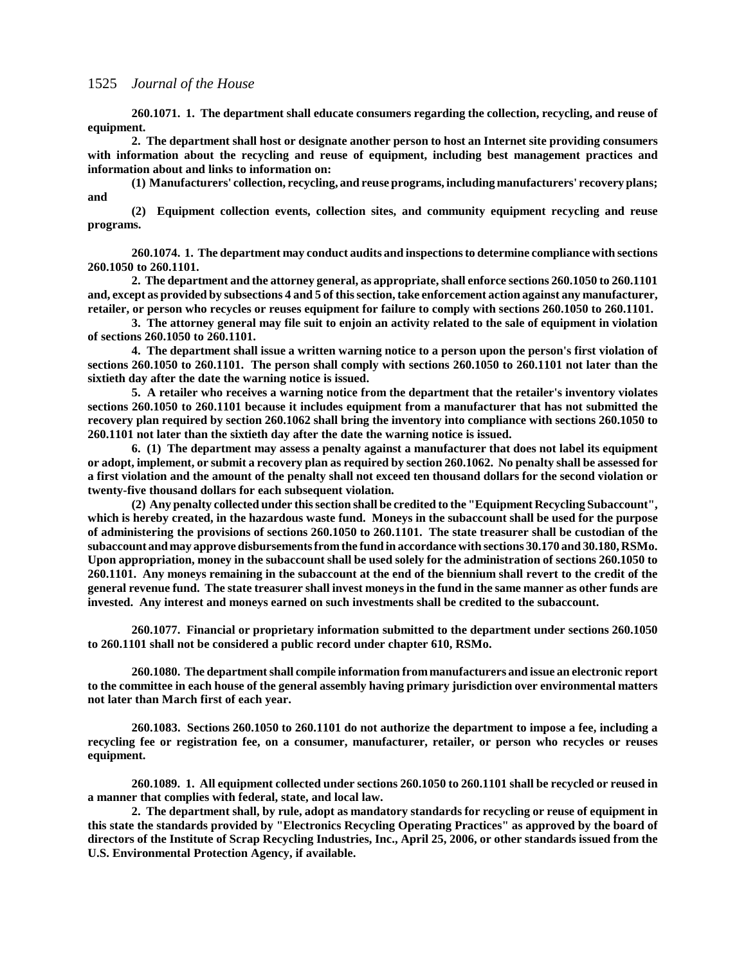**260.1071. 1. The department shall educate consumers regarding the collection, recycling, and reuse of equipment.**

**2. The department shall host or designate another person to host an Internet site providing consumers with information about the recycling and reuse of equipment, including best management practices and information about and links to information on:**

**(1) Manufacturers' collection, recycling, and reuse programs, including manufacturers' recovery plans; and**

**(2) Equipment collection events, collection sites, and community equipment recycling and reuse programs.**

**260.1074. 1. The department may conduct audits and inspections to determine compliance with sections 260.1050 to 260.1101.**

**2. The department and the attorney general, as appropriate, shall enforce sections 260.1050 to 260.1101 and, except as provided by subsections 4 and 5 of this section, take enforcement action against any manufacturer, retailer, or person who recycles or reuses equipment for failure to comply with sections 260.1050 to 260.1101.**

**3. The attorney general may file suit to enjoin an activity related to the sale of equipment in violation of sections 260.1050 to 260.1101.**

**4. The department shall issue a written warning notice to a person upon the person's first violation of sections 260.1050 to 260.1101. The person shall comply with sections 260.1050 to 260.1101 not later than the sixtieth day after the date the warning notice is issued.**

**5. A retailer who receives a warning notice from the department that the retailer's inventory violates sections 260.1050 to 260.1101 because it includes equipment from a manufacturer that has not submitted the recovery plan required by section 260.1062 shall bring the inventory into compliance with sections 260.1050 to 260.1101 not later than the sixtieth day after the date the warning notice is issued.**

**6. (1) The department may assess a penalty against a manufacturer that does not label its equipment or adopt, implement, or submit a recovery plan as required by section 260.1062. No penalty shall be assessed for a first violation and the amount of the penalty shall not exceed ten thousand dollars for the second violation or twenty-five thousand dollars for each subsequent violation.**

**(2) Any penalty collected under this section shall be credited to the "Equipment Recycling Subaccount", which is hereby created, in the hazardous waste fund. Moneys in the subaccount shall be used for the purpose of administering the provisions of sections 260.1050 to 260.1101. The state treasurer shall be custodian of the subaccount and may approve disbursements from the fund in accordance with sections 30.170 and 30.180, RSMo. Upon appropriation, money in the subaccount shall be used solely for the administration of sections 260.1050 to 260.1101. Any moneys remaining in the subaccount at the end of the biennium shall revert to the credit of the general revenue fund. The state treasurer shall invest moneys in the fund in the same manner as other funds are invested. Any interest and moneys earned on such investments shall be credited to the subaccount.**

**260.1077. Financial or proprietary information submitted to the department under sections 260.1050 to 260.1101 shall not be considered a public record under chapter 610, RSMo.**

**260.1080. The department shall compile information from manufacturers and issue an electronic report to the committee in each house of the general assembly having primary jurisdiction over environmental matters not later than March first of each year.**

**260.1083. Sections 260.1050 to 260.1101 do not authorize the department to impose a fee, including a recycling fee or registration fee, on a consumer, manufacturer, retailer, or person who recycles or reuses equipment.**

**260.1089. 1. All equipment collected under sections 260.1050 to 260.1101 shall be recycled or reused in a manner that complies with federal, state, and local law.**

**2. The department shall, by rule, adopt as mandatory standards for recycling or reuse of equipment in this state the standards provided by "Electronics Recycling Operating Practices" as approved by the board of directors of the Institute of Scrap Recycling Industries, Inc., April 25, 2006, or other standards issued from the U.S. Environmental Protection Agency, if available.**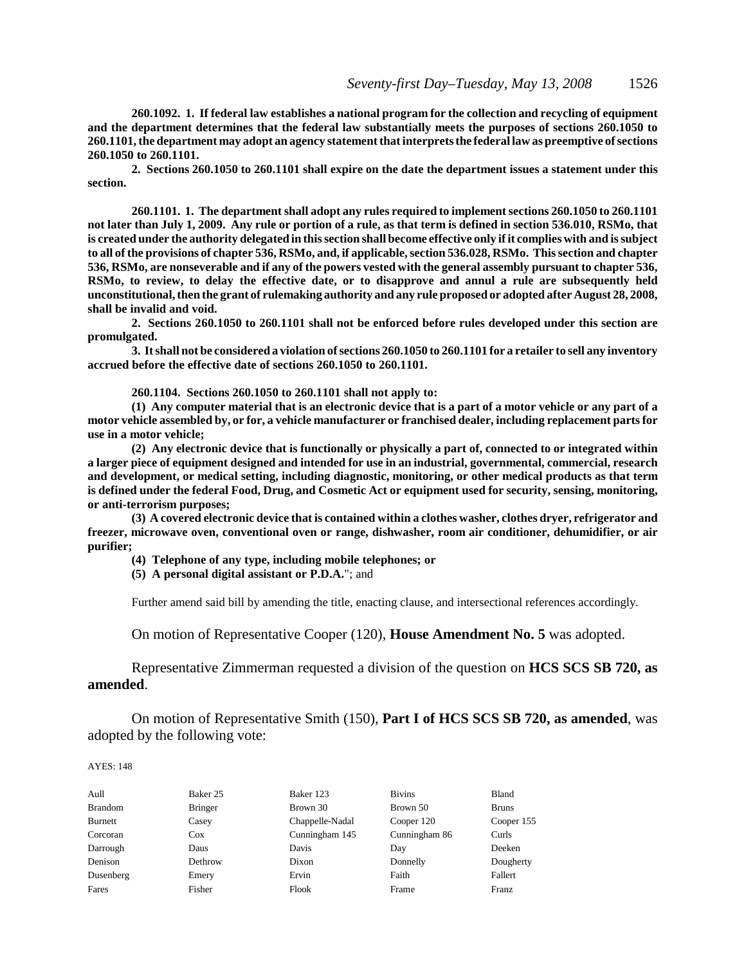**260.1092. 1. If federal law establishes a national program for the collection and recycling of equipment and the department determines that the federal law substantially meets the purposes of sections 260.1050 to 260.1101, the department may adopt an agency statement that interprets the federal law as preemptive of sections 260.1050 to 260.1101.**

**2. Sections 260.1050 to 260.1101 shall expire on the date the department issues a statement under this section.**

**260.1101. 1. The department shall adopt any rules required to implement sections 260.1050 to 260.1101 not later than July 1, 2009. Any rule or portion of a rule, as that term is defined in section 536.010, RSMo, that is created under the authority delegated in this section shall become effective only if it complies with and is subject to all of the provisions of chapter 536, RSMo, and, if applicable, section 536.028, RSMo. This section and chapter 536, RSMo, are nonseverable and if any of the powers vested with the general assembly pursuant to chapter 536, RSMo, to review, to delay the effective date, or to disapprove and annul a rule are subsequently held unconstitutional, then the grant of rulemaking authority and any rule proposed or adopted after August 28, 2008, shall be invalid and void.**

**2. Sections 260.1050 to 260.1101 shall not be enforced before rules developed under this section are promulgated.**

**3. It shall not be considered a violation of sections 260.1050 to 260.1101 for a retailer to sell any inventory accrued before the effective date of sections 260.1050 to 260.1101.**

**260.1104. Sections 260.1050 to 260.1101 shall not apply to:**

**(1) Any computer material that is an electronic device that is a part of a motor vehicle or any part of a motor vehicle assembled by, or for, a vehicle manufacturer or franchised dealer, including replacement parts for use in a motor vehicle;**

**(2) Any electronic device that is functionally or physically a part of, connected to or integrated within a larger piece of equipment designed and intended for use in an industrial, governmental, commercial, research and development, or medical setting, including diagnostic, monitoring, or other medical products as that term is defined under the federal Food, Drug, and Cosmetic Act or equipment used for security, sensing, monitoring, or anti-terrorism purposes;**

**(3) A covered electronic device that is contained within a clothes washer, clothes dryer, refrigerator and freezer, microwave oven, conventional oven or range, dishwasher, room air conditioner, dehumidifier, or air purifier;**

- **(4) Telephone of any type, including mobile telephones; or**
- **(5) A personal digital assistant or P.D.A.**"; and

Further amend said bill by amending the title, enacting clause, and intersectional references accordingly.

On motion of Representative Cooper (120), **House Amendment No. 5** was adopted.

Representative Zimmerman requested a division of the question on **HCS SCS SB 720, as amended**.

On motion of Representative Smith (150), **Part I of HCS SCS SB 720, as amended**, was adopted by the following vote:

| Aull           | Baker 25       | Baker 123       | <b>Bivins</b> | Bland        |
|----------------|----------------|-----------------|---------------|--------------|
| <b>Brandom</b> | <b>Bringer</b> | Brown 30        | Brown 50      | <b>Bruns</b> |
| <b>Burnett</b> | Casey          | Chappelle-Nadal | Cooper 120    | Cooper 155   |
| Corcoran       | $\cos$         | Cunningham 145  | Cunningham 86 | Curls        |
| Darrough       | Daus           | Davis           | Day           | Deeken       |
| Denison        | Dethrow        | Dixon           | Donnelly      | Dougherty    |
| Dusenberg      | Emery          | Ervin           | Faith         | Fallert      |
| Fares          | Fisher         | Flook           | Frame         | Franz        |
|                |                |                 |               |              |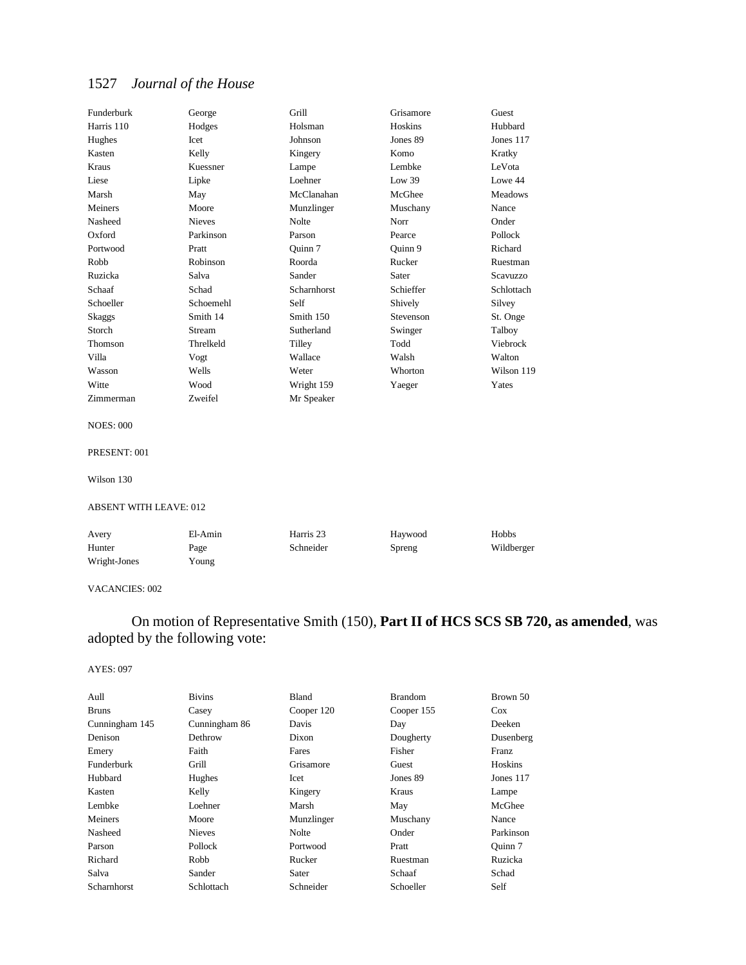| Funderburk       | George        | Grill       | Grisamore | Guest          |
|------------------|---------------|-------------|-----------|----------------|
| Harris 110       | Hodges        | Holsman     | Hoskins   | Hubbard        |
| Hughes           | Icet          | Johnson     | Jones 89  | Jones 117      |
| Kasten           | Kelly         | Kingery     | Komo      | Kratky         |
| Kraus            | Kuessner      | Lampe       | Lembke    | LeVota         |
| Liese            | Lipke         | Loehner     | Low 39    | Lowe 44        |
| Marsh            | May           | McClanahan  | McGhee    | <b>Meadows</b> |
| Meiners          | Moore         | Munzlinger  | Muschany  | Nance          |
| Nasheed          | <b>Nieves</b> | Nolte       | Norr      | Onder          |
| Oxford           | Parkinson     | Parson      | Pearce    | Pollock        |
| Portwood         | Pratt         | Quinn 7     | Ouinn 9   | Richard        |
| Robb             | Robinson      | Roorda      | Rucker    | Ruestman       |
| Ruzicka          | Salva         | Sander      | Sater     | Scavuzzo       |
| Schaaf           | Schad         | Scharnhorst | Schieffer | Schlottach     |
| Schoeller        | Schoemehl     | Self        | Shively   | Silvey         |
| Skaggs           | Smith 14      | Smith 150   | Stevenson | St. Onge       |
| Storch           | Stream        | Sutherland  | Swinger   | Talboy         |
| Thomson          | Threlkeld     | Tilley      | Todd      | Viebrock       |
| Villa            | Vogt          | Wallace     | Walsh     | Walton         |
| Wasson           | Wells         | Weter       | Whorton   | Wilson 119     |
| Witte            | Wood          | Wright 159  | Yaeger    | Yates          |
| Zimmerman        | Zweifel       | Mr Speaker  |           |                |
| <b>NOES: 000</b> |               |             |           |                |

## PRESENT: 001

Wilson 130

#### ABSENT WITH LEAVE: 012

| Avery        | El-Amin | Harris 23 | Havwood | <b>Hobbs</b> |
|--------------|---------|-----------|---------|--------------|
| Hunter       | Page    | Schneider | Spreng  | Wildberger   |
| Wright-Jones | Young   |           |         |              |

#### VACANCIES: 002

## On motion of Representative Smith (150), **Part II of HCS SCS SB 720, as amended**, was adopted by the following vote:

| Aull           | <b>Bivins</b> | Bland      | <b>Brandom</b> | Brown 50    |
|----------------|---------------|------------|----------------|-------------|
| <b>Bruns</b>   | Casey         | Cooper 120 | Cooper 155     | $\cos$      |
| Cunningham 145 | Cunningham 86 | Davis      | Day            | Deeken      |
| Denison        | Dethrow       | Dixon      | Dougherty      | Dusenberg   |
| Emery          | Faith         | Fares      | Fisher         | Franz       |
| Funderburk     | Grill         | Grisamore  | Guest          | Hoskins     |
| Hubbard        | Hughes        | Icet       | Jones 89       | Jones $117$ |
| Kasten         | Kelly         | Kingery    | Kraus          | Lampe       |
| Lembke         | Loehner       | Marsh      | May            | McGhee      |
| Meiners        | Moore         | Munzlinger | Muschany       | Nance       |
| Nasheed        | <b>Nieves</b> | Nolte      | Onder          | Parkinson   |
| Parson         | Pollock       | Portwood   | Pratt          | Ouinn 7     |
| Richard        | Robb          | Rucker     | Ruestman       | Ruzicka     |
| Salva          | Sander        | Sater      | Schaaf         | Schad       |
| Scharnhorst    | Schlottach    | Schneider  | Schoeller      | Self        |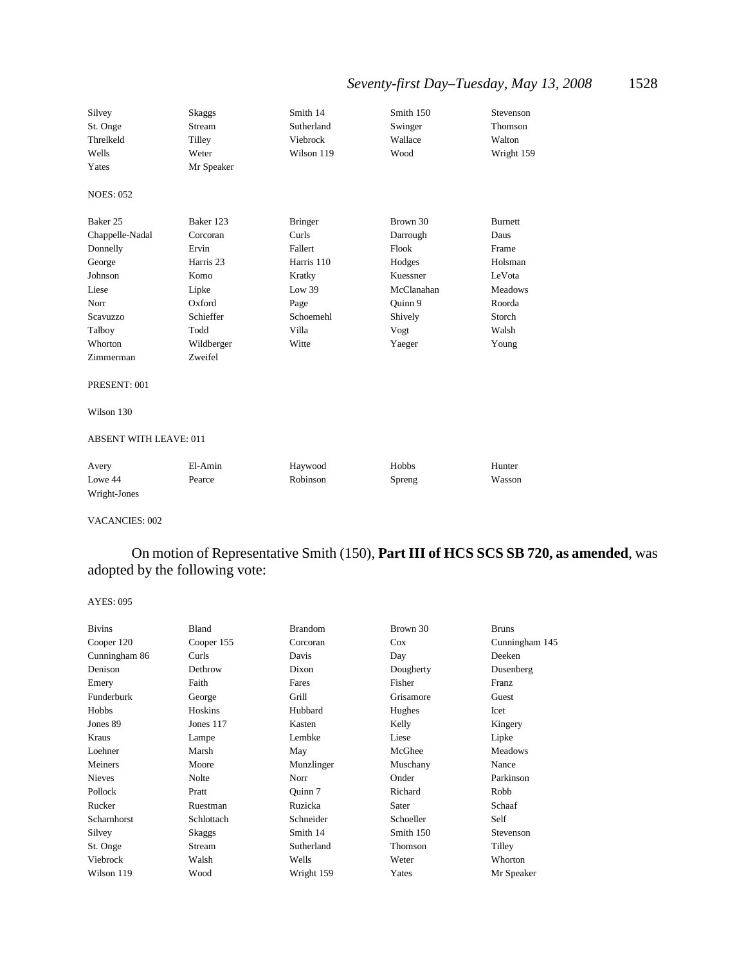## *Seventy-first Day–Tuesday, May 13, 2008* 1528

| Silvey                        | Skaggs     | Smith 14       | Smith 150  | Stevenson      |
|-------------------------------|------------|----------------|------------|----------------|
| St. Onge                      | Stream     | Sutherland     | Swinger    | Thomson        |
| Threlkeld                     | Tilley     | Viebrock       | Wallace    | Walton         |
| Wells                         | Weter      | Wilson 119     | Wood       | Wright 159     |
| Yates                         | Mr Speaker |                |            |                |
| <b>NOES: 052</b>              |            |                |            |                |
| Baker 25                      | Baker 123  | <b>Bringer</b> | Brown 30   | Burnett        |
| Chappelle-Nadal               | Corcoran   | Curls          | Darrough   | Daus           |
| Donnelly                      | Ervin      | Fallert        | Flook      | Frame          |
| George                        | Harris 23  | Harris 110     | Hodges     | Holsman        |
| Johnson                       | Komo       | Kratky         | Kuessner   | LeVota         |
| Liese                         | Lipke      | Low 39         | McClanahan | <b>Meadows</b> |
| Norr                          | Oxford     | Page           | Ouinn 9    | Roorda         |
| Scavuzzo                      | Schieffer  | Schoemehl      | Shively    | Storch         |
| Talboy                        | Todd       | Villa          | Vogt       | Walsh          |
| Whorton                       | Wildberger | Witte          | Yaeger     | Young          |
| Zimmerman                     | Zweifel    |                |            |                |
| PRESENT: 001                  |            |                |            |                |
| Wilson 130                    |            |                |            |                |
| <b>ABSENT WITH LEAVE: 011</b> |            |                |            |                |
|                               |            |                |            |                |

| Avery        | El-Amin | Haywood  | Hobbs  | Hunter |
|--------------|---------|----------|--------|--------|
| Lowe 44      | Pearce  | Robinson | Spreng | Wasson |
| Wright-Jones |         |          |        |        |

#### VACANCIES: 002

On motion of Representative Smith (150), **Part III of HCS SCS SB 720, as amended**, was adopted by the following vote:

| <b>Bivins</b> | Bland      | <b>Brandom</b> | Brown 30  | <b>Bruns</b>   |
|---------------|------------|----------------|-----------|----------------|
| Cooper 120    | Cooper 155 | Corcoran       | $\cos$    | Cunningham 145 |
| Cunningham 86 | Curls      | Davis          | Day       | Deeken         |
| Denison       | Dethrow    | Dixon          | Dougherty | Dusenberg      |
| Emery         | Faith      | Fares          | Fisher    | Franz          |
| Funderburk    | George     | Grill          | Grisamore | Guest          |
| Hobbs         | Hoskins    | Hubbard        | Hughes    | Icet           |
| Jones 89      | Jones 117  | Kasten         | Kelly     | Kingery        |
| Kraus         | Lampe      | Lembke         | Liese     | Lipke          |
| Loehner       | Marsh      | May            | McGhee    | <b>Meadows</b> |
| Meiners       | Moore      | Munzlinger     | Muschany  | Nance          |
| <b>Nieves</b> | Nolte      | Norr           | Onder     | Parkinson      |
| Pollock       | Pratt      | Ouinn 7        | Richard   | Robb           |
| Rucker        | Ruestman   | Ruzicka        | Sater     | Schaaf         |
| Scharnhorst   | Schlottach | Schneider      | Schoeller | Self           |
| Silvey        | Skaggs     | Smith 14       | Smith 150 | Stevenson      |
| St. Onge      | Stream     | Sutherland     | Thomson   | Tilley         |
| Viebrock      | Walsh      | Wells          | Weter     | Whorton        |
| Wilson 119    | Wood       | Wright 159     | Yates     | Mr Speaker     |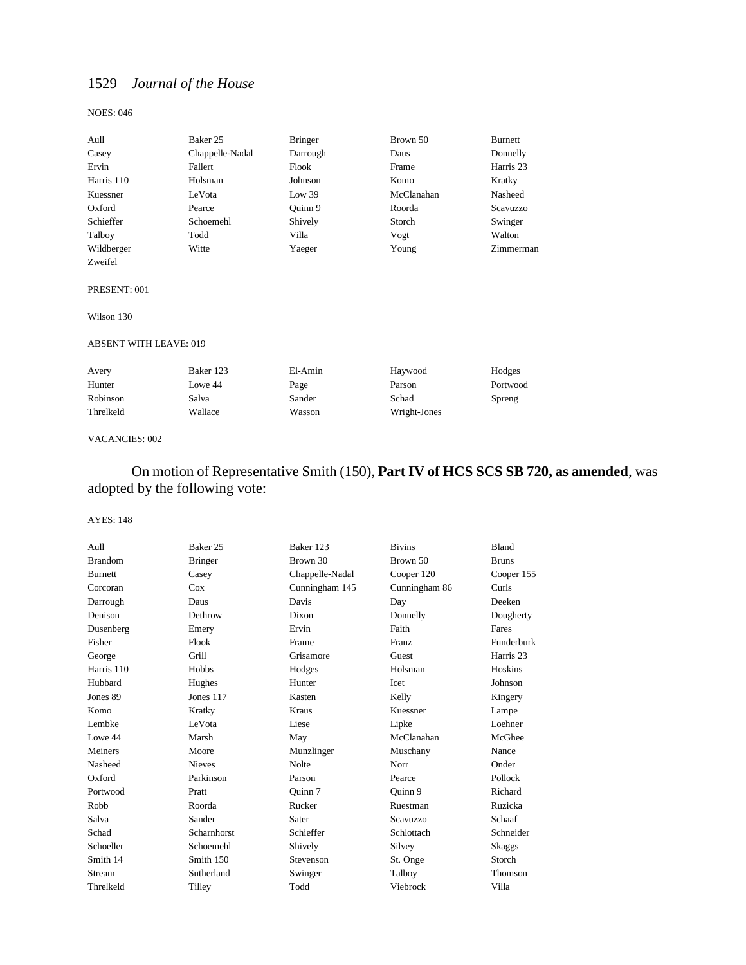#### NOES: 046

| Aull       | Baker 25        | <b>Bringer</b> | Brown 50   | Burnett   |
|------------|-----------------|----------------|------------|-----------|
| Casey      | Chappelle-Nadal | Darrough       | Daus       | Donnelly  |
| Ervin      | Fallert         | Flook          | Frame      | Harris 23 |
| Harris 110 | Holsman         | Johnson        | Komo       | Kratky    |
| Kuessner   | LeVota          | Low 39         | McClanahan | Nasheed   |
| Oxford     | Pearce          | Ouinn 9        | Roorda     | Scavuzzo  |
| Schieffer  | Schoemehl       | Shively        | Storch     | Swinger   |
| Talboy     | Todd            | Villa          | Vogt       | Walton    |
| Wildberger | Witte           | Yaeger         | Young      | Zimmerman |
| Zweifel    |                 |                |            |           |

#### PRESENT: 001

Wilson 130

#### ABSENT WITH LEAVE: 019

| Avery     | Baker 123 | El-Amin | Havwood      | Hodges   |
|-----------|-----------|---------|--------------|----------|
| Hunter    | Lowe 44   | Page    | Parson       | Portwood |
| Robinson  | Salva     | Sander  | Schad        | Spreng   |
| Threlkeld | Wallace   | Wasson  | Wright-Jones |          |

#### VACANCIES: 002

## On motion of Representative Smith (150), **Part IV of HCS SCS SB 720, as amended**, was adopted by the following vote:

| Aull           | Baker <sub>25</sub> | Baker 123       | <b>Bivins</b> | <b>Bland</b>         |
|----------------|---------------------|-----------------|---------------|----------------------|
| <b>Brandom</b> | <b>Bringer</b>      | Brown 30        | Brown 50      | <b>Bruns</b>         |
| <b>Burnett</b> | Casey               | Chappelle-Nadal | Cooper 120    | Cooper 155           |
| Corcoran       | Cox                 | Cunningham 145  | Cunningham 86 | Curls                |
| Darrough       | Daus                | Davis           | Day           | Deeken               |
| Denison        | Dethrow             | Dixon           | Donnelly      | Dougherty            |
| Dusenberg      | Emery               | Ervin           | Faith         | Fares                |
| Fisher         | Flook               | Frame           | Franz         | Funderburk           |
| George         | Grill               | Grisamore       | Guest         | Harris <sub>23</sub> |
| Harris 110     | Hobbs               | Hodges          | Holsman       | Hoskins              |
| Hubbard        | Hughes              | Hunter          | Icet          | Johnson              |
| Jones 89       | Jones $117$         | Kasten          | Kelly         | Kingery              |
| Komo           | Kratky              | Kraus           | Kuessner      | Lampe                |
| Lembke         | LeVota              | Liese           | Lipke         | Loehner              |
| Lowe 44        | Marsh               | May             | McClanahan    | McGhee               |
| Meiners        | Moore               | Munzlinger      | Muschany      | Nance                |
| Nasheed        | <b>Nieves</b>       | <b>Nolte</b>    | Norr          | Onder                |
| Oxford         | Parkinson           | Parson          | Pearce        | Pollock              |
| Portwood       | Pratt               | Ouinn 7         | Quinn 9       | Richard              |
| Robb           | Roorda              | Rucker          | Ruestman      | Ruzicka              |
| Salva          | Sander              | Sater           | Scavuzzo      | Schaaf               |
| Schad          | <b>Scharnhorst</b>  | Schieffer       | Schlottach    | Schneider            |
| Schoeller      | Schoemehl           | Shively         | Silvey        | Skaggs               |
| Smith 14       | Smith 150           | Stevenson       | St. Onge      | Storch               |
| Stream         | Sutherland          | Swinger         | Talboy        | Thomson              |
| Threlkeld      | Tilley              | Todd            | Viebrock      | Villa                |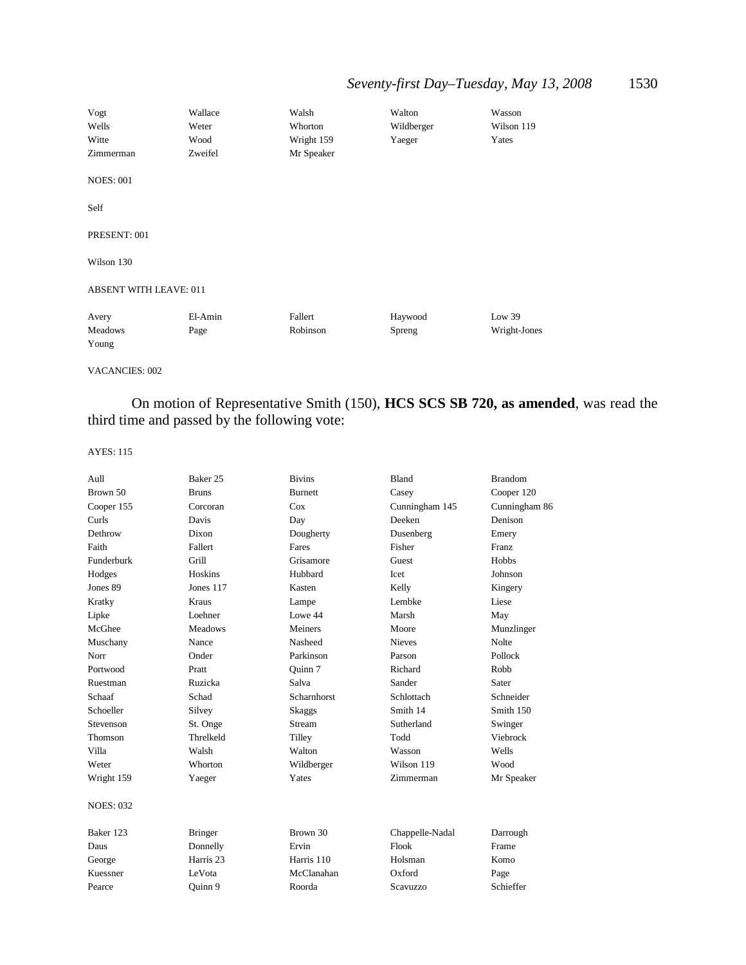| Vogt<br>Wells<br>Witte<br>Zimmerman | Wallace<br>Weter<br>Wood<br>Zweifel | Walsh<br>Whorton<br>Wright 159<br>Mr Speaker | Walton<br>Wildberger<br>Yaeger | Wasson<br>Wilson 119<br>Yates |
|-------------------------------------|-------------------------------------|----------------------------------------------|--------------------------------|-------------------------------|
| <b>NOES: 001</b>                    |                                     |                                              |                                |                               |
| Self                                |                                     |                                              |                                |                               |
| PRESENT: 001                        |                                     |                                              |                                |                               |
| Wilson 130                          |                                     |                                              |                                |                               |
| <b>ABSENT WITH LEAVE: 011</b>       |                                     |                                              |                                |                               |
| Avery<br>Meadows<br>Young           | El-Amin<br>Page                     | Fallert<br>Robinson                          | Haywood<br>Spreng              | Low $39$<br>Wright-Jones      |

VACANCIES: 002

On motion of Representative Smith (150), **HCS SCS SB 720, as amended**, was read the third time and passed by the following vote:

| Aull             | Baker 25             | <b>Bivins</b>      | Bland           | <b>Brandom</b> |
|------------------|----------------------|--------------------|-----------------|----------------|
| Brown 50         | <b>Bruns</b>         | <b>Burnett</b>     | Casey           | Cooper 120     |
| Cooper 155       | Corcoran             | Cox                | Cunningham 145  | Cunningham 86  |
| Curls            | Davis                | Day                | Deeken          | Denison        |
| Dethrow          | Dixon                | Dougherty          | Dusenberg       | Emery          |
| Faith            | Fallert              | Fares              | Fisher          | <b>Franz</b>   |
| Funderburk       | Grill                | Grisamore          | Guest           | Hobbs          |
| Hodges           | Hoskins              | Hubbard            | Icet            | Johnson        |
| Jones 89         | Jones 117            | Kasten             | Kelly           | Kingery        |
| Kratky           | Kraus                | Lampe              | Lembke          | Liese          |
| Lipke            | Loehner              | Lowe 44            | Marsh           | May            |
| McGhee           | <b>Meadows</b>       | Meiners            | Moore           | Munzlinger     |
| Muschany         | Nance                | Nasheed            | <b>Nieves</b>   | <b>Nolte</b>   |
| Norr             | Onder                | Parkinson          | Parson          | Pollock        |
| Portwood         | Pratt                | Ouinn 7            | Richard         | Robb           |
| Ruestman         | Ruzicka              | Salva              | Sander          | Sater          |
| Schaaf           | Schad                | <b>Scharnhorst</b> | Schlottach      | Schneider      |
| Schoeller        | Silvey               | <b>Skaggs</b>      | Smith 14        | Smith 150      |
| Stevenson        | St. Onge             | Stream             | Sutherland      | Swinger        |
| Thomson          | Threlkeld            | Tilley             | Todd            | Viebrock       |
| Villa            | Walsh                | Walton             | Wasson          | Wells          |
| Weter            | Whorton              | Wildberger         | Wilson 119      | Wood           |
| Wright 159       | Yaeger               | Yates              | Zimmerman       | Mr Speaker     |
| <b>NOES: 032</b> |                      |                    |                 |                |
| Baker 123        | <b>Bringer</b>       | Brown 30           | Chappelle-Nadal | Darrough       |
| Daus             | Donnelly             | Ervin              | Flook           | Frame          |
| George           | Harris <sub>23</sub> | Harris 110         | Holsman         | Komo           |
| Kuessner         | LeVota               | McClanahan         | Oxford          | Page           |
| Pearce           | Ouinn 9              | Roorda             | Scavuzzo        | Schieffer      |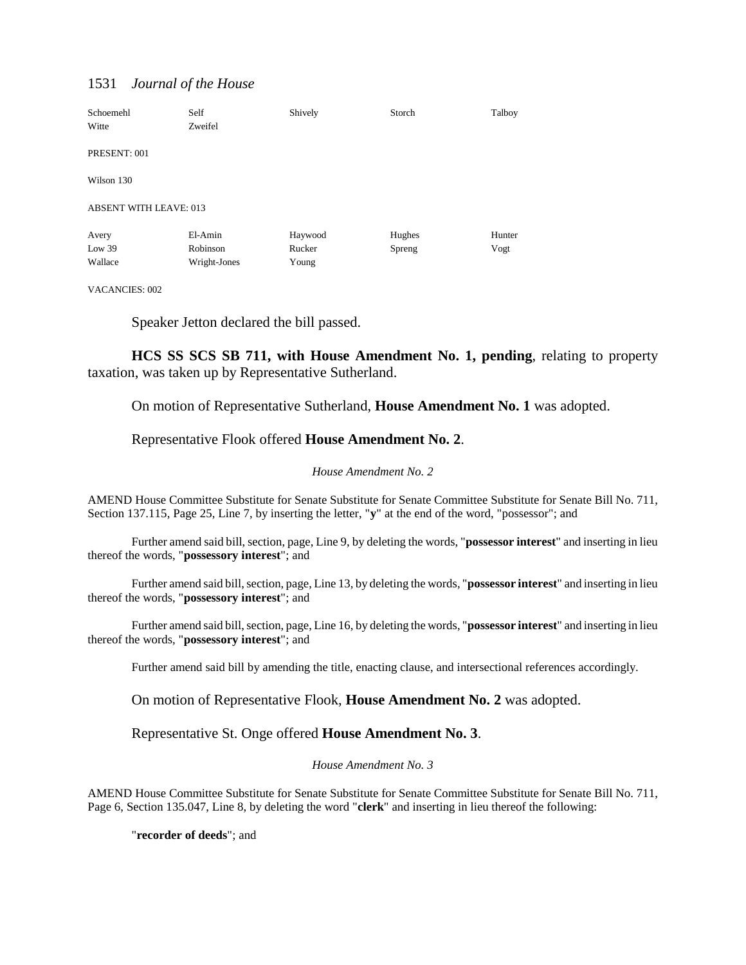| Schoemehl<br>Witte            | Self<br>Zweifel | Shively | Storch | Talboy |
|-------------------------------|-----------------|---------|--------|--------|
| PRESENT: 001                  |                 |         |        |        |
| Wilson 130                    |                 |         |        |        |
| <b>ABSENT WITH LEAVE: 013</b> |                 |         |        |        |
| Avery                         | El-Amin         | Haywood | Hughes | Hunter |
| Low $39$                      | Robinson        | Rucker  | Spreng | Vogt   |
| Wallace                       | Wright-Jones    | Young   |        |        |

VACANCIES: 002

Speaker Jetton declared the bill passed.

**HCS SS SCS SB 711, with House Amendment No. 1, pending**, relating to property taxation, was taken up by Representative Sutherland.

On motion of Representative Sutherland, **House Amendment No. 1** was adopted.

Representative Flook offered **House Amendment No. 2**.

#### *House Amendment No. 2*

AMEND House Committee Substitute for Senate Substitute for Senate Committee Substitute for Senate Bill No. 711, Section 137.115, Page 25, Line 7, by inserting the letter, "**y**" at the end of the word, "possessor"; and

Further amend said bill, section, page, Line 9, by deleting the words, "**possessor interest**" and inserting in lieu thereof the words, "**possessory interest**"; and

Further amend said bill, section, page, Line 13, by deleting the words, "**possessor interest**" and inserting in lieu thereof the words, "**possessory interest**"; and

Further amend said bill, section, page, Line 16, by deleting the words, "**possessor interest**" and inserting in lieu thereof the words, "**possessory interest**"; and

Further amend said bill by amending the title, enacting clause, and intersectional references accordingly.

On motion of Representative Flook, **House Amendment No. 2** was adopted.

Representative St. Onge offered **House Amendment No. 3**.

### *House Amendment No. 3*

AMEND House Committee Substitute for Senate Substitute for Senate Committee Substitute for Senate Bill No. 711, Page 6, Section 135.047, Line 8, by deleting the word "**clerk**" and inserting in lieu thereof the following:

"**recorder of deeds**"; and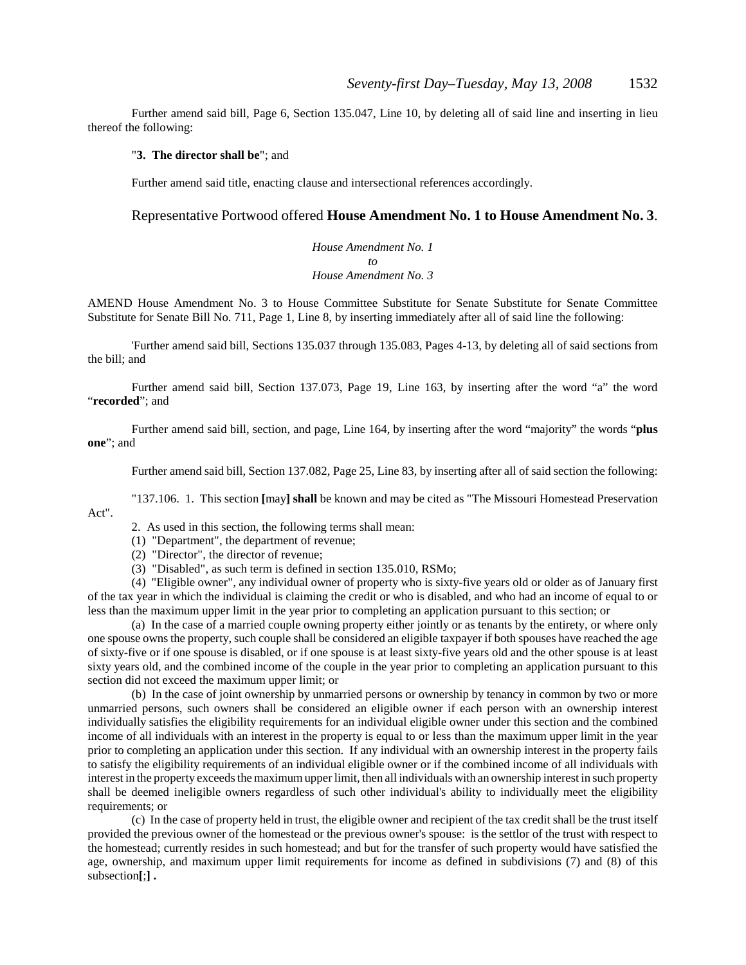Further amend said bill, Page 6, Section 135.047, Line 10, by deleting all of said line and inserting in lieu thereof the following:

### "**3. The director shall be**"; and

Further amend said title, enacting clause and intersectional references accordingly.

### Representative Portwood offered **House Amendment No. 1 to House Amendment No. 3**.

*House Amendment No. 1 to House Amendment No. 3*

AMEND House Amendment No. 3 to House Committee Substitute for Senate Substitute for Senate Committee Substitute for Senate Bill No. 711, Page 1, Line 8, by inserting immediately after all of said line the following:

'Further amend said bill, Sections 135.037 through 135.083, Pages 4-13, by deleting all of said sections from the bill; and

Further amend said bill, Section 137.073, Page 19, Line 163, by inserting after the word "a" the word "**recorded**"; and

Further amend said bill, section, and page, Line 164, by inserting after the word "majority" the words "**plus one**"; and

Further amend said bill, Section 137.082, Page 25, Line 83, by inserting after all of said section the following:

"137.106. 1. This section **[**may**] shall** be known and may be cited as "The Missouri Homestead Preservation Act".

2. As used in this section, the following terms shall mean:

- (1) "Department", the department of revenue;
- (2) "Director", the director of revenue;
- (3) "Disabled", as such term is defined in section 135.010, RSMo;

(4) "Eligible owner", any individual owner of property who is sixty-five years old or older as of January first of the tax year in which the individual is claiming the credit or who is disabled, and who had an income of equal to or less than the maximum upper limit in the year prior to completing an application pursuant to this section; or

(a) In the case of a married couple owning property either jointly or as tenants by the entirety, or where only one spouse owns the property, such couple shall be considered an eligible taxpayer if both spouses have reached the age of sixty-five or if one spouse is disabled, or if one spouse is at least sixty-five years old and the other spouse is at least sixty years old, and the combined income of the couple in the year prior to completing an application pursuant to this section did not exceed the maximum upper limit; or

(b) In the case of joint ownership by unmarried persons or ownership by tenancy in common by two or more unmarried persons, such owners shall be considered an eligible owner if each person with an ownership interest individually satisfies the eligibility requirements for an individual eligible owner under this section and the combined income of all individuals with an interest in the property is equal to or less than the maximum upper limit in the year prior to completing an application under this section. If any individual with an ownership interest in the property fails to satisfy the eligibility requirements of an individual eligible owner or if the combined income of all individuals with interest in the property exceeds the maximum upper limit, then all individuals with an ownership interest in such property shall be deemed ineligible owners regardless of such other individual's ability to individually meet the eligibility requirements; or

(c) In the case of property held in trust, the eligible owner and recipient of the tax credit shall be the trust itself provided the previous owner of the homestead or the previous owner's spouse: is the settlor of the trust with respect to the homestead; currently resides in such homestead; and but for the transfer of such property would have satisfied the age, ownership, and maximum upper limit requirements for income as defined in subdivisions (7) and (8) of this subsection**[**;**] .**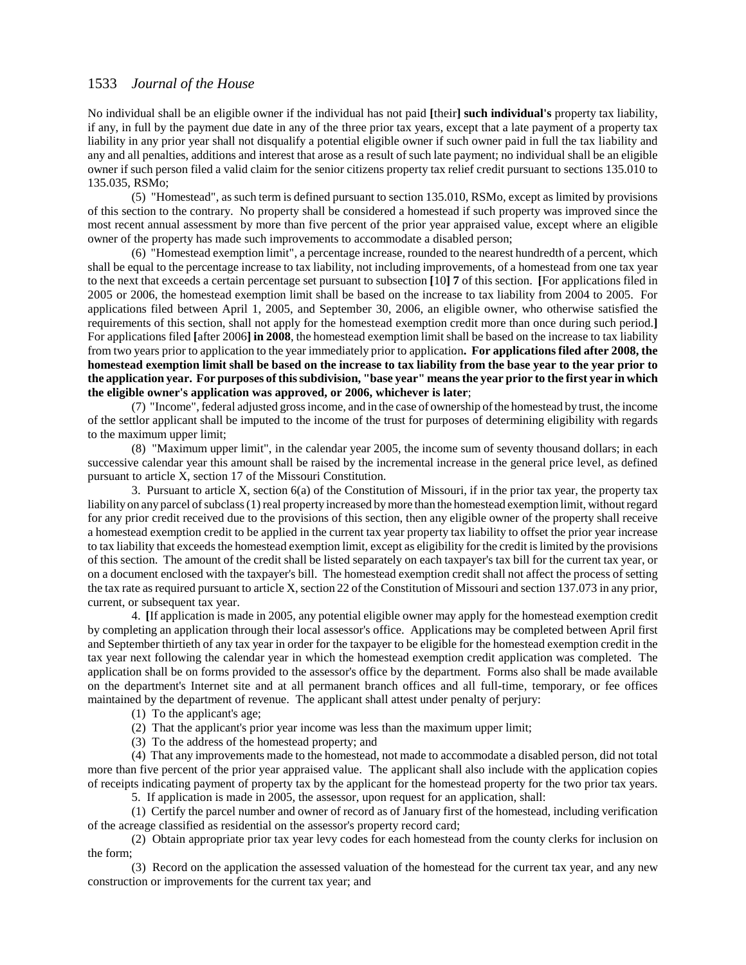No individual shall be an eligible owner if the individual has not paid **[**their**] such individual's** property tax liability, if any, in full by the payment due date in any of the three prior tax years, except that a late payment of a property tax liability in any prior year shall not disqualify a potential eligible owner if such owner paid in full the tax liability and any and all penalties, additions and interest that arose as a result of such late payment; no individual shall be an eligible owner if such person filed a valid claim for the senior citizens property tax relief credit pursuant to sections 135.010 to 135.035, RSMo;

(5) "Homestead", as such term is defined pursuant to section 135.010, RSMo, except as limited by provisions of this section to the contrary. No property shall be considered a homestead if such property was improved since the most recent annual assessment by more than five percent of the prior year appraised value, except where an eligible owner of the property has made such improvements to accommodate a disabled person;

(6) "Homestead exemption limit", a percentage increase, rounded to the nearest hundredth of a percent, which shall be equal to the percentage increase to tax liability, not including improvements, of a homestead from one tax year to the next that exceeds a certain percentage set pursuant to subsection **[**10**] 7** of this section. **[**For applications filed in 2005 or 2006, the homestead exemption limit shall be based on the increase to tax liability from 2004 to 2005. For applications filed between April 1, 2005, and September 30, 2006, an eligible owner, who otherwise satisfied the requirements of this section, shall not apply for the homestead exemption credit more than once during such period.**]** For applications filed **[**after 2006**] in 2008**, the homestead exemption limit shall be based on the increase to tax liability from two years prior to application to the year immediately prior to application**. For applications filed after 2008, the homestead exemption limit shall be based on the increase to tax liability from the base year to the year prior to the application year. For purposes of this subdivision, "base year" means the year prior to the first year in which the eligible owner's application was approved, or 2006, whichever is later**;

(7) "Income", federal adjusted gross income, and in the case of ownership of the homestead by trust, the income of the settlor applicant shall be imputed to the income of the trust for purposes of determining eligibility with regards to the maximum upper limit;

(8) "Maximum upper limit", in the calendar year 2005, the income sum of seventy thousand dollars; in each successive calendar year this amount shall be raised by the incremental increase in the general price level, as defined pursuant to article X, section 17 of the Missouri Constitution.

3. Pursuant to article X, section  $6(a)$  of the Constitution of Missouri, if in the prior tax year, the property tax liability on any parcel of subclass (1) real property increased by more than the homestead exemption limit, without regard for any prior credit received due to the provisions of this section, then any eligible owner of the property shall receive a homestead exemption credit to be applied in the current tax year property tax liability to offset the prior year increase to tax liability that exceeds the homestead exemption limit, except as eligibility for the credit is limited by the provisions of this section. The amount of the credit shall be listed separately on each taxpayer's tax bill for the current tax year, or on a document enclosed with the taxpayer's bill. The homestead exemption credit shall not affect the process of setting the tax rate as required pursuant to article X, section 22 of the Constitution of Missouri and section 137.073 in any prior, current, or subsequent tax year.

4. **[**If application is made in 2005, any potential eligible owner may apply for the homestead exemption credit by completing an application through their local assessor's office. Applications may be completed between April first and September thirtieth of any tax year in order for the taxpayer to be eligible for the homestead exemption credit in the tax year next following the calendar year in which the homestead exemption credit application was completed. The application shall be on forms provided to the assessor's office by the department. Forms also shall be made available on the department's Internet site and at all permanent branch offices and all full-time, temporary, or fee offices maintained by the department of revenue. The applicant shall attest under penalty of perjury:

(1) To the applicant's age;

(2) That the applicant's prior year income was less than the maximum upper limit;

(3) To the address of the homestead property; and

(4) That any improvements made to the homestead, not made to accommodate a disabled person, did not total more than five percent of the prior year appraised value. The applicant shall also include with the application copies of receipts indicating payment of property tax by the applicant for the homestead property for the two prior tax years.

5. If application is made in 2005, the assessor, upon request for an application, shall:

(1) Certify the parcel number and owner of record as of January first of the homestead, including verification of the acreage classified as residential on the assessor's property record card;

(2) Obtain appropriate prior tax year levy codes for each homestead from the county clerks for inclusion on the form;

(3) Record on the application the assessed valuation of the homestead for the current tax year, and any new construction or improvements for the current tax year; and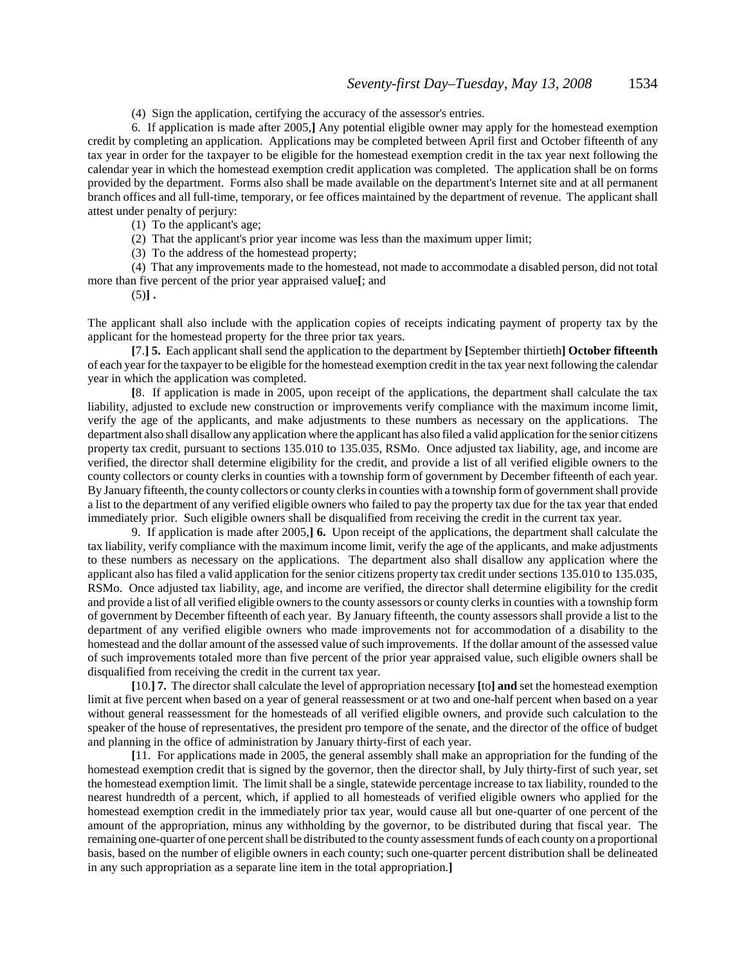(4) Sign the application, certifying the accuracy of the assessor's entries.

6. If application is made after 2005,**]** Any potential eligible owner may apply for the homestead exemption credit by completing an application. Applications may be completed between April first and October fifteenth of any tax year in order for the taxpayer to be eligible for the homestead exemption credit in the tax year next following the calendar year in which the homestead exemption credit application was completed. The application shall be on forms provided by the department. Forms also shall be made available on the department's Internet site and at all permanent branch offices and all full-time, temporary, or fee offices maintained by the department of revenue. The applicant shall attest under penalty of perjury:

(1) To the applicant's age;

(2) That the applicant's prior year income was less than the maximum upper limit;

(3) To the address of the homestead property;

(4) That any improvements made to the homestead, not made to accommodate a disabled person, did not total more than five percent of the prior year appraised value**[**; and

 $(5)$ ].

The applicant shall also include with the application copies of receipts indicating payment of property tax by the applicant for the homestead property for the three prior tax years.

**[**7.**] 5.** Each applicant shall send the application to the department by **[**September thirtieth**] October fifteenth** of each year for the taxpayer to be eligible for the homestead exemption credit in the tax year next following the calendar year in which the application was completed.

**[**8. If application is made in 2005, upon receipt of the applications, the department shall calculate the tax liability, adjusted to exclude new construction or improvements verify compliance with the maximum income limit, verify the age of the applicants, and make adjustments to these numbers as necessary on the applications. The department also shall disallow any application where the applicant has also filed a valid application for the senior citizens property tax credit, pursuant to sections 135.010 to 135.035, RSMo. Once adjusted tax liability, age, and income are verified, the director shall determine eligibility for the credit, and provide a list of all verified eligible owners to the county collectors or county clerks in counties with a township form of government by December fifteenth of each year. By January fifteenth, the county collectors or county clerks in counties with a township form of government shall provide a list to the department of any verified eligible owners who failed to pay the property tax due for the tax year that ended immediately prior. Such eligible owners shall be disqualified from receiving the credit in the current tax year.

9. If application is made after 2005,**] 6.** Upon receipt of the applications, the department shall calculate the tax liability, verify compliance with the maximum income limit, verify the age of the applicants, and make adjustments to these numbers as necessary on the applications. The department also shall disallow any application where the applicant also has filed a valid application for the senior citizens property tax credit under sections 135.010 to 135.035, RSMo. Once adjusted tax liability, age, and income are verified, the director shall determine eligibility for the credit and provide a list of all verified eligible owners to the county assessors or county clerks in counties with a township form of government by December fifteenth of each year. By January fifteenth, the county assessors shall provide a list to the department of any verified eligible owners who made improvements not for accommodation of a disability to the homestead and the dollar amount of the assessed value of such improvements. If the dollar amount of the assessed value of such improvements totaled more than five percent of the prior year appraised value, such eligible owners shall be disqualified from receiving the credit in the current tax year.

**[**10.**] 7.** The director shall calculate the level of appropriation necessary **[**to**] and** set the homestead exemption limit at five percent when based on a year of general reassessment or at two and one-half percent when based on a year without general reassessment for the homesteads of all verified eligible owners, and provide such calculation to the speaker of the house of representatives, the president pro tempore of the senate, and the director of the office of budget and planning in the office of administration by January thirty-first of each year.

**[**11. For applications made in 2005, the general assembly shall make an appropriation for the funding of the homestead exemption credit that is signed by the governor, then the director shall, by July thirty-first of such year, set the homestead exemption limit. The limit shall be a single, statewide percentage increase to tax liability, rounded to the nearest hundredth of a percent, which, if applied to all homesteads of verified eligible owners who applied for the homestead exemption credit in the immediately prior tax year, would cause all but one-quarter of one percent of the amount of the appropriation, minus any withholding by the governor, to be distributed during that fiscal year. The remaining one-quarter of one percent shall be distributed to the county assessment funds of each county on a proportional basis, based on the number of eligible owners in each county; such one-quarter percent distribution shall be delineated in any such appropriation as a separate line item in the total appropriation.**]**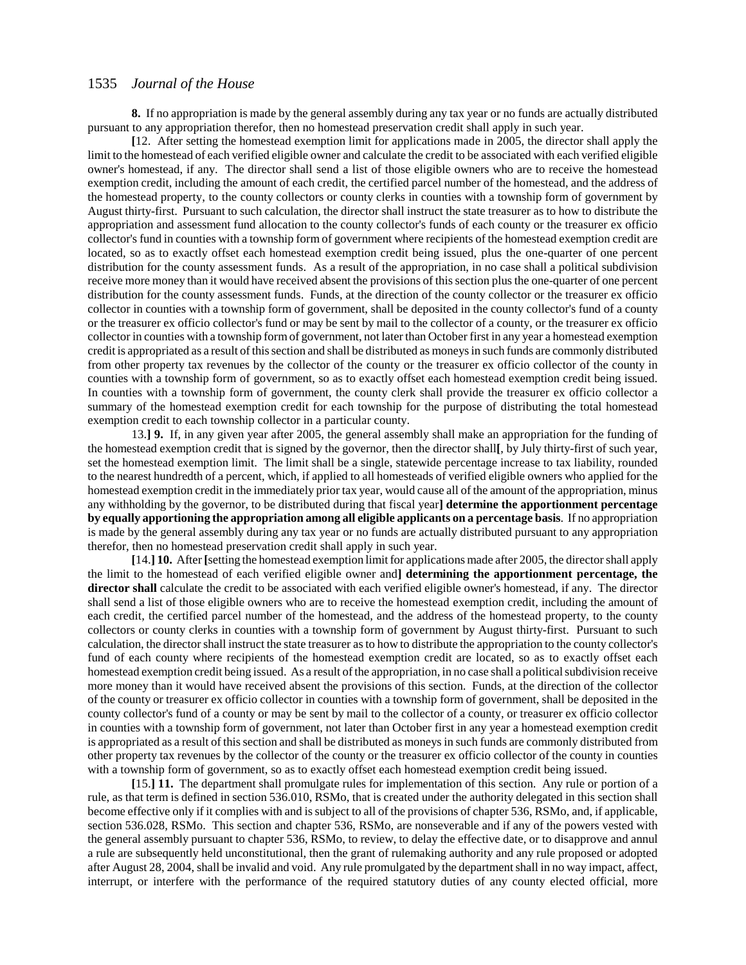**8.** If no appropriation is made by the general assembly during any tax year or no funds are actually distributed pursuant to any appropriation therefor, then no homestead preservation credit shall apply in such year.

**[**12. After setting the homestead exemption limit for applications made in 2005, the director shall apply the limit to the homestead of each verified eligible owner and calculate the credit to be associated with each verified eligible owner's homestead, if any. The director shall send a list of those eligible owners who are to receive the homestead exemption credit, including the amount of each credit, the certified parcel number of the homestead, and the address of the homestead property, to the county collectors or county clerks in counties with a township form of government by August thirty-first. Pursuant to such calculation, the director shall instruct the state treasurer as to how to distribute the appropriation and assessment fund allocation to the county collector's funds of each county or the treasurer ex officio collector's fund in counties with a township form of government where recipients of the homestead exemption credit are located, so as to exactly offset each homestead exemption credit being issued, plus the one-quarter of one percent distribution for the county assessment funds. As a result of the appropriation, in no case shall a political subdivision receive more money than it would have received absent the provisions of this section plus the one-quarter of one percent distribution for the county assessment funds. Funds, at the direction of the county collector or the treasurer ex officio collector in counties with a township form of government, shall be deposited in the county collector's fund of a county or the treasurer ex officio collector's fund or may be sent by mail to the collector of a county, or the treasurer ex officio collector in counties with a township form of government, not later than October first in any year a homestead exemption credit is appropriated as a result of this section and shall be distributed as moneys in such funds are commonly distributed from other property tax revenues by the collector of the county or the treasurer ex officio collector of the county in counties with a township form of government, so as to exactly offset each homestead exemption credit being issued. In counties with a township form of government, the county clerk shall provide the treasurer ex officio collector a summary of the homestead exemption credit for each township for the purpose of distributing the total homestead exemption credit to each township collector in a particular county.

13.**] 9.** If, in any given year after 2005, the general assembly shall make an appropriation for the funding of the homestead exemption credit that is signed by the governor, then the director shall**[**, by July thirty-first of such year, set the homestead exemption limit. The limit shall be a single, statewide percentage increase to tax liability, rounded to the nearest hundredth of a percent, which, if applied to all homesteads of verified eligible owners who applied for the homestead exemption credit in the immediately prior tax year, would cause all of the amount of the appropriation, minus any withholding by the governor, to be distributed during that fiscal year**] determine the apportionment percentage by equally apportioning the appropriation among all eligible applicants on a percentage basis**. If no appropriation is made by the general assembly during any tax year or no funds are actually distributed pursuant to any appropriation therefor, then no homestead preservation credit shall apply in such year.

**[**14.**] 10.** After **[**setting the homestead exemption limit for applications made after 2005, the director shall apply the limit to the homestead of each verified eligible owner and**] determining the apportionment percentage, the director shall** calculate the credit to be associated with each verified eligible owner's homestead, if any. The director shall send a list of those eligible owners who are to receive the homestead exemption credit, including the amount of each credit, the certified parcel number of the homestead, and the address of the homestead property, to the county collectors or county clerks in counties with a township form of government by August thirty-first. Pursuant to such calculation, the director shall instruct the state treasurer as to how to distribute the appropriation to the county collector's fund of each county where recipients of the homestead exemption credit are located, so as to exactly offset each homestead exemption credit being issued. As a result of the appropriation, in no case shall a political subdivision receive more money than it would have received absent the provisions of this section. Funds, at the direction of the collector of the county or treasurer ex officio collector in counties with a township form of government, shall be deposited in the county collector's fund of a county or may be sent by mail to the collector of a county, or treasurer ex officio collector in counties with a township form of government, not later than October first in any year a homestead exemption credit is appropriated as a result of this section and shall be distributed as moneys in such funds are commonly distributed from other property tax revenues by the collector of the county or the treasurer ex officio collector of the county in counties with a township form of government, so as to exactly offset each homestead exemption credit being issued.

**[**15.**] 11.** The department shall promulgate rules for implementation of this section. Any rule or portion of a rule, as that term is defined in section 536.010, RSMo, that is created under the authority delegated in this section shall become effective only if it complies with and is subject to all of the provisions of chapter 536, RSMo, and, if applicable, section 536.028, RSMo. This section and chapter 536, RSMo, are nonseverable and if any of the powers vested with the general assembly pursuant to chapter 536, RSMo, to review, to delay the effective date, or to disapprove and annul a rule are subsequently held unconstitutional, then the grant of rulemaking authority and any rule proposed or adopted after August 28, 2004, shall be invalid and void. Any rule promulgated by the department shall in no way impact, affect, interrupt, or interfere with the performance of the required statutory duties of any county elected official, more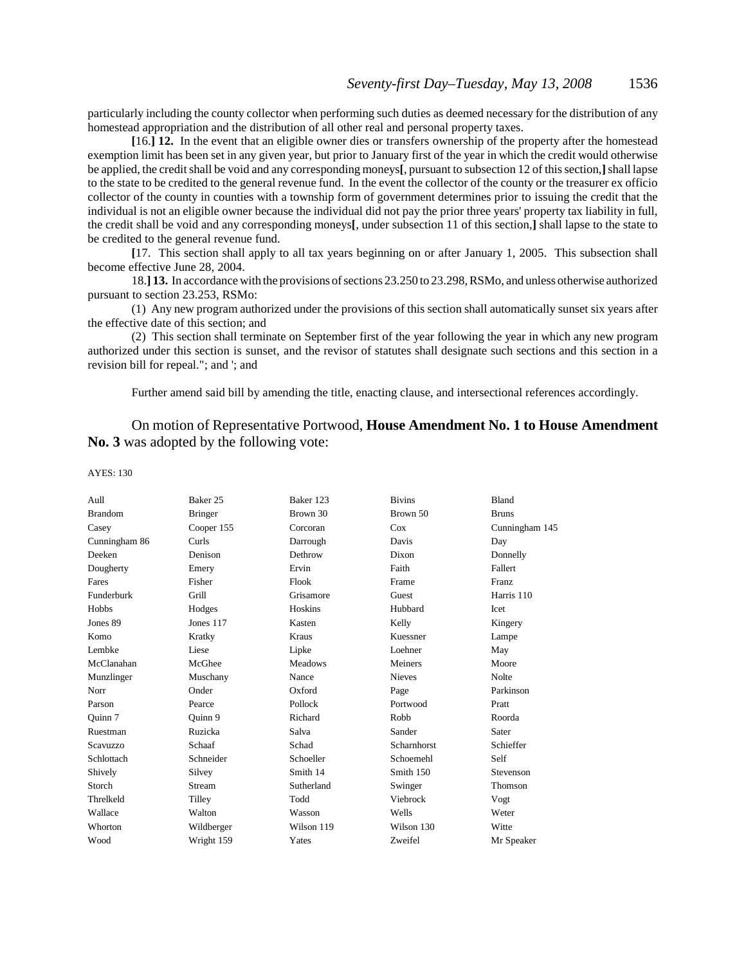particularly including the county collector when performing such duties as deemed necessary for the distribution of any homestead appropriation and the distribution of all other real and personal property taxes.

**[**16.**] 12.** In the event that an eligible owner dies or transfers ownership of the property after the homestead exemption limit has been set in any given year, but prior to January first of the year in which the credit would otherwise be applied, the credit shall be void and any corresponding moneys**[**, pursuant to subsection 12 of this section,**]** shall lapse to the state to be credited to the general revenue fund. In the event the collector of the county or the treasurer ex officio collector of the county in counties with a township form of government determines prior to issuing the credit that the individual is not an eligible owner because the individual did not pay the prior three years' property tax liability in full, the credit shall be void and any corresponding moneys**[**, under subsection 11 of this section,**]** shall lapse to the state to be credited to the general revenue fund.

**[**17. This section shall apply to all tax years beginning on or after January 1, 2005. This subsection shall become effective June 28, 2004.

18.**] 13.** In accordance with the provisions of sections 23.250 to 23.298, RSMo, and unless otherwise authorized pursuant to section 23.253, RSMo:

(1) Any new program authorized under the provisions of this section shall automatically sunset six years after the effective date of this section; and

(2) This section shall terminate on September first of the year following the year in which any new program authorized under this section is sunset, and the revisor of statutes shall designate such sections and this section in a revision bill for repeal."; and '; and

Further amend said bill by amending the title, enacting clause, and intersectional references accordingly.

 On motion of Representative Portwood, **House Amendment No. 1 to House Amendment No. 3** was adopted by the following vote:

| Aull           | Baker 25       | Baker 123      | <b>Bivins</b> | Bland            |
|----------------|----------------|----------------|---------------|------------------|
| <b>Brandom</b> | <b>Bringer</b> | Brown 30       | Brown 50      | <b>Bruns</b>     |
| Casey          | Cooper 155     | Corcoran       | Cox           | Cunningham 145   |
| Cunningham 86  | Curls          | Darrough       | Davis         | Day              |
| Deeken         | Denison        | Dethrow        | Dixon         | Donnelly         |
| Dougherty      | Emery          | Ervin          | Faith         | Fallert          |
| Fares          | Fisher         | Flook          | Frame         | <b>Franz</b>     |
| Funderburk     | Grill          | Grisamore      | Guest         | Harris 110       |
| Hobbs          | Hodges         | Hoskins        | Hubbard       | Icet             |
| Jones 89       | Jones 117      | Kasten         | Kelly         | Kingery          |
| Komo           | Kratky         | Kraus          | Kuessner      | Lampe            |
| Lembke         | Liese          | Lipke          | Loehner       | May              |
| McClanahan     | McGhee         | <b>Meadows</b> | Meiners       | Moore            |
| Munzlinger     | Muschany       | Nance          | <b>Nieves</b> | Nolte            |
| Norr           | Onder          | Oxford         | Page          | Parkinson        |
| Parson         | Pearce         | Pollock        | Portwood      | Pratt            |
| Quinn 7        | Quinn 9        | Richard        | Robb          | Roorda           |
| Ruestman       | Ruzicka        | Salva          | Sander        | Sater            |
| Scavuzzo       | Schaaf         | Schad          | Scharnhorst   | Schieffer        |
| Schlottach     | Schneider      | Schoeller      | Schoemehl     | Self             |
| Shively        | Silvey         | Smith 14       | Smith 150     | <b>Stevenson</b> |
| Storch         | <b>Stream</b>  | Sutherland     | Swinger       | Thomson          |
| Threlkeld      | Tilley         | Todd           | Viebrock      | Vogt             |
| Wallace        | Walton         | Wasson         | Wells         | Weter            |
| Whorton        | Wildberger     | Wilson 119     | Wilson 130    | Witte            |
| Wood           | Wright 159     | Yates          | Zweifel       | Mr Speaker       |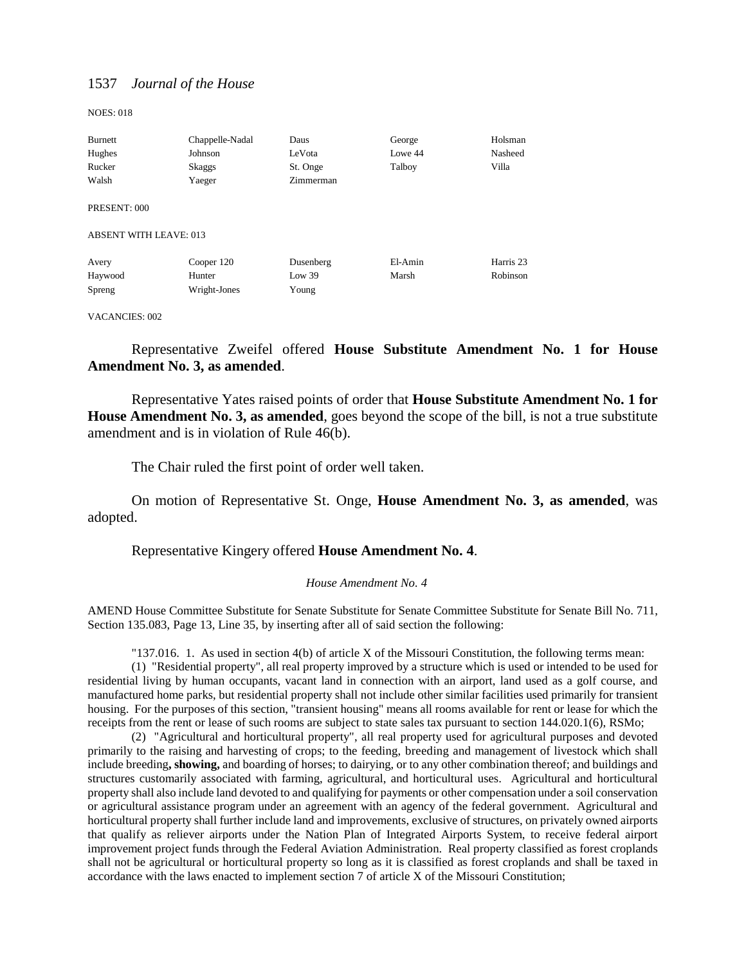NOES: 018

| Burnett                       | Chappelle-Nadal | Daus      | George  | Holsman   |
|-------------------------------|-----------------|-----------|---------|-----------|
| Hughes                        | Johnson         | LeVota    | Lowe 44 | Nasheed   |
| Rucker                        | Skaggs          | St. Onge  | Talboy  | Villa     |
| Walsh                         | Yaeger          | Zimmerman |         |           |
| PRESENT: 000                  |                 |           |         |           |
| <b>ABSENT WITH LEAVE: 013</b> |                 |           |         |           |
| Avery                         | Cooper 120      | Dusenberg | El-Amin | Harris 23 |
| Haywood                       | Hunter          | Low 39    | Marsh   | Robinson  |
| Spreng                        | Wright-Jones    | Young     |         |           |

#### VACANCIES: 002

Representative Zweifel offered **House Substitute Amendment No. 1 for House Amendment No. 3, as amended**.

Representative Yates raised points of order that **House Substitute Amendment No. 1 for House Amendment No. 3, as amended**, goes beyond the scope of the bill, is not a true substitute amendment and is in violation of Rule 46(b).

The Chair ruled the first point of order well taken.

On motion of Representative St. Onge, **House Amendment No. 3, as amended**, was adopted.

## Representative Kingery offered **House Amendment No. 4**.

#### *House Amendment No. 4*

AMEND House Committee Substitute for Senate Substitute for Senate Committee Substitute for Senate Bill No. 711, Section 135.083, Page 13, Line 35, by inserting after all of said section the following:

"137.016. 1. As used in section 4(b) of article X of the Missouri Constitution, the following terms mean:

(1) "Residential property", all real property improved by a structure which is used or intended to be used for residential living by human occupants, vacant land in connection with an airport, land used as a golf course, and manufactured home parks, but residential property shall not include other similar facilities used primarily for transient housing. For the purposes of this section, "transient housing" means all rooms available for rent or lease for which the receipts from the rent or lease of such rooms are subject to state sales tax pursuant to section 144.020.1(6), RSMo;

(2) "Agricultural and horticultural property", all real property used for agricultural purposes and devoted primarily to the raising and harvesting of crops; to the feeding, breeding and management of livestock which shall include breeding**, showing,** and boarding of horses; to dairying, or to any other combination thereof; and buildings and structures customarily associated with farming, agricultural, and horticultural uses. Agricultural and horticultural property shall also include land devoted to and qualifying for payments or other compensation under a soil conservation or agricultural assistance program under an agreement with an agency of the federal government. Agricultural and horticultural property shall further include land and improvements, exclusive of structures, on privately owned airports that qualify as reliever airports under the Nation Plan of Integrated Airports System, to receive federal airport improvement project funds through the Federal Aviation Administration. Real property classified as forest croplands shall not be agricultural or horticultural property so long as it is classified as forest croplands and shall be taxed in accordance with the laws enacted to implement section 7 of article X of the Missouri Constitution;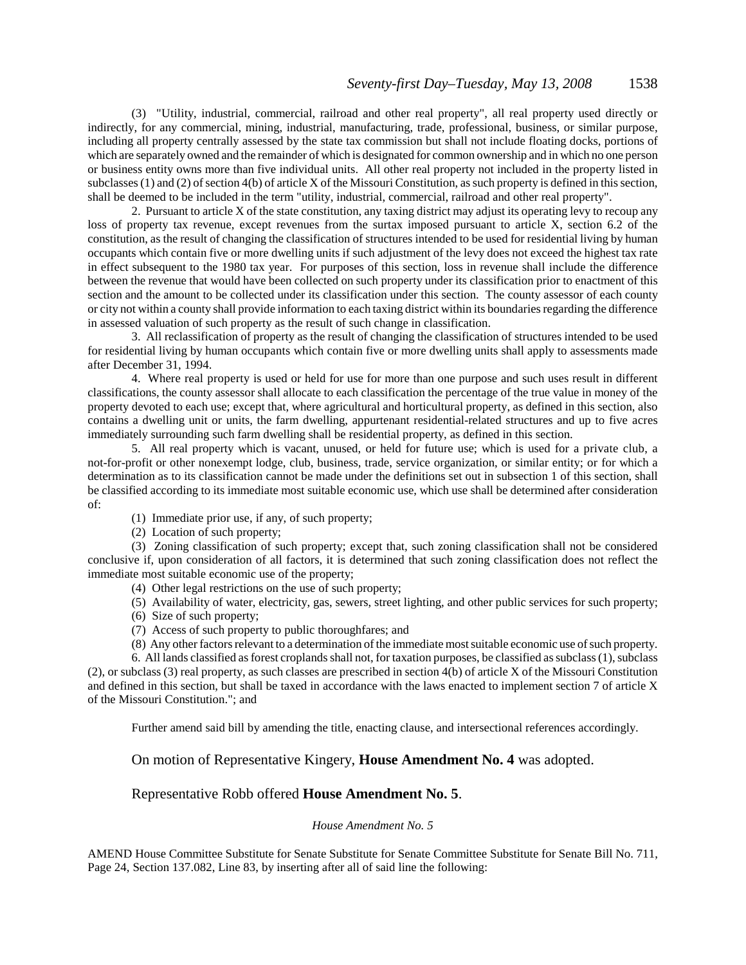(3) "Utility, industrial, commercial, railroad and other real property", all real property used directly or indirectly, for any commercial, mining, industrial, manufacturing, trade, professional, business, or similar purpose, including all property centrally assessed by the state tax commission but shall not include floating docks, portions of which are separately owned and the remainder of which is designated for common ownership and in which no one person or business entity owns more than five individual units. All other real property not included in the property listed in subclasses (1) and (2) of section 4(b) of article X of the Missouri Constitution, as such property is defined in this section, shall be deemed to be included in the term "utility, industrial, commercial, railroad and other real property".

2. Pursuant to article X of the state constitution, any taxing district may adjust its operating levy to recoup any loss of property tax revenue, except revenues from the surtax imposed pursuant to article X, section 6.2 of the constitution, as the result of changing the classification of structures intended to be used for residential living by human occupants which contain five or more dwelling units if such adjustment of the levy does not exceed the highest tax rate in effect subsequent to the 1980 tax year. For purposes of this section, loss in revenue shall include the difference between the revenue that would have been collected on such property under its classification prior to enactment of this section and the amount to be collected under its classification under this section. The county assessor of each county or city not within a county shall provide information to each taxing district within its boundaries regarding the difference in assessed valuation of such property as the result of such change in classification.

3. All reclassification of property as the result of changing the classification of structures intended to be used for residential living by human occupants which contain five or more dwelling units shall apply to assessments made after December 31, 1994.

4. Where real property is used or held for use for more than one purpose and such uses result in different classifications, the county assessor shall allocate to each classification the percentage of the true value in money of the property devoted to each use; except that, where agricultural and horticultural property, as defined in this section, also contains a dwelling unit or units, the farm dwelling, appurtenant residential-related structures and up to five acres immediately surrounding such farm dwelling shall be residential property, as defined in this section.

5. All real property which is vacant, unused, or held for future use; which is used for a private club, a not-for-profit or other nonexempt lodge, club, business, trade, service organization, or similar entity; or for which a determination as to its classification cannot be made under the definitions set out in subsection 1 of this section, shall be classified according to its immediate most suitable economic use, which use shall be determined after consideration of:

(1) Immediate prior use, if any, of such property;

(2) Location of such property;

(3) Zoning classification of such property; except that, such zoning classification shall not be considered conclusive if, upon consideration of all factors, it is determined that such zoning classification does not reflect the immediate most suitable economic use of the property;

(4) Other legal restrictions on the use of such property;

(5) Availability of water, electricity, gas, sewers, street lighting, and other public services for such property;

(6) Size of such property;

(7) Access of such property to public thoroughfares; and

(8) Any other factors relevant to a determination of the immediate most suitable economic use of such property.

6. All lands classified as forest croplands shall not, for taxation purposes, be classified as subclass (1), subclass (2), or subclass (3) real property, as such classes are prescribed in section 4(b) of article X of the Missouri Constitution and defined in this section, but shall be taxed in accordance with the laws enacted to implement section 7 of article X of the Missouri Constitution."; and

Further amend said bill by amending the title, enacting clause, and intersectional references accordingly.

On motion of Representative Kingery, **House Amendment No. 4** was adopted.

## Representative Robb offered **House Amendment No. 5**.

### *House Amendment No. 5*

AMEND House Committee Substitute for Senate Substitute for Senate Committee Substitute for Senate Bill No. 711, Page 24, Section 137.082, Line 83, by inserting after all of said line the following: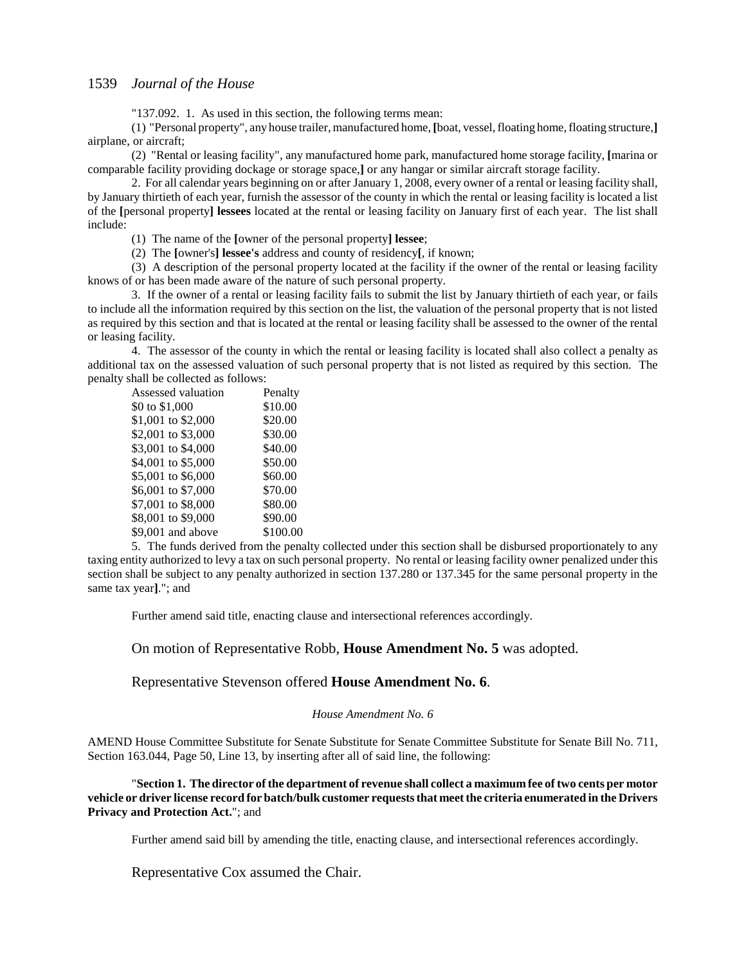"137.092. 1. As used in this section, the following terms mean:

(1) "Personal property", any house trailer, manufactured home, **[**boat, vessel, floating home, floating structure,**]** airplane, or aircraft;

(2) "Rental or leasing facility", any manufactured home park, manufactured home storage facility, **[**marina or comparable facility providing dockage or storage space,**]** or any hangar or similar aircraft storage facility.

2. For all calendar years beginning on or after January 1, 2008, every owner of a rental or leasing facility shall, by January thirtieth of each year, furnish the assessor of the county in which the rental or leasing facility is located a list of the **[**personal property**] lessees** located at the rental or leasing facility on January first of each year. The list shall include:

(1) The name of the **[**owner of the personal property**] lessee**;

(2) The **[**owner's**] lessee's** address and county of residency**[**, if known;

(3) A description of the personal property located at the facility if the owner of the rental or leasing facility knows of or has been made aware of the nature of such personal property.

3. If the owner of a rental or leasing facility fails to submit the list by January thirtieth of each year, or fails to include all the information required by this section on the list, the valuation of the personal property that is not listed as required by this section and that is located at the rental or leasing facility shall be assessed to the owner of the rental or leasing facility.

4. The assessor of the county in which the rental or leasing facility is located shall also collect a penalty as additional tax on the assessed valuation of such personal property that is not listed as required by this section. The penalty shall be collected as follows:

| Assessed valuation | Penalty  |
|--------------------|----------|
| \$0 to \$1,000     | \$10.00  |
| \$1,001 to \$2,000 | \$20.00  |
| \$2,001 to \$3,000 | \$30.00  |
| \$3,001 to \$4,000 | \$40.00  |
| \$4,001 to \$5,000 | \$50.00  |
| \$5,001 to \$6,000 | \$60.00  |
| \$6,001 to \$7,000 | \$70.00  |
| \$7,001 to \$8,000 | \$80.00  |
| \$8,001 to \$9,000 | \$90.00  |
| \$9,001 and above  | \$100.00 |
|                    |          |

5. The funds derived from the penalty collected under this section shall be disbursed proportionately to any taxing entity authorized to levy a tax on such personal property. No rental or leasing facility owner penalized under this section shall be subject to any penalty authorized in section 137.280 or 137.345 for the same personal property in the same tax year**]**."; and

Further amend said title, enacting clause and intersectional references accordingly.

On motion of Representative Robb, **House Amendment No. 5** was adopted.

### Representative Stevenson offered **House Amendment No. 6**.

#### *House Amendment No. 6*

AMEND House Committee Substitute for Senate Substitute for Senate Committee Substitute for Senate Bill No. 711, Section 163.044, Page 50, Line 13, by inserting after all of said line, the following:

"**Section 1. The director of the department of revenue shall collect a maximum fee of two cents per motor vehicle or driver license record for batch/bulk customer requests that meet the criteria enumerated in the Drivers Privacy and Protection Act.**"; and

Further amend said bill by amending the title, enacting clause, and intersectional references accordingly.

Representative Cox assumed the Chair.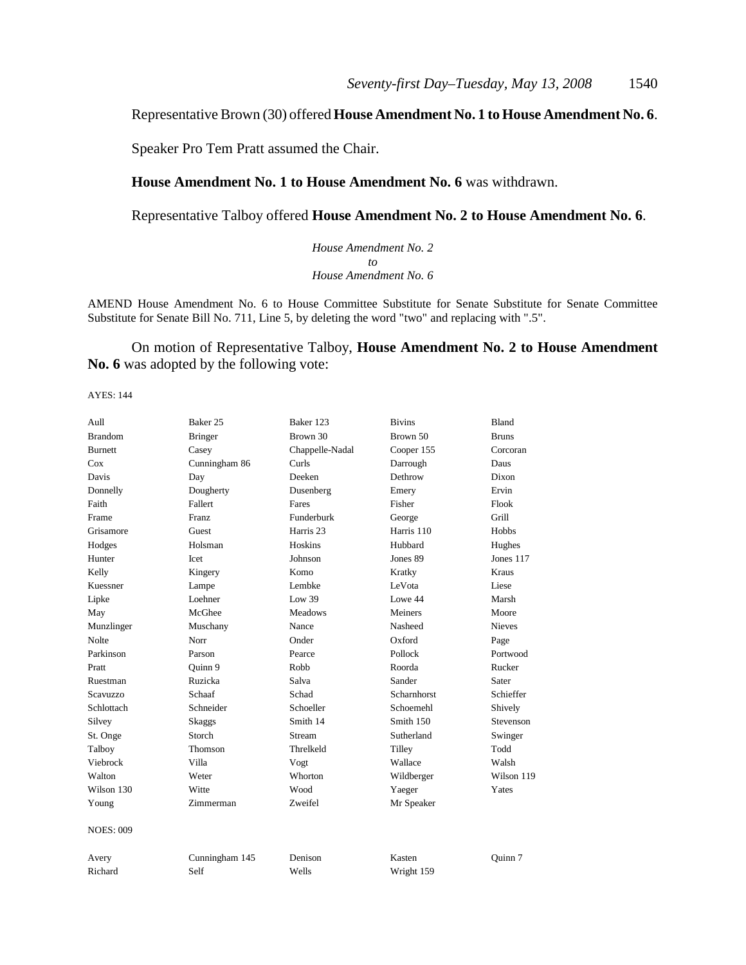## Representative Brown (30) offered **House Amendment No. 1 to House Amendment No. 6**.

Speaker Pro Tem Pratt assumed the Chair.

## **House Amendment No. 1 to House Amendment No. 6** was withdrawn.

Representative Talboy offered **House Amendment No. 2 to House Amendment No. 6**.

*House Amendment No. 2 to House Amendment No. 6*

AMEND House Amendment No. 6 to House Committee Substitute for Senate Substitute for Senate Committee Substitute for Senate Bill No. 711, Line 5, by deleting the word "two" and replacing with ".5".

On motion of Representative Talboy, **House Amendment No. 2 to House Amendment No. 6** was adopted by the following vote:

| Aull             | Baker 25       | Baker 123            | <b>Bivins</b> | <b>Bland</b>  |
|------------------|----------------|----------------------|---------------|---------------|
| <b>Brandom</b>   | <b>Bringer</b> | Brown 30             | Brown 50      | <b>Bruns</b>  |
| <b>Burnett</b>   | Casey          | Chappelle-Nadal      | Cooper 155    | Corcoran      |
| Cox              | Cunningham 86  | Curls                | Darrough      | Daus          |
| Davis            | Day            | Deeken               | Dethrow       | Dixon         |
| Donnelly         | Dougherty      | Dusenberg            | Emery         | Ervin         |
| Faith            | Fallert        | Fares                | Fisher        | Flook         |
| Frame            | <b>Franz</b>   | Funderburk           | George        | Grill         |
| Grisamore        | Guest          | Harris <sub>23</sub> | Harris 110    | <b>Hobbs</b>  |
| Hodges           | Holsman        | Hoskins              | Hubbard       | Hughes        |
| Hunter           | Icet           | Johnson              | Jones 89      | Jones 117     |
| Kelly            | Kingery        | Komo                 | Kratky        | Kraus         |
| Kuessner         | Lampe          | Lembke               | LeVota        | Liese         |
| Lipke            | Loehner        | Low 39               | Lowe 44       | Marsh         |
| May              | McGhee         | <b>Meadows</b>       | Meiners       | Moore         |
| Munzlinger       | Muschany       | Nance                | Nasheed       | <b>Nieves</b> |
| Nolte            | Norr           | Onder                | Oxford        | Page          |
| Parkinson        | Parson         | Pearce               | Pollock       | Portwood      |
| Pratt            | Quinn 9        | Robb                 | Roorda        | Rucker        |
| Ruestman         | Ruzicka        | Salva                | Sander        | Sater         |
| <b>Scavuzzo</b>  | Schaaf         | Schad                | Scharnhorst   | Schieffer     |
| Schlottach       | Schneider      | Schoeller            | Schoemehl     | Shively       |
| Silvey           | Skaggs         | Smith 14             | Smith 150     | Stevenson     |
| St. Onge         | Storch         | Stream               | Sutherland    | Swinger       |
| Talboy           | Thomson        | Threlkeld            | Tilley        | Todd          |
| Viebrock         | Villa          | Vogt                 | Wallace       | Walsh         |
| Walton           | Weter          | Whorton              | Wildberger    | Wilson 119    |
| Wilson 130       | Witte          | Wood                 | Yaeger        | Yates         |
| Young            | Zimmerman      | Zweifel              | Mr Speaker    |               |
| <b>NOES: 009</b> |                |                      |               |               |
| Avery            | Cunningham 145 | Denison              | Kasten        | Ouinn 7       |
| Richard          | Self           | Wells                | Wright 159    |               |
|                  |                |                      |               |               |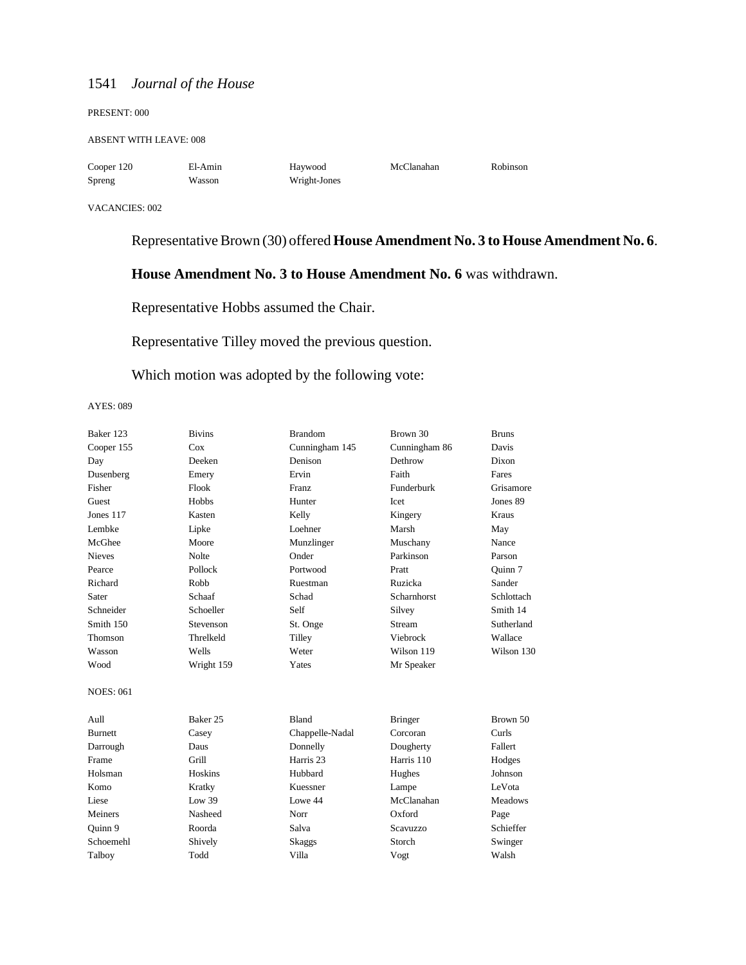#### PRESENT: 000

#### ABSENT WITH LEAVE: 008

Spreng Wasson Wright-Jones

Cooper 120 El-Amin Haywood McClanahan Robinson

#### VACANCIES: 002

## Representative Brown (30) offered **House Amendment No. 3 to House Amendment No. 6**.

## **House Amendment No. 3 to House Amendment No. 6** was withdrawn.

Representative Hobbs assumed the Chair.

## Representative Tilley moved the previous question.

## Which motion was adopted by the following vote:

| Baker 123        | <b>Bivins</b> | <b>Brandom</b>  | Brown 30        | <b>Bruns</b>   |
|------------------|---------------|-----------------|-----------------|----------------|
| Cooper 155       | Cox           | Cunningham 145  | Cunningham 86   | Davis          |
| Day              | Deeken        | Denison         | Dethrow         | Dixon          |
| Dusenberg        | Emery         | Ervin           | Faith           | Fares          |
| Fisher           | Flook         | Franz           | Funderburk      | Grisamore      |
| Guest            | Hobbs         | Hunter          | Icet            | Jones 89       |
| Jones 117        | Kasten        | Kelly           | Kingery         | Kraus          |
| Lembke           | Lipke         | Loehner         | Marsh           | May            |
| McGhee           | Moore         | Munzlinger      | Muschany        | Nance          |
| <b>Nieves</b>    | Nolte         | Onder           | Parkinson       | Parson         |
| Pearce           | Pollock       | Portwood        | Pratt           | Ouinn 7        |
| Richard          | Robb          | Ruestman        | Ruzicka         | Sander         |
| Sater            | Schaaf        | Schad           | Scharnhorst     | Schlottach     |
| Schneider        | Schoeller     | Self            | Silvey          | Smith 14       |
| Smith 150        | Stevenson     | St. Onge        | Stream          | Sutherland     |
| Thomson          | Threlkeld     | Tilley          | Viebrock        | Wallace        |
| Wasson           | Wells         | Weter           | Wilson 119      | Wilson 130     |
| Wood             | Wright 159    | Yates           | Mr Speaker      |                |
| <b>NOES: 061</b> |               |                 |                 |                |
| Aull             | Baker 25      | <b>Bland</b>    | <b>Bringer</b>  | Brown 50       |
| <b>Burnett</b>   | Casey         | Chappelle-Nadal | Corcoran        | Curls          |
| Darrough         | Daus          | Donnelly        | Dougherty       | Fallert        |
| Frame            | Grill         | Harris 23       | Harris 110      | Hodges         |
| Holsman          | Hoskins       | Hubbard         | Hughes          | Johnson        |
| Komo             | Kratky        | Kuessner        | Lampe           | LeVota         |
| Liese            | Low 39        | Lowe 44         | McClanahan      | <b>Meadows</b> |
| Meiners          | Nasheed       | Norr            | Oxford          | Page           |
| Quinn 9          | Roorda        | Salva           | <b>Scavuzzo</b> | Schieffer      |
| Schoemehl        | Shively       | Skaggs          | Storch          | Swinger        |
| Talboy           | Todd          | Villa           | Vogt            | Walsh          |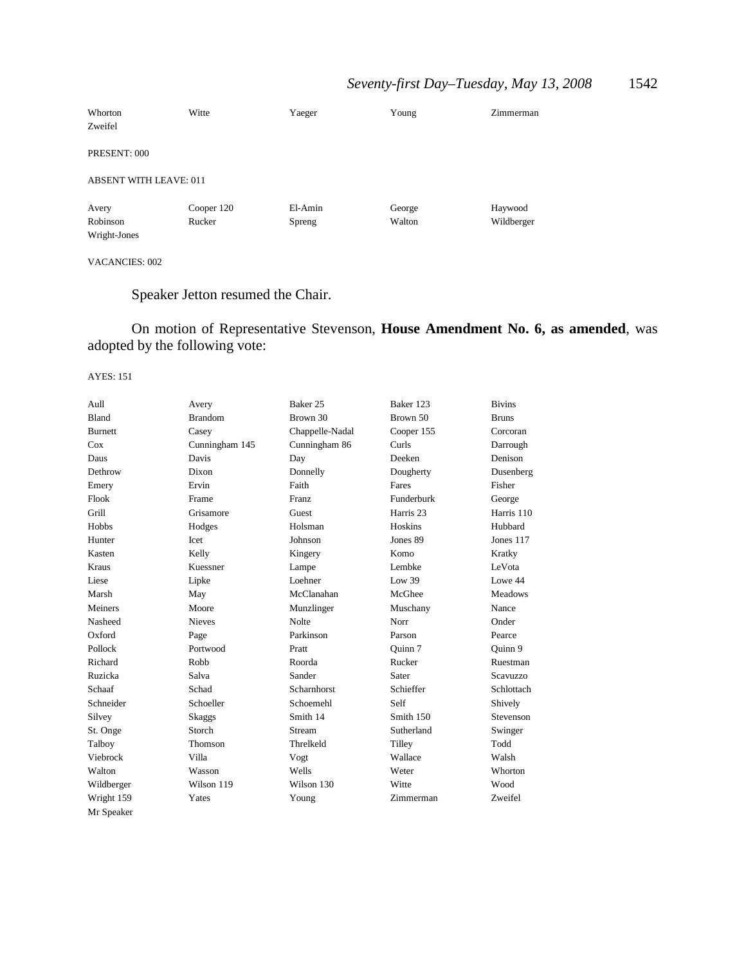## *Seventy-first Day–Tuesday, May 13, 2008* 1542

| Whorton                       | Witte      | Yaeger  | Young  | Zimmerman  |  |
|-------------------------------|------------|---------|--------|------------|--|
| Zweifel                       |            |         |        |            |  |
| PRESENT: 000                  |            |         |        |            |  |
| <b>ABSENT WITH LEAVE: 011</b> |            |         |        |            |  |
| Avery                         | Cooper 120 | El-Amin | George | Haywood    |  |
| Robinson                      | Rucker     | Spreng  | Walton | Wildberger |  |
| Wright-Jones                  |            |         |        |            |  |

## VACANCIES: 002

Speaker Jetton resumed the Chair.

On motion of Representative Stevenson, **House Amendment No. 6, as amended**, was adopted by the following vote:

| Aull           | Avery          | Baker 25           | Baker 123            | <b>Bivins</b>  |
|----------------|----------------|--------------------|----------------------|----------------|
| <b>Bland</b>   | <b>Brandom</b> | Brown 30           | Brown 50             | <b>Bruns</b>   |
| <b>Burnett</b> | Casey          | Chappelle-Nadal    | Cooper 155           | Corcoran       |
| Cox            | Cunningham 145 | Cunningham 86      | Curls                | Darrough       |
| Daus           | Davis          | Day                | Deeken               | Denison        |
| Dethrow        | Dixon          | Donnelly           | Dougherty            | Dusenberg      |
| Emery          | Ervin          | Faith              | Fares                | Fisher         |
| Flook          | Frame          | Franz              | Funderburk           | George         |
| Grill          | Grisamore      | Guest              | Harris <sub>23</sub> | Harris 110     |
| <b>Hobbs</b>   | Hodges         | Holsman            | Hoskins              | Hubbard        |
| Hunter         | Icet           | Johnson            | Jones 89             | Jones 117      |
| Kasten         | Kelly          | Kingery            | Komo                 | Kratky         |
| Kraus          | Kuessner       | Lampe              | Lembke               | LeVota         |
| Liese          | Lipke          | Loehner            | Low 39               | Lowe 44        |
| Marsh          | May            | McClanahan         | McGhee               | <b>Meadows</b> |
| Meiners        | Moore          | Munzlinger         | Muschany             | Nance          |
| Nasheed        | <b>Nieves</b>  | <b>Nolte</b>       | Norr                 | Onder          |
| Oxford         | Page           | Parkinson          | Parson               | Pearce         |
| Pollock        | Portwood       | Pratt              | Quinn 7              | Ouinn 9        |
| Richard        | Robb           | Roorda             | Rucker               | Ruestman       |
| Ruzicka        | Salva          | Sander             | Sater                | Scavuzzo       |
| Schaaf         | Schad          | <b>Scharnhorst</b> | Schieffer            | Schlottach     |
| Schneider      | Schoeller      | Schoemehl          | Self                 | Shively        |
| Silvey         | Skaggs         | Smith 14           | Smith 150            | Stevenson      |
| St. Onge       | Storch         | Stream             | Sutherland           | Swinger        |
| Talboy         | Thomson        | Threlkeld          | Tilley               | Todd           |
| Viebrock       | Villa          | Vogt               | Wallace              | Walsh          |
| Walton         | Wasson         | Wells              | Weter                | Whorton        |
| Wildberger     | Wilson 119     | Wilson 130         | Witte                | Wood           |
| Wright 159     | Yates          | Young              | Zimmerman            | Zweifel        |
| Mr Speaker     |                |                    |                      |                |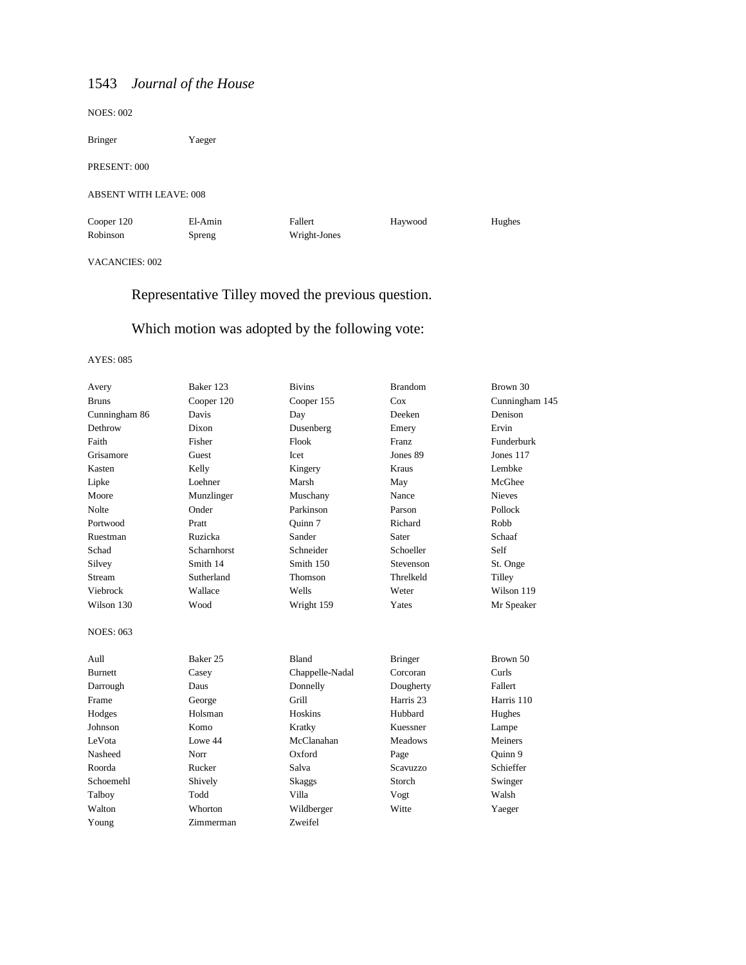NOES: 002

| <b>Bringer</b>                | Yaeger            |                         |         |        |
|-------------------------------|-------------------|-------------------------|---------|--------|
| PRESENT: 000                  |                   |                         |         |        |
| <b>ABSENT WITH LEAVE: 008</b> |                   |                         |         |        |
| Cooper 120<br>Robinson        | El-Amin<br>Spreng | Fallert<br>Wright-Jones | Haywood | Hughes |

VACANCIES: 002

## Representative Tilley moved the previous question.

## Which motion was adopted by the following vote:

| Avery            | Baker 123           | <b>Bivins</b>   | <b>Brandom</b>       | Brown 30       |
|------------------|---------------------|-----------------|----------------------|----------------|
| <b>Bruns</b>     | Cooper 120          | Cooper 155      | Cox                  | Cunningham 145 |
| Cunningham 86    | Davis               | Day             | Deeken               | Denison        |
| Dethrow          | Dixon               | Dusenberg       | Emery                | Ervin          |
| Faith            | Fisher              | Flook           | Franz                | Funderburk     |
| Grisamore        | Guest               | Icet            | Jones 89             | Jones 117      |
| Kasten           | Kelly               | Kingery         | Kraus                | Lembke         |
| Lipke            | Loehner             | Marsh           | May                  | McGhee         |
| Moore            | Munzlinger          | Muschany        | Nance                | <b>Nieves</b>  |
| Nolte            | Onder               | Parkinson       | Parson               | Pollock        |
| Portwood         | Pratt               | Ouinn 7         | Richard              | Robb           |
| Ruestman         | Ruzicka             | Sander          | Sater                | Schaaf         |
| Schad            | Scharnhorst         | Schneider       | Schoeller            | Self           |
| Silvey           | Smith 14            | Smith 150       | Stevenson            | St. Onge       |
| Stream           | Sutherland          | Thomson         | Threlkeld            | Tilley         |
| Viebrock         | Wallace             | Wells           | Weter                | Wilson 119     |
| Wilson 130       | Wood                | Wright 159      | Yates                | Mr Speaker     |
| <b>NOES: 063</b> |                     |                 |                      |                |
| Aull             | Baker <sub>25</sub> | <b>Bland</b>    | <b>Bringer</b>       | Brown 50       |
| <b>Burnett</b>   | Casey               | Chappelle-Nadal | Corcoran             | Curls          |
| Darrough         | Daus                | Donnelly        | Dougherty            | Fallert        |
| Frame            | George              | Grill           | Harris <sub>23</sub> | Harris 110     |
| Hodges           | Holsman             | Hoskins         | Hubbard              | Hughes         |
| Johnson          | Komo                | Kratky          | Kuessner             | Lampe          |
| LeVota           | Lowe 44             | McClanahan      | Meadows              | Meiners        |
| Nasheed          | Norr                | Oxford          | Page                 | Ouinn 9        |
| Roorda           | Rucker              | Salva           | Scavuzzo             | Schieffer      |
| Schoemehl        | Shively             | Skaggs          | Storch               | Swinger        |
| Talboy           | Todd                | Villa           | Vogt                 | Walsh          |
| Walton           | Whorton             | Wildberger      | Witte                | Yaeger         |
| Young            | Zimmerman           | Zweifel         |                      |                |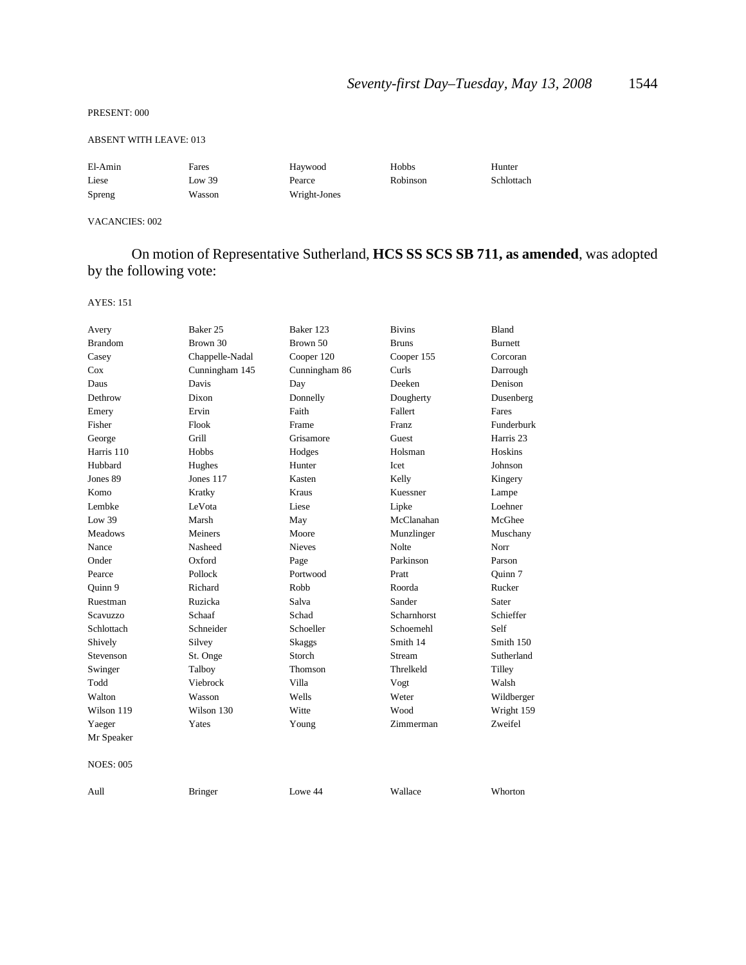#### PRESENT: 000

### ABSENT WITH LEAVE: 013

| El-Amin | Fares  | Haywood      | Hobbs           | Hunter     |
|---------|--------|--------------|-----------------|------------|
| Liese   | Low 39 | Pearce       | <b>Robinson</b> | Schlottach |
| Spreng  | Wasson | Wright-Jones |                 |            |

## VACANCIES: 002

## On motion of Representative Sutherland, **HCS SS SCS SB 711, as amended**, was adopted by the following vote:

| Avery            | Baker 25        | Baker 123     | <b>Bivins</b> | Bland          |
|------------------|-----------------|---------------|---------------|----------------|
| <b>Brandom</b>   | Brown 30        | Brown 50      | <b>Bruns</b>  | <b>Burnett</b> |
| Casey            | Chappelle-Nadal | Cooper 120    | Cooper 155    | Corcoran       |
| Cox              | Cunningham 145  | Cunningham 86 | Curls         | Darrough       |
| Daus             | Davis           | Day           | Deeken        | Denison        |
| Dethrow          | Dixon           | Donnelly      | Dougherty     | Dusenberg      |
| Emery            | Ervin           | Faith         | Fallert       | Fares          |
| Fisher           | Flook           | Frame         | <b>Franz</b>  | Funderburk     |
| George           | Grill           | Grisamore     | Guest         | Harris 23      |
| Harris 110       | Hobbs           | Hodges        | Holsman       | Hoskins        |
| Hubbard          | Hughes          | Hunter        | Icet          | Johnson        |
| Jones 89         | Jones 117       | Kasten        | Kelly         | Kingery        |
| Komo             | Kratky          | Kraus         | Kuessner      | Lampe          |
| Lembke           | LeVota          | Liese         | Lipke         | Loehner        |
| Low 39           | Marsh           | May           | McClanahan    | McGhee         |
| <b>Meadows</b>   | Meiners         | Moore         | Munzlinger    | Muschany       |
| Nance            | Nasheed         | <b>Nieves</b> | Nolte         | Norr           |
| Onder            | Oxford          | Page          | Parkinson     | Parson         |
| Pearce           | Pollock         | Portwood      | Pratt         | Quinn 7        |
| Ouinn 9          | Richard         | Robb          | Roorda        | Rucker         |
| Ruestman         | Ruzicka         | Salva         | Sander        | Sater          |
| Scavuzzo         | Schaaf          | Schad         | Scharnhorst   | Schieffer      |
| Schlottach       | Schneider       | Schoeller     | Schoemehl     | Self           |
| Shively          | Silvey          | <b>Skaggs</b> | Smith 14      | Smith 150      |
| Stevenson        | St. Onge        | Storch        | Stream        | Sutherland     |
| Swinger          | Talboy          | Thomson       | Threlkeld     | Tilley         |
| Todd             | Viebrock        | Villa         | Vogt          | Walsh          |
| Walton           | Wasson          | Wells         | Weter         | Wildberger     |
| Wilson 119       | Wilson 130      | Witte         | Wood          | Wright 159     |
| Yaeger           | Yates           | Young         | Zimmerman     | Zweifel        |
| Mr Speaker       |                 |               |               |                |
| <b>NOES: 005</b> |                 |               |               |                |
| Aull             | <b>Bringer</b>  | Lowe 44       | Wallace       | Whorton        |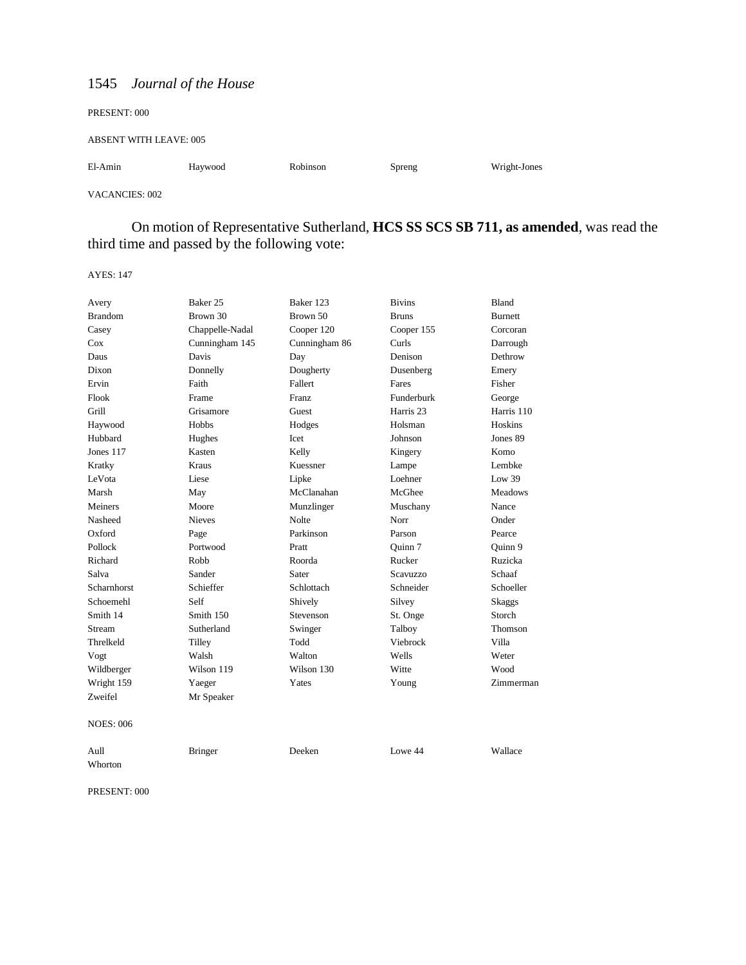| PRESENT: 000           |         |          |        |              |
|------------------------|---------|----------|--------|--------------|
| ABSENT WITH LEAVE: 005 |         |          |        |              |
| El-Amin                | Haywood | Robinson | Spreng | Wright-Jones |

VACANCIES: 002

On motion of Representative Sutherland, **HCS SS SCS SB 711, as amended**, was read the third time and passed by the following vote:

AYES: 147

| Avery            | Baker 25        | Baker 123     | <b>Bivins</b>        | <b>Bland</b>   |
|------------------|-----------------|---------------|----------------------|----------------|
| <b>Brandom</b>   | Brown 30        | Brown 50      | <b>Bruns</b>         | Burnett        |
| Casey            | Chappelle-Nadal | Cooper 120    | Cooper 155           | Corcoran       |
| Cox              | Cunningham 145  | Cunningham 86 | Curls                | Darrough       |
| Daus             | Davis           | Day           | Denison              | Dethrow        |
| Dixon            | Donnelly        | Dougherty     | Dusenberg            | Emery          |
| Ervin            | Faith           | Fallert       | Fares                | Fisher         |
| Flook            | Frame           | Franz         | Funderburk           | George         |
| Grill            | Grisamore       | Guest         | Harris <sub>23</sub> | Harris 110     |
| Haywood          | Hobbs           | Hodges        | Holsman              | Hoskins        |
| Hubbard          | Hughes          | Icet          | Johnson              | Jones 89       |
| Jones 117        | Kasten          | Kelly         | Kingery              | Komo           |
| Kratky           | Kraus           | Kuessner      | Lampe                | Lembke         |
| LeVota           | Liese           | Lipke         | Loehner              | Low $39$       |
| Marsh            | May             | McClanahan    | McGhee               | <b>Meadows</b> |
| Meiners          | Moore           | Munzlinger    | Muschany             | Nance          |
| Nasheed          | <b>Nieves</b>   | Nolte         | Norr                 | Onder          |
| Oxford           | Page            | Parkinson     | Parson               | Pearce         |
| Pollock          | Portwood        | Pratt         | Ouinn 7              | Ouinn 9        |
| Richard          | Robb            | Roorda        | Rucker               | Ruzicka        |
| Salva            | Sander          | Sater         | <b>Scavuzzo</b>      | Schaaf         |
| Scharnhorst      | Schieffer       | Schlottach    | Schneider            | Schoeller      |
| Schoemehl        | Self            | Shively       | Silvey               | <b>Skaggs</b>  |
| Smith 14         | Smith 150       | Stevenson     | St. Onge             | Storch         |
| Stream           | Sutherland      | Swinger       | Talboy               | Thomson        |
| Threlkeld        | Tilley          | Todd          | Viebrock             | Villa          |
| Vogt             | Walsh           | Walton        | Wells                | Weter          |
| Wildberger       | Wilson 119      | Wilson 130    | Witte                | Wood           |
| Wright 159       | Yaeger          | Yates         | Young                | Zimmerman      |
| Zweifel          | Mr Speaker      |               |                      |                |
| <b>NOES: 006</b> |                 |               |                      |                |
| Aull             | <b>Bringer</b>  | Deeken        | Lowe 44              | Wallace        |

Whorton

PRESENT: 000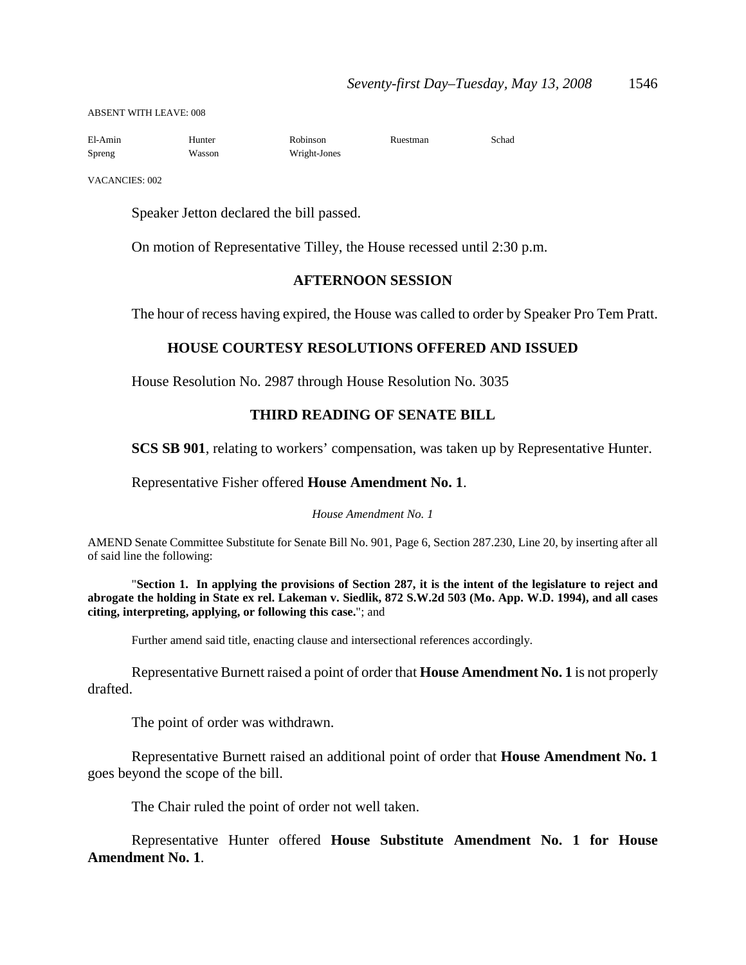ABSENT WITH LEAVE: 008

| El-Amin | Hunter | Robinson     | Ruestman | Schad |
|---------|--------|--------------|----------|-------|
| Spreng  | Wasson | Wright-Jones |          |       |

VACANCIES: 002

Speaker Jetton declared the bill passed.

On motion of Representative Tilley, the House recessed until 2:30 p.m.

## **AFTERNOON SESSION**

The hour of recess having expired, the House was called to order by Speaker Pro Tem Pratt.

## **HOUSE COURTESY RESOLUTIONS OFFERED AND ISSUED**

House Resolution No. 2987 through House Resolution No. 3035

## **THIRD READING OF SENATE BILL**

**SCS SB 901**, relating to workers' compensation, was taken up by Representative Hunter.

## Representative Fisher offered **House Amendment No. 1**.

#### *House Amendment No. 1*

AMEND Senate Committee Substitute for Senate Bill No. 901, Page 6, Section 287.230, Line 20, by inserting after all of said line the following:

"**Section 1. In applying the provisions of Section 287, it is the intent of the legislature to reject and abrogate the holding in State ex rel. Lakeman v. Siedlik, 872 S.W.2d 503 (Mo. App. W.D. 1994), and all cases citing, interpreting, applying, or following this case.**"; and

Further amend said title, enacting clause and intersectional references accordingly.

Representative Burnett raised a point of order that **House Amendment No. 1** is not properly drafted.

The point of order was withdrawn.

Representative Burnett raised an additional point of order that **House Amendment No. 1** goes beyond the scope of the bill.

The Chair ruled the point of order not well taken.

Representative Hunter offered **House Substitute Amendment No. 1 for House Amendment No. 1**.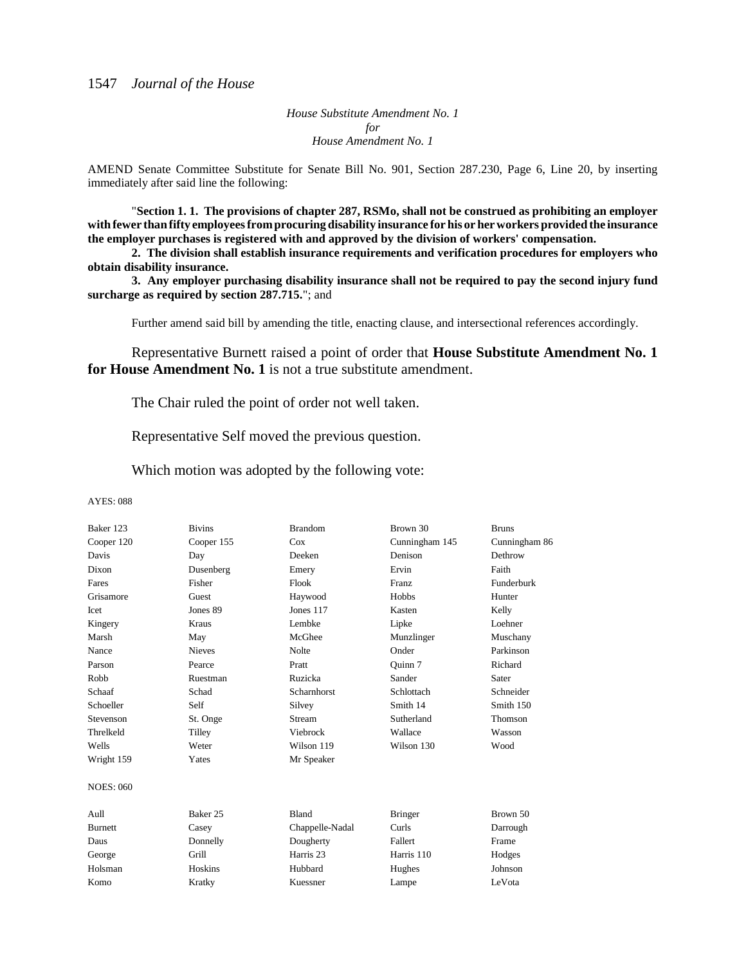*House Substitute Amendment No. 1 for House Amendment No. 1*

AMEND Senate Committee Substitute for Senate Bill No. 901, Section 287.230, Page 6, Line 20, by inserting immediately after said line the following:

"**Section 1. 1. The provisions of chapter 287, RSMo, shall not be construed as prohibiting an employer with fewer than fifty employees from procuring disability insurance for his or her workers provided the insurance the employer purchases is registered with and approved by the division of workers' compensation.**

**2. The division shall establish insurance requirements and verification procedures for employers who obtain disability insurance.**

**3. Any employer purchasing disability insurance shall not be required to pay the second injury fund surcharge as required by section 287.715.**"; and

Further amend said bill by amending the title, enacting clause, and intersectional references accordingly.

Representative Burnett raised a point of order that **House Substitute Amendment No. 1 for House Amendment No. 1** is not a true substitute amendment.

The Chair ruled the point of order not well taken.

Representative Self moved the previous question.

Which motion was adopted by the following vote:

| Baker 123        | <b>Bivins</b> | <b>Brandom</b>  | Brown 30       | <b>Bruns</b>  |
|------------------|---------------|-----------------|----------------|---------------|
| Cooper 120       | Cooper 155    | Cox             | Cunningham 145 | Cunningham 86 |
| Davis            | Day           | Deeken          | Denison        | Dethrow       |
| Dixon            | Dusenberg     | Emery           | Ervin          | Faith         |
| Fares            | Fisher        | Flook           | Franz          | Funderburk    |
| Grisamore        | Guest         | Haywood         | Hobbs          | Hunter        |
| Icet             | Jones 89      | Jones 117       | Kasten         | Kelly         |
| Kingery          | Kraus         | Lembke          | Lipke          | Loehner       |
| Marsh            | May           | McGhee          | Munzlinger     | Muschany      |
| Nance            | <b>Nieves</b> | Nolte           | Onder          | Parkinson     |
| Parson           | Pearce        | Pratt           | Ouinn 7        | Richard       |
| Robb             | Ruestman      | Ruzicka         | Sander         | Sater         |
| Schaaf           | Schad         | Scharnhorst     | Schlottach     | Schneider     |
| Schoeller        | Self          | Silvey          | Smith 14       | Smith 150     |
| Stevenson        | St. Onge      | Stream          | Sutherland     | Thomson       |
| Threlkeld        | Tilley        | Viebrock        | Wallace        | Wasson        |
| Wells            | Weter         | Wilson 119      | Wilson 130     | Wood          |
| Wright 159       | Yates         | Mr Speaker      |                |               |
| <b>NOES: 060</b> |               |                 |                |               |
| Aull             | Baker 25      | Bland           | <b>Bringer</b> | Brown 50      |
| <b>Burnett</b>   | Casey         | Chappelle-Nadal | Curls          | Darrough      |
| Daus             | Donnelly      | Dougherty       | Fallert        | Frame         |
| George           | Grill         | Harris 23       | Harris 110     | Hodges        |
| Holsman          | Hoskins       | Hubbard         | Hughes         | Johnson       |
| Komo             | Kratky        | Kuessner        | Lampe          | LeVota        |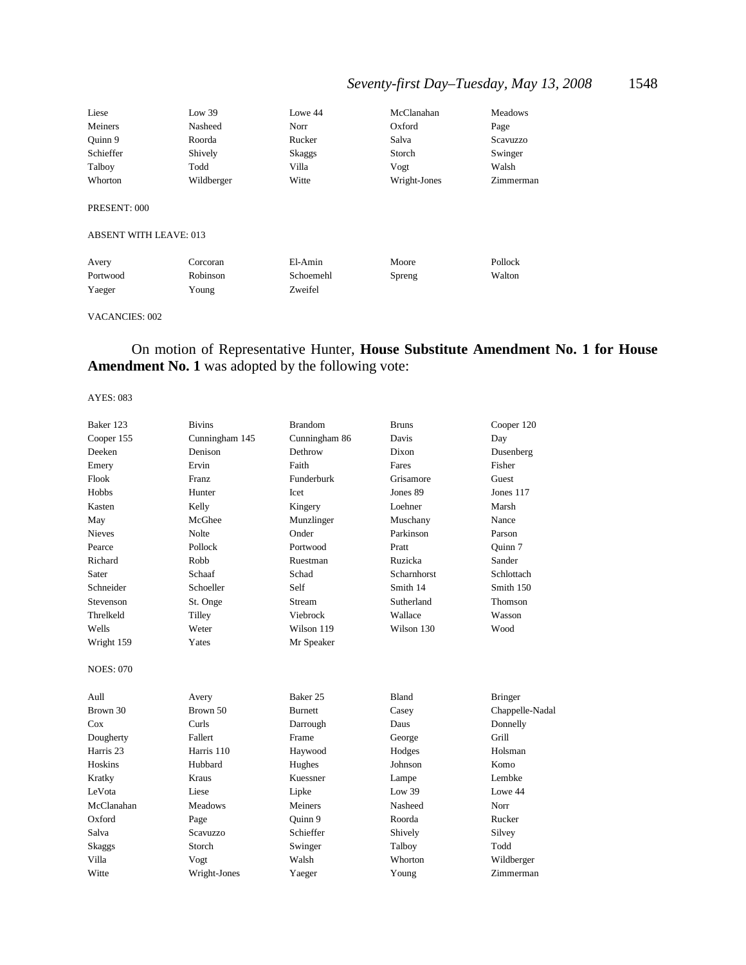## *Seventy-first Day–Tuesday, May 13, 2008* 1548

| Liese                         | Low 39     | Lowe 44   | McClanahan   | <b>Meadows</b> |
|-------------------------------|------------|-----------|--------------|----------------|
| Meiners                       | Nasheed    | Norr      | Oxford       | Page           |
| Ouinn 9                       | Roorda     | Rucker    | Salva        | Scavuzzo       |
| Schieffer                     | Shively    | Skaggs    | Storch       | Swinger        |
| Talboy                        | Todd       | Villa     | Vogt         | Walsh          |
| Whorton                       | Wildberger | Witte     | Wright-Jones | Zimmerman      |
| PRESENT: 000                  |            |           |              |                |
| <b>ABSENT WITH LEAVE: 013</b> |            |           |              |                |
| Avery                         | Corcoran   | El-Amin   | Moore        | Pollock        |
| Portwood                      | Robinson   | Schoemehl | Spreng       | Walton         |
| Yaeger                        | Young      | Zweifel   |              |                |

#### VACANCIES: 002

## On motion of Representative Hunter, **House Substitute Amendment No. 1 for House Amendment No. 1** was adopted by the following vote:

| Baker 123            | <b>Bivins</b>  | <b>Brandom</b> | <b>Bruns</b> | Cooper 120      |
|----------------------|----------------|----------------|--------------|-----------------|
| Cooper 155           | Cunningham 145 | Cunningham 86  | Davis        | Day             |
| Deeken               | Denison        | Dethrow        | Dixon        | Dusenberg       |
| Emery                | Ervin          | Faith          | Fares        | Fisher          |
| Flook                | Franz          | Funderburk     | Grisamore    | Guest           |
| Hobbs                | Hunter         | Icet           | Jones 89     | Jones 117       |
| Kasten               | Kelly          | Kingery        | Loehner      | Marsh           |
| May                  | McGhee         | Munzlinger     | Muschany     | Nance           |
| <b>Nieves</b>        | Nolte          | Onder          | Parkinson    | Parson          |
| Pearce               | Pollock        | Portwood       | Pratt        | Ouinn 7         |
| Richard              | Robb           | Ruestman       | Ruzicka      | Sander          |
| Sater                | Schaaf         | Schad          | Scharnhorst  | Schlottach      |
| Schneider            | Schoeller      | Self           | Smith 14     | Smith 150       |
| Stevenson            | St. Onge       | Stream         | Sutherland   | Thomson         |
| Threlkeld            | Tilley         | Viebrock       | Wallace      | Wasson          |
| Wells                | Weter          | Wilson 119     | Wilson 130   | Wood            |
| Wright 159           | Yates          | Mr Speaker     |              |                 |
| <b>NOES: 070</b>     |                |                |              |                 |
| Aull                 | Avery          | Baker 25       | Bland        | <b>Bringer</b>  |
| Brown 30             | Brown 50       | <b>Burnett</b> | Casey        | Chappelle-Nadal |
| Cox                  | Curls          | Darrough       | Daus         | Donnelly        |
| Dougherty            | Fallert        | Frame          | George       | Grill           |
| Harris <sub>23</sub> | Harris 110     | Haywood        | Hodges       | Holsman         |
| Hoskins              | Hubbard        | Hughes         | Johnson      | Komo            |
| Kratky               | Kraus          | Kuessner       | Lampe        | Lembke          |
| LeVota               | Liese          | Lipke          | Low 39       | Lowe 44         |
| McClanahan           | Meadows        | Meiners        | Nasheed      | Norr            |
| Oxford               | Page           | Ouinn 9        | Roorda       | Rucker          |
| Salva                | Scavuzzo       | Schieffer      | Shively      | Silvey          |
| Skaggs               | Storch         | Swinger        | Talboy       | Todd            |
| Villa                | Vogt           | Walsh          | Whorton      | Wildberger      |
| Witte                | Wright-Jones   | Yaeger         | Young        | Zimmerman       |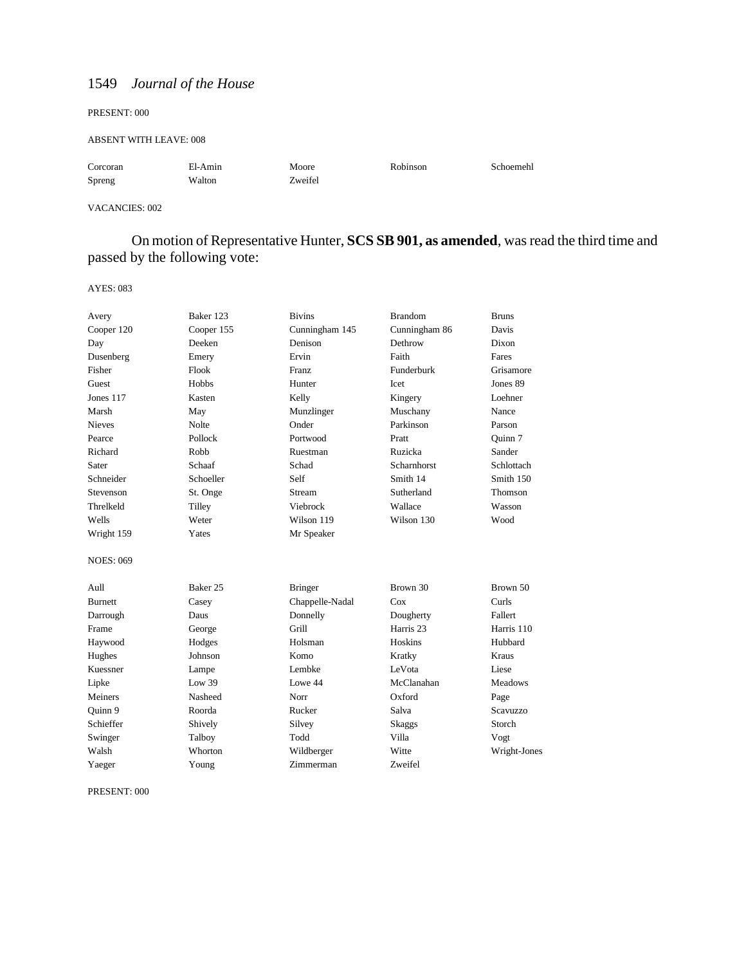#### PRESENT: 000

#### ABSENT WITH LEAVE: 008

| Corcoran | El-Amin | Moore   | Robinson | Schoemehl |
|----------|---------|---------|----------|-----------|
| Spreng   | Walton  | Zweifel |          |           |

#### VACANCIES: 002

On motion of Representative Hunter, **SCS SB 901, as amended**, was read the third time and passed by the following vote:

AYES: 083

| Avery            | Baker 123           | <b>Bivins</b>   | <b>Brandom</b>       | <b>Bruns</b>   |
|------------------|---------------------|-----------------|----------------------|----------------|
| Cooper 120       | Cooper 155          | Cunningham 145  | Cunningham 86        | Davis          |
| Day              | Deeken              | Denison         | Dethrow              | Dixon          |
| Dusenberg        | Emery               | Ervin           | Faith                | Fares          |
| Fisher           | Flook               | Franz           | Funderburk           | Grisamore      |
| Guest            | Hobbs               | Hunter          | Icet                 | Jones 89       |
| Jones 117        | Kasten              | Kelly           | Kingery              | Loehner        |
| Marsh            | May                 | Munzlinger      | Muschany             | Nance          |
| <b>Nieves</b>    | Nolte               | Onder           | Parkinson            | Parson         |
| Pearce           | Pollock             | Portwood        | Pratt                | Ouinn 7        |
| Richard          | Robb                | Ruestman        | Ruzicka              | Sander         |
| Sater            | Schaaf              | Schad           | Scharnhorst          | Schlottach     |
| Schneider        | Schoeller           | Self            | Smith 14             | Smith 150      |
| Stevenson        | St. Onge            | Stream          | Sutherland           | Thomson        |
| Threlkeld        | Tilley              | Viebrock        | Wallace              | Wasson         |
| Wells            | Weter               | Wilson 119      | Wilson 130           | Wood           |
| Wright 159       | Yates               | Mr Speaker      |                      |                |
| <b>NOES: 069</b> |                     |                 |                      |                |
| Aull             | Baker <sub>25</sub> | <b>Bringer</b>  | Brown 30             | Brown 50       |
| <b>Burnett</b>   | Casey               | Chappelle-Nadal | Cox                  | Curls          |
| Darrough         | Daus                | Donnelly        | Dougherty            | Fallert        |
| Frame            | George              | Grill           | Harris <sub>23</sub> | Harris 110     |
| Haywood          | Hodges              | Holsman         | Hoskins              | Hubbard        |
| Hughes           | Johnson             | Komo            | Kratky               | Kraus          |
| Kuessner         | Lampe               | Lembke          | LeVota               | Liese          |
| Lipke            | Low 39              | Lowe 44         | McClanahan           | <b>Meadows</b> |
| Meiners          | Nasheed             | Norr            | Oxford               | Page           |
| Ouinn 9          | Roorda              | Rucker          | Salva                | Scavuzzo       |
| Schieffer        | Shively             | Silvey          | <b>Skaggs</b>        | Storch         |
| Swinger          | Talboy              | Todd            | Villa                | Vogt           |
| Walsh            | Whorton             | Wildberger      | Witte                | Wright-Jones   |
| Yaeger           | Young               | Zimmerman       | Zweifel              |                |

PRESENT: 000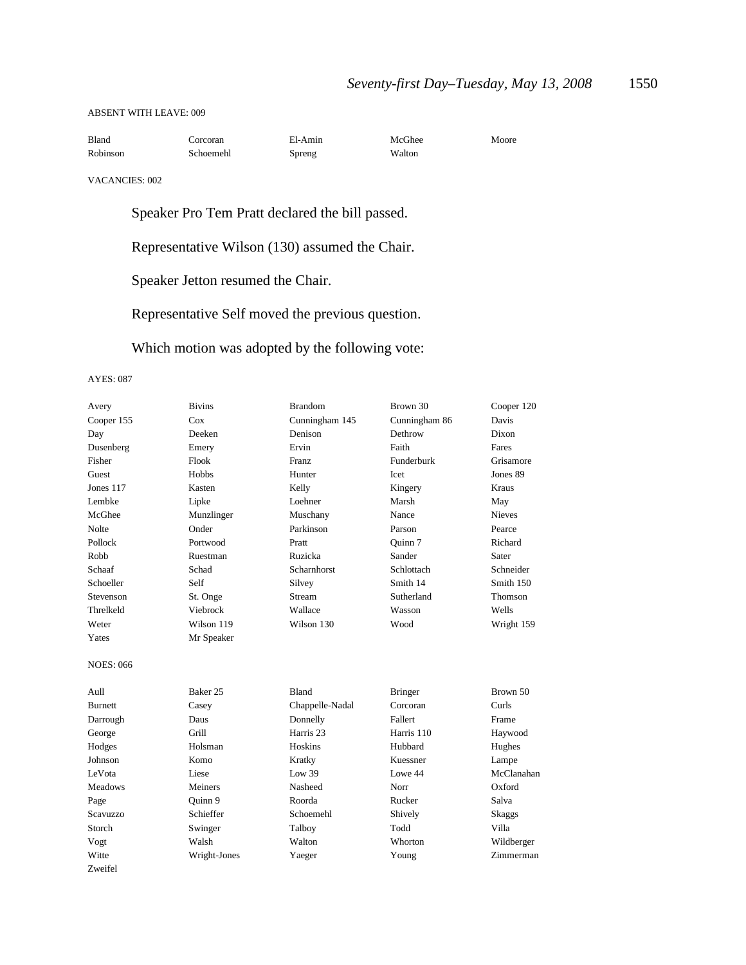### ABSENT WITH LEAVE: 009

| Bland    | Corcoran  | El-Amin | McGhee | Moore |
|----------|-----------|---------|--------|-------|
| Robinson | Schoemehl | Spreng  | Walton |       |

VACANCIES: 002

Speaker Pro Tem Pratt declared the bill passed.

Representative Wilson (130) assumed the Chair.

Speaker Jetton resumed the Chair.

Representative Self moved the previous question.

Which motion was adopted by the following vote:

| Avery            | <b>Bivins</b> | <b>Brandom</b>       | Brown 30       | Cooper 120    |
|------------------|---------------|----------------------|----------------|---------------|
| Cooper 155       | Cox           | Cunningham 145       | Cunningham 86  | Davis         |
| Day              | Deeken        | Denison              | Dethrow        | Dixon         |
| Dusenberg        | Emery         | Ervin                | Faith          | Fares         |
| Fisher           | Flook         | <b>Franz</b>         | Funderburk     | Grisamore     |
| Guest            | Hobbs         | Hunter               | <b>Icet</b>    | Jones 89      |
| Jones 117        | Kasten        | Kelly                | Kingery        | Kraus         |
| Lembke           | Lipke         | Loehner              | Marsh          | May           |
| McGhee           | Munzlinger    | Muschany             | Nance          | <b>Nieves</b> |
| Nolte            | Onder         | Parkinson            | Parson         | Pearce        |
| Pollock          | Portwood      | Pratt                | Quinn 7        | Richard       |
| Robb             | Ruestman      | Ruzicka              | Sander         | Sater         |
| Schaaf           | Schad         | <b>Scharnhorst</b>   | Schlottach     | Schneider     |
| Schoeller        | Self          | Silvey               | Smith 14       | Smith 150     |
| Stevenson        | St. Onge      | Stream               | Sutherland     | Thomson       |
| Threlkeld        | Viebrock      | Wallace              | Wasson         | Wells         |
| Weter            | Wilson 119    | Wilson 130           | Wood           | Wright 159    |
| Yates            | Mr Speaker    |                      |                |               |
| <b>NOES: 066</b> |               |                      |                |               |
| Aull             | Baker 25      | Bland                | <b>Bringer</b> | Brown 50      |
| Burnett          | Casey         | Chappelle-Nadal      | Corcoran       | Curls         |
| Darrough         | Daus          | Donnelly             | Fallert        | Frame         |
| George           | Grill         | Harris <sub>23</sub> | Harris 110     | Haywood       |
| Hodges           | Holsman       | Hoskins              | Hubbard        | Hughes        |
| Johnson          | Komo          | Kratky               | Kuessner       | Lampe         |
| LeVota           | Liese         | Low 39               | Lowe 44        | McClanahan    |
| <b>Meadows</b>   | Meiners       | Nasheed              | Norr           | Oxford        |
| Page             | Quinn 9       | Roorda               | Rucker         | Salva         |
| <b>Scavuzzo</b>  | Schieffer     | Schoemehl            | Shively        | <b>Skaggs</b> |
| Storch           | Swinger       | Talboy               | Todd           | Villa         |
| Vogt             | Walsh         | Walton               | Whorton        | Wildberger    |
| Witte            | Wright-Jones  | Yaeger               | Young          | Zimmerman     |
| Zweifel          |               |                      |                |               |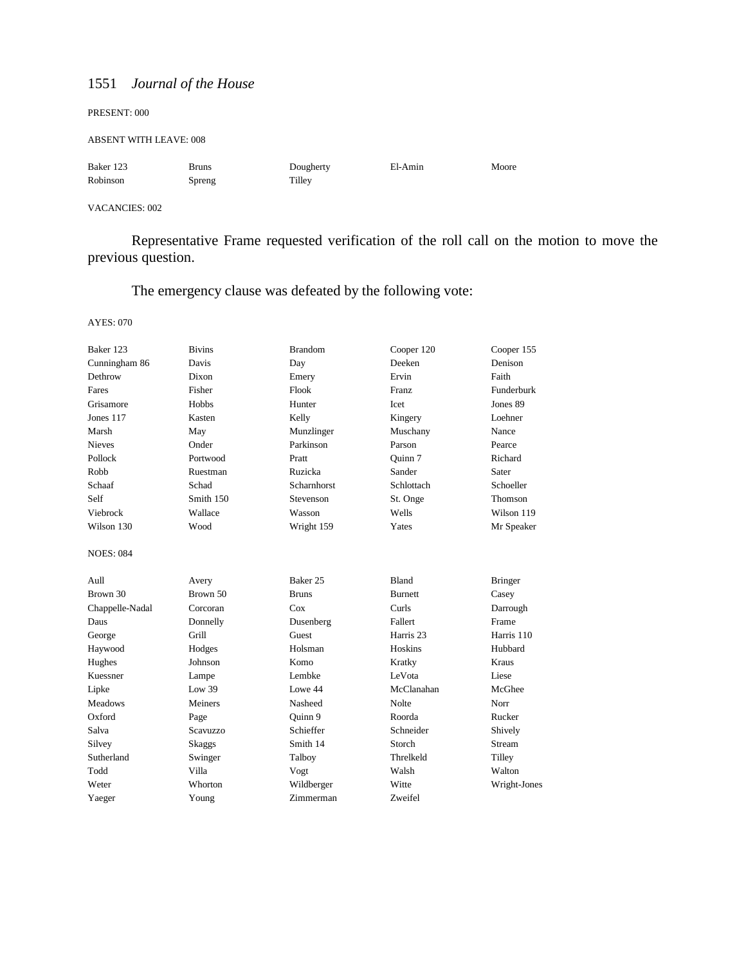#### PRESENT: 000

ABSENT WITH LEAVE: 008

| Baker 123 | Bruns  | Dougherty | El-Amin | Moore |
|-----------|--------|-----------|---------|-------|
| Robinson  | Spreng | Tilley    |         |       |

### VACANCIES: 002

Representative Frame requested verification of the roll call on the motion to move the previous question.

The emergency clause was defeated by the following vote:

| Baker 123        | <b>Bivins</b> | <b>Brandom</b>      | Cooper 120           | Cooper 155     |
|------------------|---------------|---------------------|----------------------|----------------|
| Cunningham 86    | Davis         | Day                 | Deeken               | Denison        |
| Dethrow          | Dixon         | Emery               | Ervin                | Faith          |
| Fares            | Fisher        | Flook               | <b>Franz</b>         | Funderburk     |
| Grisamore        | Hobbs         | Hunter              | Icet                 | Jones 89       |
| Jones 117        | Kasten        | Kelly               | Kingery              | Loehner        |
| Marsh            | May           | Munzlinger          | Muschany             | Nance          |
| <b>Nieves</b>    | Onder         | Parkinson           | Parson               | Pearce         |
| Pollock          | Portwood      | Pratt               | Ouinn 7              | Richard        |
| Robb             | Ruestman      | Ruzicka             | Sander               | Sater          |
| Schaaf           | Schad         | Scharnhorst         | Schlottach           | Schoeller      |
| Self             | Smith 150     | Stevenson           | St. Onge             | <b>Thomson</b> |
| Viebrock         | Wallace       | Wasson              | Wells                | Wilson 119     |
| Wilson 130       | Wood          | Wright 159          | Yates                | Mr Speaker     |
| <b>NOES: 084</b> |               |                     |                      |                |
| Aull             | Avery         | Baker <sub>25</sub> | <b>Bland</b>         | <b>Bringer</b> |
| Brown 30         | Brown 50      | <b>Bruns</b>        | <b>Burnett</b>       | Casey          |
| Chappelle-Nadal  | Corcoran      | Cox                 | Curls                | Darrough       |
| Daus             | Donnelly      | Dusenberg           | Fallert              | Frame          |
| George           | Grill         | Guest               | Harris <sub>23</sub> | Harris 110     |
| Haywood          | Hodges        | Holsman             | Hoskins              | Hubbard        |
| Hughes           | Johnson       | Komo                | Kratky               | Kraus          |
| Kuessner         | Lampe         | Lembke              | LeVota               | Liese          |
| Lipke            | Low 39        | Lowe 44             | McClanahan           | McGhee         |
| <b>Meadows</b>   | Meiners       | Nasheed             | <b>Nolte</b>         | Norr           |
| Oxford           | Page          | Ouinn 9             | Roorda               | Rucker         |
| Salva            | Scavuzzo      | Schieffer           | Schneider            | Shively        |
| Silvey           | Skaggs        | Smith 14            | Storch               | Stream         |
| Sutherland       | Swinger       | Talboy              | Threlkeld            | Tilley         |
| Todd             | Villa         | Vogt                | Walsh                | Walton         |
| Weter            | Whorton       | Wildberger          | Witte                | Wright-Jones   |
| Yaeger           | Young         | Zimmerman           | Zweifel              |                |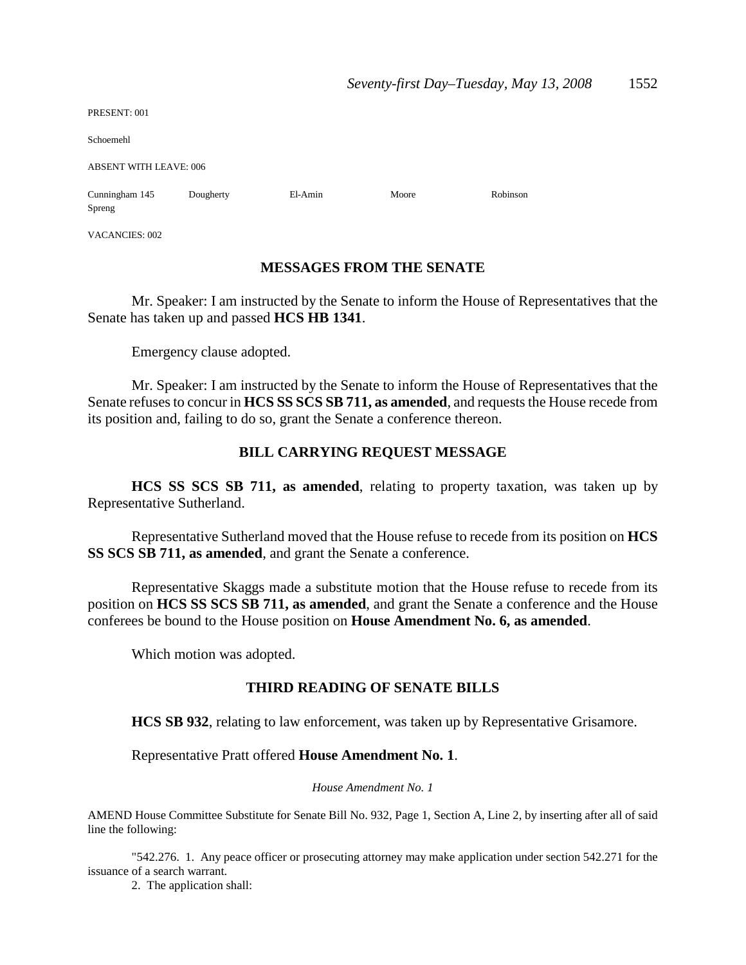| PRESENT: 001                  |           |         |       |          |  |
|-------------------------------|-----------|---------|-------|----------|--|
| Schoemehl                     |           |         |       |          |  |
| <b>ABSENT WITH LEAVE: 006</b> |           |         |       |          |  |
| Cunningham 145<br>Spreng      | Dougherty | El-Amin | Moore | Robinson |  |
| VACANCIES: 002                |           |         |       |          |  |

## **MESSAGES FROM THE SENATE**

Mr. Speaker: I am instructed by the Senate to inform the House of Representatives that the Senate has taken up and passed **HCS HB 1341**.

Emergency clause adopted.

Mr. Speaker: I am instructed by the Senate to inform the House of Representatives that the Senate refuses to concur in **HCS SS SCS SB 711, as amended**, and requests the House recede from its position and, failing to do so, grant the Senate a conference thereon.

## **BILL CARRYING REQUEST MESSAGE**

**HCS SS SCS SB 711, as amended**, relating to property taxation, was taken up by Representative Sutherland.

Representative Sutherland moved that the House refuse to recede from its position on **HCS SS SCS SB 711, as amended**, and grant the Senate a conference.

Representative Skaggs made a substitute motion that the House refuse to recede from its position on **HCS SS SCS SB 711, as amended**, and grant the Senate a conference and the House conferees be bound to the House position on **House Amendment No. 6, as amended**.

Which motion was adopted.

## **THIRD READING OF SENATE BILLS**

**HCS SB 932**, relating to law enforcement, was taken up by Representative Grisamore.

Representative Pratt offered **House Amendment No. 1**.

## *House Amendment No. 1*

AMEND House Committee Substitute for Senate Bill No. 932, Page 1, Section A, Line 2, by inserting after all of said line the following:

"542.276. 1. Any peace officer or prosecuting attorney may make application under section 542.271 for the issuance of a search warrant.

2. The application shall: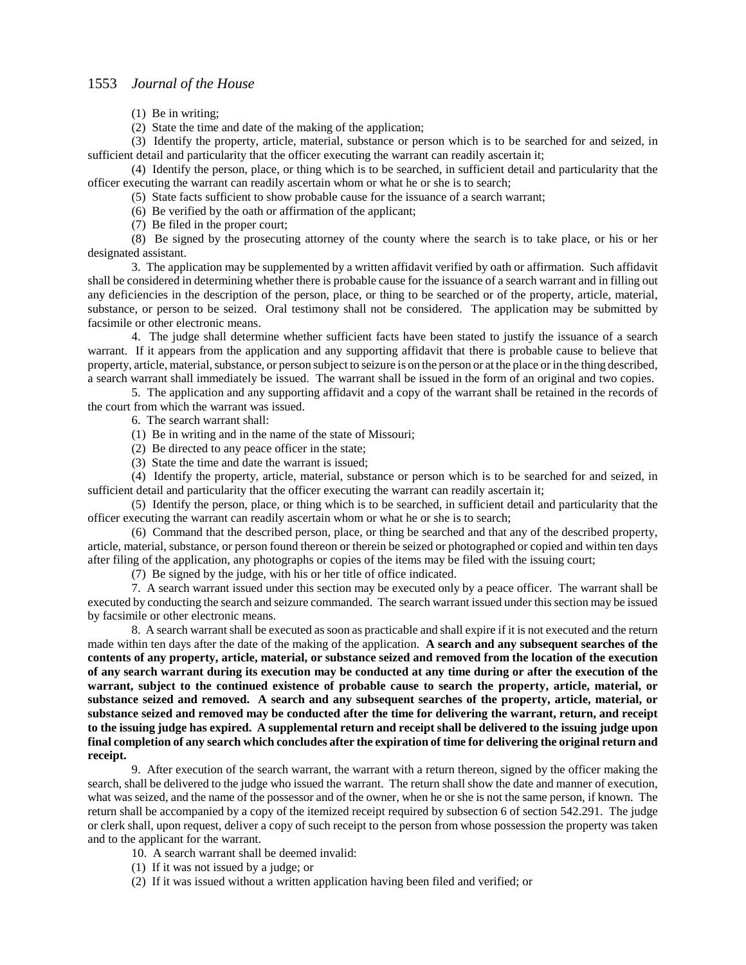(1) Be in writing;

(2) State the time and date of the making of the application;

(3) Identify the property, article, material, substance or person which is to be searched for and seized, in sufficient detail and particularity that the officer executing the warrant can readily ascertain it;

(4) Identify the person, place, or thing which is to be searched, in sufficient detail and particularity that the officer executing the warrant can readily ascertain whom or what he or she is to search;

(5) State facts sufficient to show probable cause for the issuance of a search warrant;

(6) Be verified by the oath or affirmation of the applicant;

(7) Be filed in the proper court;

(8) Be signed by the prosecuting attorney of the county where the search is to take place, or his or her designated assistant.

3. The application may be supplemented by a written affidavit verified by oath or affirmation. Such affidavit shall be considered in determining whether there is probable cause for the issuance of a search warrant and in filling out any deficiencies in the description of the person, place, or thing to be searched or of the property, article, material, substance, or person to be seized. Oral testimony shall not be considered. The application may be submitted by facsimile or other electronic means.

4. The judge shall determine whether sufficient facts have been stated to justify the issuance of a search warrant. If it appears from the application and any supporting affidavit that there is probable cause to believe that property, article, material, substance, or person subject to seizure is on the person or at the place or in the thing described, a search warrant shall immediately be issued. The warrant shall be issued in the form of an original and two copies.

5. The application and any supporting affidavit and a copy of the warrant shall be retained in the records of the court from which the warrant was issued.

6. The search warrant shall:

(1) Be in writing and in the name of the state of Missouri;

- (2) Be directed to any peace officer in the state;
- (3) State the time and date the warrant is issued;

(4) Identify the property, article, material, substance or person which is to be searched for and seized, in sufficient detail and particularity that the officer executing the warrant can readily ascertain it;

(5) Identify the person, place, or thing which is to be searched, in sufficient detail and particularity that the officer executing the warrant can readily ascertain whom or what he or she is to search;

(6) Command that the described person, place, or thing be searched and that any of the described property, article, material, substance, or person found thereon or therein be seized or photographed or copied and within ten days after filing of the application, any photographs or copies of the items may be filed with the issuing court;

(7) Be signed by the judge, with his or her title of office indicated.

7. A search warrant issued under this section may be executed only by a peace officer. The warrant shall be executed by conducting the search and seizure commanded. The search warrant issued under this section may be issued by facsimile or other electronic means.

8. A search warrant shall be executed as soon as practicable and shall expire if it is not executed and the return made within ten days after the date of the making of the application. **A search and any subsequent searches of the contents of any property, article, material, or substance seized and removed from the location of the execution of any search warrant during its execution may be conducted at any time during or after the execution of the warrant, subject to the continued existence of probable cause to search the property, article, material, or substance seized and removed. A search and any subsequent searches of the property, article, material, or substance seized and removed may be conducted after the time for delivering the warrant, return, and receipt to the issuing judge has expired. A supplemental return and receipt shall be delivered to the issuing judge upon final completion of any search which concludes after the expiration of time for delivering the original return and receipt.**

9. After execution of the search warrant, the warrant with a return thereon, signed by the officer making the search, shall be delivered to the judge who issued the warrant. The return shall show the date and manner of execution, what was seized, and the name of the possessor and of the owner, when he or she is not the same person, if known. The return shall be accompanied by a copy of the itemized receipt required by subsection 6 of section 542.291. The judge or clerk shall, upon request, deliver a copy of such receipt to the person from whose possession the property was taken and to the applicant for the warrant.

10. A search warrant shall be deemed invalid:

- (1) If it was not issued by a judge; or
- (2) If it was issued without a written application having been filed and verified; or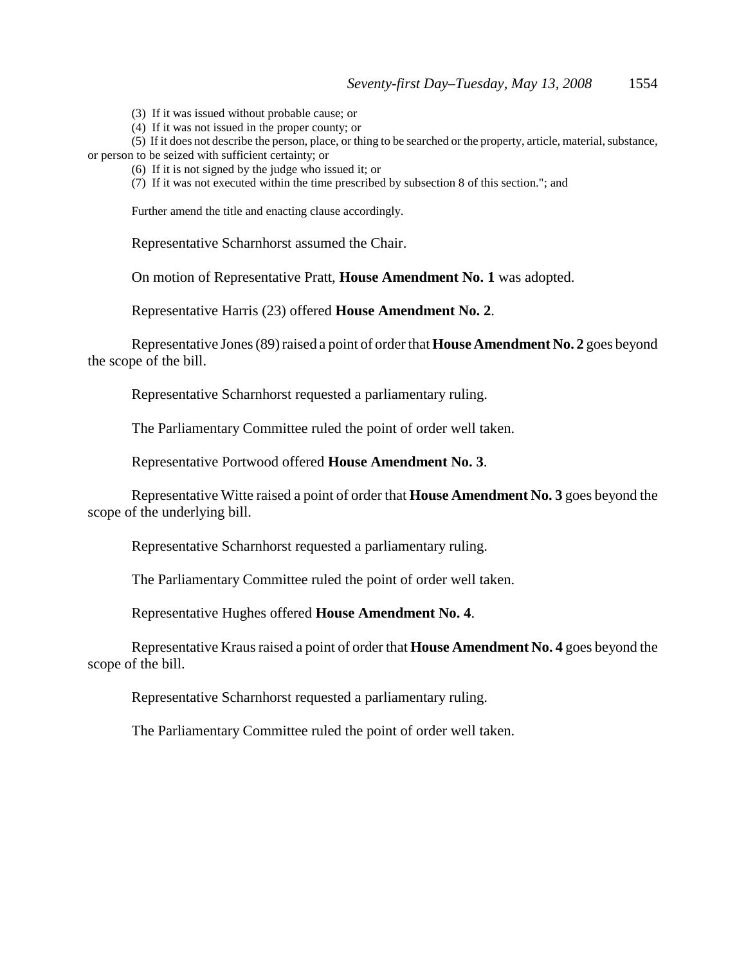(3) If it was issued without probable cause; or

(4) If it was not issued in the proper county; or

(5) If it does not describe the person, place, or thing to be searched or the property, article, material, substance, or person to be seized with sufficient certainty; or

(6) If it is not signed by the judge who issued it; or

(7) If it was not executed within the time prescribed by subsection 8 of this section."; and

Further amend the title and enacting clause accordingly.

Representative Scharnhorst assumed the Chair.

On motion of Representative Pratt, **House Amendment No. 1** was adopted.

Representative Harris (23) offered **House Amendment No. 2**.

Representative Jones (89) raised a point of order that **House Amendment No. 2** goes beyond the scope of the bill.

Representative Scharnhorst requested a parliamentary ruling.

The Parliamentary Committee ruled the point of order well taken.

Representative Portwood offered **House Amendment No. 3**.

Representative Witte raised a point of order that **House Amendment No. 3** goes beyond the scope of the underlying bill.

Representative Scharnhorst requested a parliamentary ruling.

The Parliamentary Committee ruled the point of order well taken.

Representative Hughes offered **House Amendment No. 4**.

Representative Kraus raised a point of order that **House Amendment No. 4** goes beyond the scope of the bill.

Representative Scharnhorst requested a parliamentary ruling.

The Parliamentary Committee ruled the point of order well taken.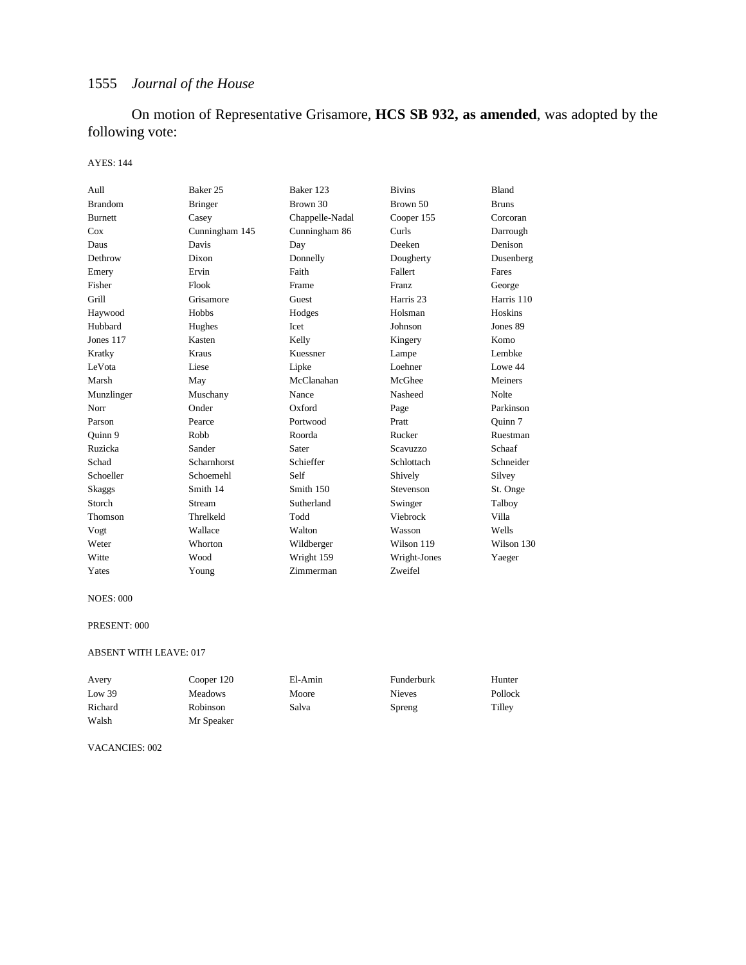On motion of Representative Grisamore, **HCS SB 932, as amended**, was adopted by the following vote:

### AYES: 144

| Aull           | Baker 25       | Baker 123       | <b>Bivins</b>        | <b>Bland</b> |
|----------------|----------------|-----------------|----------------------|--------------|
| <b>Brandom</b> | <b>Bringer</b> | Brown 30        | Brown 50             | <b>Bruns</b> |
| <b>Burnett</b> | Casey          | Chappelle-Nadal | Cooper 155           | Corcoran     |
| Cox            | Cunningham 145 | Cunningham 86   | Curls                | Darrough     |
| Daus           | Davis          | Day             | Deeken               | Denison      |
| Dethrow        | Dixon          | Donnelly        | Dougherty            | Dusenberg    |
| Emery          | Ervin          | Faith           | Fallert              | Fares        |
| Fisher         | Flook          | Frame           | <b>Franz</b>         | George       |
| Grill          | Grisamore      | Guest           | Harris <sub>23</sub> | Harris 110   |
| Haywood        | Hobbs          | Hodges          | Holsman              | Hoskins      |
| Hubbard        | Hughes         | Icet            | Johnson              | Jones 89     |
| Jones 117      | Kasten         | Kelly           | Kingery              | Komo         |
| Kratky         | Kraus          | Kuessner        | Lampe                | Lembke       |
| LeVota         | Liese          | Lipke           | Loehner              | Lowe 44      |
| Marsh          | May            | McClanahan      | McGhee               | Meiners      |
| Munzlinger     | Muschany       | Nance           | Nasheed              | Nolte        |
| Norr           | Onder          | Oxford          | Page                 | Parkinson    |
| Parson         | Pearce         | Portwood        | Pratt                | Ouinn 7      |
| Quinn 9        | Robb           | Roorda          | Rucker               | Ruestman     |
| Ruzicka        | Sander         | Sater           | Scavuzzo             | Schaaf       |
| Schad          | Scharnhorst    | Schieffer       | Schlottach           | Schneider    |
| Schoeller      | Schoemehl      | Self            | Shively              | Silvey       |
| Skaggs         | Smith 14       | Smith 150       | Stevenson            | St. Onge     |
| Storch         | Stream         | Sutherland      | Swinger              | Talboy       |
| Thomson        | Threlkeld      | Todd            | Viebrock             | Villa        |
| Vogt           | Wallace        | Walton          | Wasson               | Wells        |
| Weter          | Whorton        | Wildberger      | Wilson 119           | Wilson 130   |
| Witte          | Wood           | Wright 159      | Wright-Jones         | Yaeger       |
| Yates          | Young          | Zimmerman       | Zweifel              |              |

#### NOES: 000

#### PRESENT: 000

#### ABSENT WITH LEAVE: 017

| Avery   | Cooper 120     | El-Amin | Funderburk    | Hunter  |
|---------|----------------|---------|---------------|---------|
| Low 39  | <b>Meadows</b> | Moore   | <b>Nieves</b> | Pollock |
| Richard | Robinson       | Salva   | Spreng        | Tilley  |
| Walsh   | Mr Speaker     |         |               |         |

VACANCIES: 002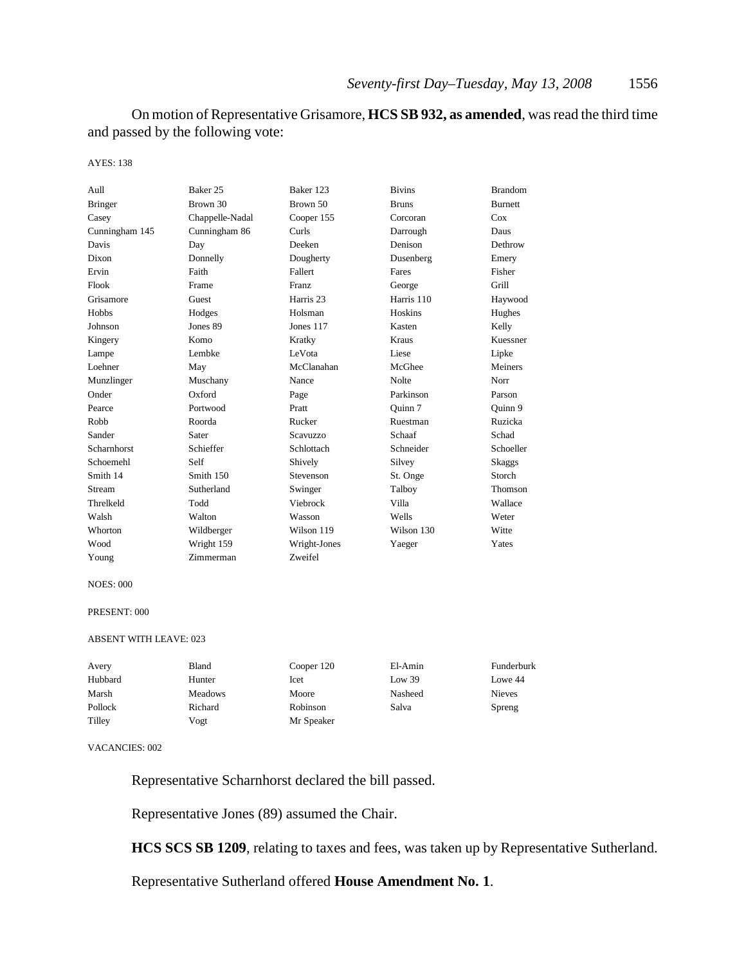On motion of Representative Grisamore, **HCS SB 932, as amended**, was read the third time and passed by the following vote:

#### AYES: 138

| Aull               | Baker 25        | Baker 123            | <b>Bivins</b> | <b>Brandom</b> |
|--------------------|-----------------|----------------------|---------------|----------------|
| <b>Bringer</b>     | Brown 30        | Brown 50             | <b>Bruns</b>  | <b>Burnett</b> |
| Casey              | Chappelle-Nadal | Cooper 155           | Corcoran      | Cox            |
| Cunningham 145     | Cunningham 86   | Curls                | Darrough      | Daus           |
| Davis              | Day             | Deeken               | Denison       | Dethrow        |
| Dixon              | Donnelly        | Dougherty            | Dusenberg     | Emery          |
| Ervin              | Faith           | Fallert              | Fares         | Fisher         |
| Flook              | Frame           | Franz                | George        | Grill          |
| Grisamore          | Guest           | Harris <sub>23</sub> | Harris 110    | Haywood        |
| Hobbs              | Hodges          | Holsman              | Hoskins       | Hughes         |
| Johnson            | Jones 89        | Jones 117            | Kasten        | Kelly          |
| Kingery            | Komo            | Kratky               | <b>Kraus</b>  | Kuessner       |
| Lampe              | Lembke          | LeVota               | Liese         | Lipke          |
| Loehner            | May             | McClanahan           | McGhee        | Meiners        |
| Munzlinger         | Muschany        | Nance                | <b>Nolte</b>  | Norr           |
| Onder              | Oxford          | Page                 | Parkinson     | Parson         |
| Pearce             | Portwood        | Pratt                | Ouinn 7       | Ouinn 9        |
| Robb               | Roorda          | Rucker               | Ruestman      | Ruzicka        |
| Sander             | Sater           | Scavuzzo             | Schaaf        | Schad          |
| <b>Scharnhorst</b> | Schieffer       | Schlottach           | Schneider     | Schoeller      |
| Schoemehl          | Self            | Shively              | Silvey        | <b>Skaggs</b>  |
| Smith 14           | Smith 150       | Stevenson            | St. Onge      | Storch         |
| Stream             | Sutherland      | Swinger              | Talboy        | Thomson        |
| Threlkeld          | Todd            | Viebrock             | Villa         | Wallace        |
| Walsh              | Walton          | Wasson               | Wells         | Weter          |
| Whorton            | Wildberger      | Wilson 119           | Wilson 130    | Witte          |
| Wood               | Wright 159      | Wright-Jones         | Yaeger        | Yates          |
| Young              | Zimmerman       | Zweifel              |               |                |

#### NOES: 000

#### PRESENT: 000

#### ABSENT WITH LEAVE: 023

| Avery   | Bland          | Cooper 120 | El-Amin | Funderburk    |
|---------|----------------|------------|---------|---------------|
| Hubbard | Hunter         | Icet       | Low 39  | Lowe 44       |
| Marsh   | <b>Meadows</b> | Moore      | Nasheed | <b>Nieves</b> |
| Pollock | Richard        | Robinson   | Salva   | Spreng        |
| Tilley  | Vogt           | Mr Speaker |         |               |

#### VACANCIES: 002

Representative Scharnhorst declared the bill passed.

Representative Jones (89) assumed the Chair.

**HCS SCS SB 1209**, relating to taxes and fees, was taken up by Representative Sutherland.

Representative Sutherland offered **House Amendment No. 1**.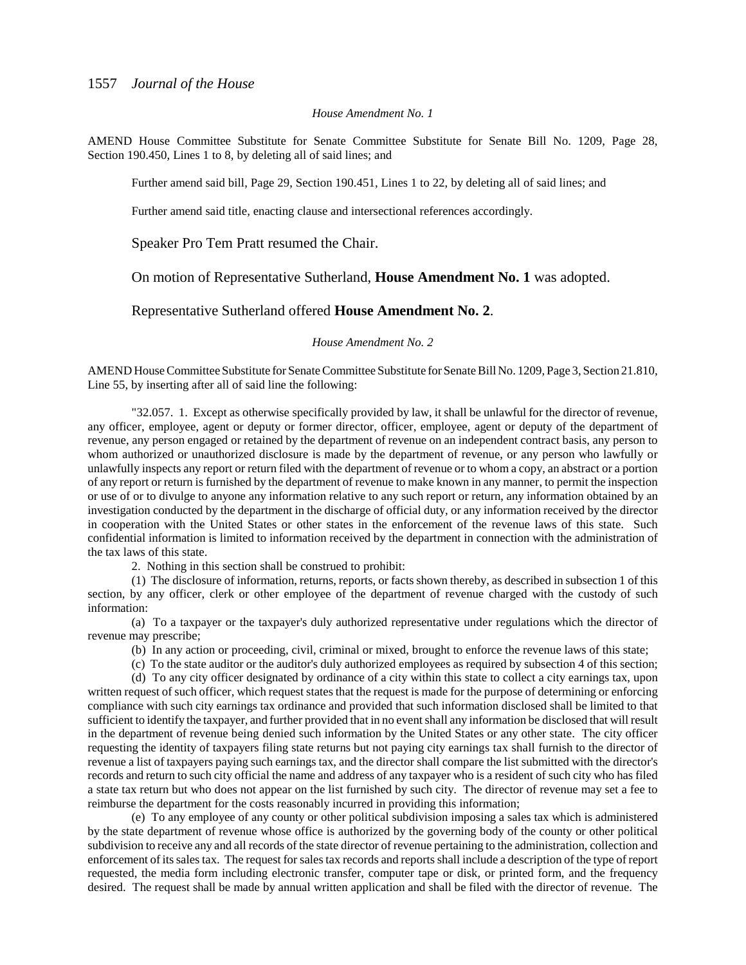### *House Amendment No. 1*

AMEND House Committee Substitute for Senate Committee Substitute for Senate Bill No. 1209, Page 28, Section 190.450, Lines 1 to 8, by deleting all of said lines; and

Further amend said bill, Page 29, Section 190.451, Lines 1 to 22, by deleting all of said lines; and

Further amend said title, enacting clause and intersectional references accordingly.

Speaker Pro Tem Pratt resumed the Chair.

On motion of Representative Sutherland, **House Amendment No. 1** was adopted.

Representative Sutherland offered **House Amendment No. 2**.

#### *House Amendment No. 2*

AMEND House Committee Substitute for Senate Committee Substitute for Senate Bill No. 1209, Page 3, Section 21.810, Line 55, by inserting after all of said line the following:

"32.057. 1. Except as otherwise specifically provided by law, it shall be unlawful for the director of revenue, any officer, employee, agent or deputy or former director, officer, employee, agent or deputy of the department of revenue, any person engaged or retained by the department of revenue on an independent contract basis, any person to whom authorized or unauthorized disclosure is made by the department of revenue, or any person who lawfully or unlawfully inspects any report or return filed with the department of revenue or to whom a copy, an abstract or a portion of any report or return is furnished by the department of revenue to make known in any manner, to permit the inspection or use of or to divulge to anyone any information relative to any such report or return, any information obtained by an investigation conducted by the department in the discharge of official duty, or any information received by the director in cooperation with the United States or other states in the enforcement of the revenue laws of this state. Such confidential information is limited to information received by the department in connection with the administration of the tax laws of this state.

2. Nothing in this section shall be construed to prohibit:

(1) The disclosure of information, returns, reports, or facts shown thereby, as described in subsection 1 of this section, by any officer, clerk or other employee of the department of revenue charged with the custody of such information:

(a) To a taxpayer or the taxpayer's duly authorized representative under regulations which the director of revenue may prescribe;

(b) In any action or proceeding, civil, criminal or mixed, brought to enforce the revenue laws of this state;

(c) To the state auditor or the auditor's duly authorized employees as required by subsection 4 of this section;

(d) To any city officer designated by ordinance of a city within this state to collect a city earnings tax, upon written request of such officer, which request states that the request is made for the purpose of determining or enforcing compliance with such city earnings tax ordinance and provided that such information disclosed shall be limited to that sufficient to identify the taxpayer, and further provided that in no event shall any information be disclosed that will result in the department of revenue being denied such information by the United States or any other state. The city officer requesting the identity of taxpayers filing state returns but not paying city earnings tax shall furnish to the director of revenue a list of taxpayers paying such earnings tax, and the director shall compare the list submitted with the director's records and return to such city official the name and address of any taxpayer who is a resident of such city who has filed a state tax return but who does not appear on the list furnished by such city. The director of revenue may set a fee to reimburse the department for the costs reasonably incurred in providing this information;

(e) To any employee of any county or other political subdivision imposing a sales tax which is administered by the state department of revenue whose office is authorized by the governing body of the county or other political subdivision to receive any and all records of the state director of revenue pertaining to the administration, collection and enforcement of its sales tax. The request for sales tax records and reports shall include a description of the type of report requested, the media form including electronic transfer, computer tape or disk, or printed form, and the frequency desired. The request shall be made by annual written application and shall be filed with the director of revenue. The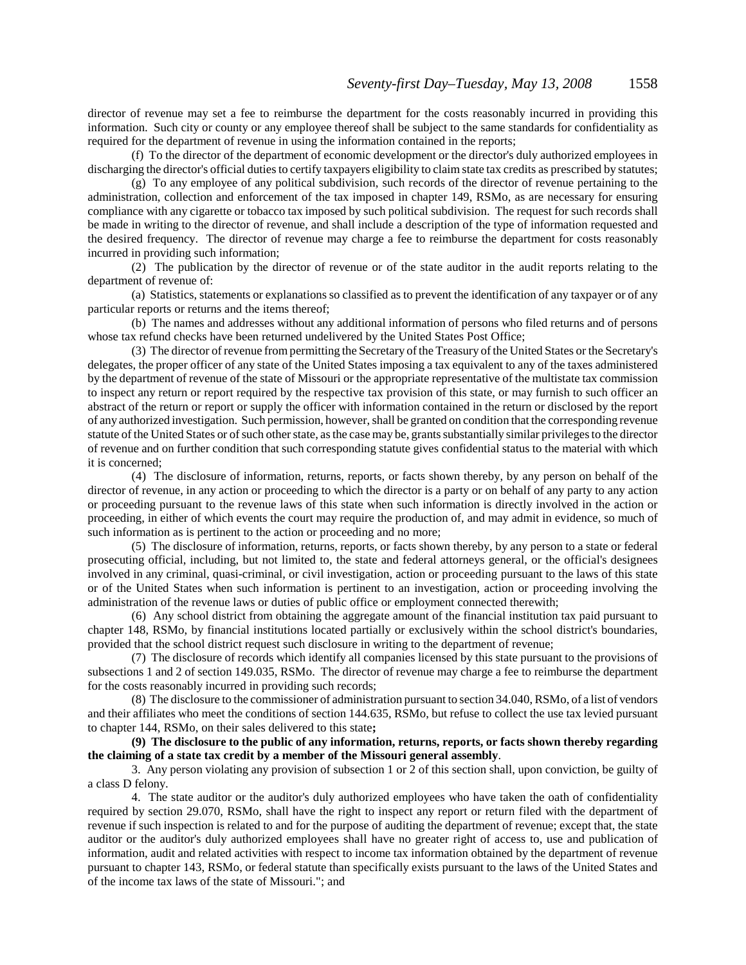director of revenue may set a fee to reimburse the department for the costs reasonably incurred in providing this information. Such city or county or any employee thereof shall be subject to the same standards for confidentiality as required for the department of revenue in using the information contained in the reports;

(f) To the director of the department of economic development or the director's duly authorized employees in discharging the director's official duties to certify taxpayers eligibility to claim state tax credits as prescribed by statutes;

(g) To any employee of any political subdivision, such records of the director of revenue pertaining to the administration, collection and enforcement of the tax imposed in chapter 149, RSMo, as are necessary for ensuring compliance with any cigarette or tobacco tax imposed by such political subdivision. The request for such records shall be made in writing to the director of revenue, and shall include a description of the type of information requested and the desired frequency. The director of revenue may charge a fee to reimburse the department for costs reasonably incurred in providing such information;

(2) The publication by the director of revenue or of the state auditor in the audit reports relating to the department of revenue of:

(a) Statistics, statements or explanations so classified as to prevent the identification of any taxpayer or of any particular reports or returns and the items thereof;

(b) The names and addresses without any additional information of persons who filed returns and of persons whose tax refund checks have been returned undelivered by the United States Post Office;

(3) The director of revenue from permitting the Secretary of the Treasury of the United States or the Secretary's delegates, the proper officer of any state of the United States imposing a tax equivalent to any of the taxes administered by the department of revenue of the state of Missouri or the appropriate representative of the multistate tax commission to inspect any return or report required by the respective tax provision of this state, or may furnish to such officer an abstract of the return or report or supply the officer with information contained in the return or disclosed by the report of any authorized investigation. Such permission, however, shall be granted on condition that the corresponding revenue statute of the United States or of such other state, as the case may be, grants substantially similar privileges to the director of revenue and on further condition that such corresponding statute gives confidential status to the material with which it is concerned;

(4) The disclosure of information, returns, reports, or facts shown thereby, by any person on behalf of the director of revenue, in any action or proceeding to which the director is a party or on behalf of any party to any action or proceeding pursuant to the revenue laws of this state when such information is directly involved in the action or proceeding, in either of which events the court may require the production of, and may admit in evidence, so much of such information as is pertinent to the action or proceeding and no more;

(5) The disclosure of information, returns, reports, or facts shown thereby, by any person to a state or federal prosecuting official, including, but not limited to, the state and federal attorneys general, or the official's designees involved in any criminal, quasi-criminal, or civil investigation, action or proceeding pursuant to the laws of this state or of the United States when such information is pertinent to an investigation, action or proceeding involving the administration of the revenue laws or duties of public office or employment connected therewith;

(6) Any school district from obtaining the aggregate amount of the financial institution tax paid pursuant to chapter 148, RSMo, by financial institutions located partially or exclusively within the school district's boundaries, provided that the school district request such disclosure in writing to the department of revenue;

(7) The disclosure of records which identify all companies licensed by this state pursuant to the provisions of subsections 1 and 2 of section 149.035, RSMo. The director of revenue may charge a fee to reimburse the department for the costs reasonably incurred in providing such records;

(8) The disclosure to the commissioner of administration pursuant to section 34.040, RSMo, of a list of vendors and their affiliates who meet the conditions of section 144.635, RSMo, but refuse to collect the use tax levied pursuant to chapter 144, RSMo, on their sales delivered to this state**;**

**(9) The disclosure to the public of any information, returns, reports, or facts shown thereby regarding the claiming of a state tax credit by a member of the Missouri general assembly**.

3. Any person violating any provision of subsection 1 or 2 of this section shall, upon conviction, be guilty of a class D felony.

4. The state auditor or the auditor's duly authorized employees who have taken the oath of confidentiality required by section 29.070, RSMo, shall have the right to inspect any report or return filed with the department of revenue if such inspection is related to and for the purpose of auditing the department of revenue; except that, the state auditor or the auditor's duly authorized employees shall have no greater right of access to, use and publication of information, audit and related activities with respect to income tax information obtained by the department of revenue pursuant to chapter 143, RSMo, or federal statute than specifically exists pursuant to the laws of the United States and of the income tax laws of the state of Missouri."; and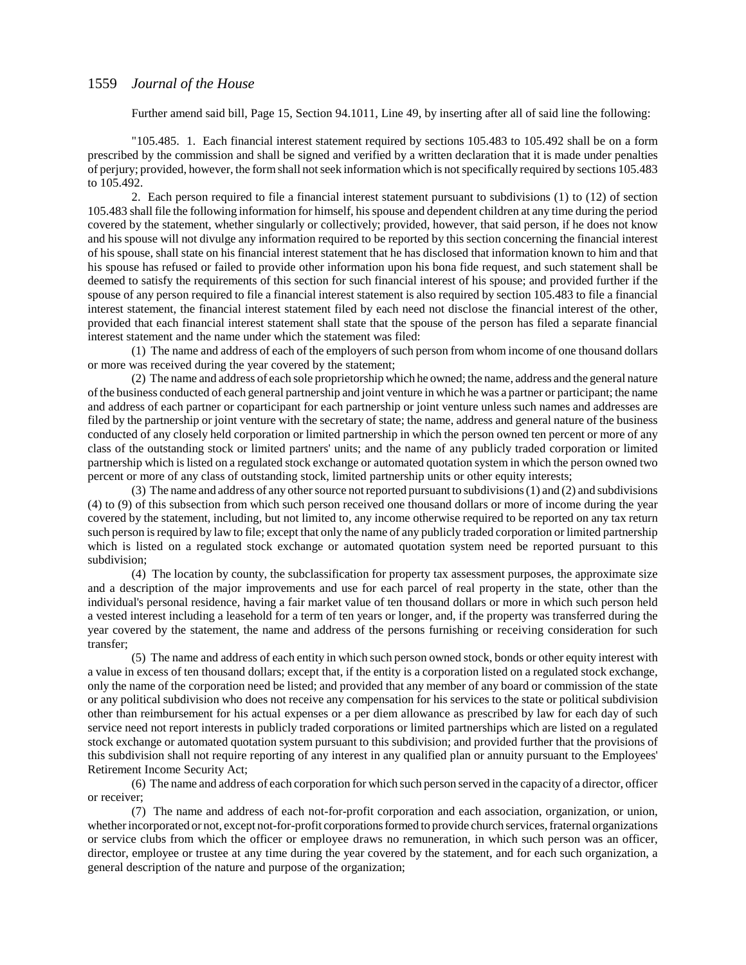Further amend said bill, Page 15, Section 94.1011, Line 49, by inserting after all of said line the following:

"105.485. 1. Each financial interest statement required by sections 105.483 to 105.492 shall be on a form prescribed by the commission and shall be signed and verified by a written declaration that it is made under penalties of perjury; provided, however, the form shall not seek information which is not specifically required by sections 105.483 to 105.492.

2. Each person required to file a financial interest statement pursuant to subdivisions (1) to (12) of section 105.483 shall file the following information for himself, his spouse and dependent children at any time during the period covered by the statement, whether singularly or collectively; provided, however, that said person, if he does not know and his spouse will not divulge any information required to be reported by this section concerning the financial interest of his spouse, shall state on his financial interest statement that he has disclosed that information known to him and that his spouse has refused or failed to provide other information upon his bona fide request, and such statement shall be deemed to satisfy the requirements of this section for such financial interest of his spouse; and provided further if the spouse of any person required to file a financial interest statement is also required by section 105.483 to file a financial interest statement, the financial interest statement filed by each need not disclose the financial interest of the other, provided that each financial interest statement shall state that the spouse of the person has filed a separate financial interest statement and the name under which the statement was filed:

(1) The name and address of each of the employers of such person from whom income of one thousand dollars or more was received during the year covered by the statement;

(2) The name and address of each sole proprietorship which he owned; the name, address and the general nature of the business conducted of each general partnership and joint venture in which he was a partner or participant; the name and address of each partner or coparticipant for each partnership or joint venture unless such names and addresses are filed by the partnership or joint venture with the secretary of state; the name, address and general nature of the business conducted of any closely held corporation or limited partnership in which the person owned ten percent or more of any class of the outstanding stock or limited partners' units; and the name of any publicly traded corporation or limited partnership which is listed on a regulated stock exchange or automated quotation system in which the person owned two percent or more of any class of outstanding stock, limited partnership units or other equity interests;

(3) The name and address of any other source not reported pursuant to subdivisions (1) and (2) and subdivisions (4) to (9) of this subsection from which such person received one thousand dollars or more of income during the year covered by the statement, including, but not limited to, any income otherwise required to be reported on any tax return such person is required by law to file; except that only the name of any publicly traded corporation or limited partnership which is listed on a regulated stock exchange or automated quotation system need be reported pursuant to this subdivision;

(4) The location by county, the subclassification for property tax assessment purposes, the approximate size and a description of the major improvements and use for each parcel of real property in the state, other than the individual's personal residence, having a fair market value of ten thousand dollars or more in which such person held a vested interest including a leasehold for a term of ten years or longer, and, if the property was transferred during the year covered by the statement, the name and address of the persons furnishing or receiving consideration for such transfer;

(5) The name and address of each entity in which such person owned stock, bonds or other equity interest with a value in excess of ten thousand dollars; except that, if the entity is a corporation listed on a regulated stock exchange, only the name of the corporation need be listed; and provided that any member of any board or commission of the state or any political subdivision who does not receive any compensation for his services to the state or political subdivision other than reimbursement for his actual expenses or a per diem allowance as prescribed by law for each day of such service need not report interests in publicly traded corporations or limited partnerships which are listed on a regulated stock exchange or automated quotation system pursuant to this subdivision; and provided further that the provisions of this subdivision shall not require reporting of any interest in any qualified plan or annuity pursuant to the Employees' Retirement Income Security Act;

(6) The name and address of each corporation for which such person served in the capacity of a director, officer or receiver;

(7) The name and address of each not-for-profit corporation and each association, organization, or union, whether incorporated or not, except not-for-profit corporations formed to provide church services, fraternal organizations or service clubs from which the officer or employee draws no remuneration, in which such person was an officer, director, employee or trustee at any time during the year covered by the statement, and for each such organization, a general description of the nature and purpose of the organization;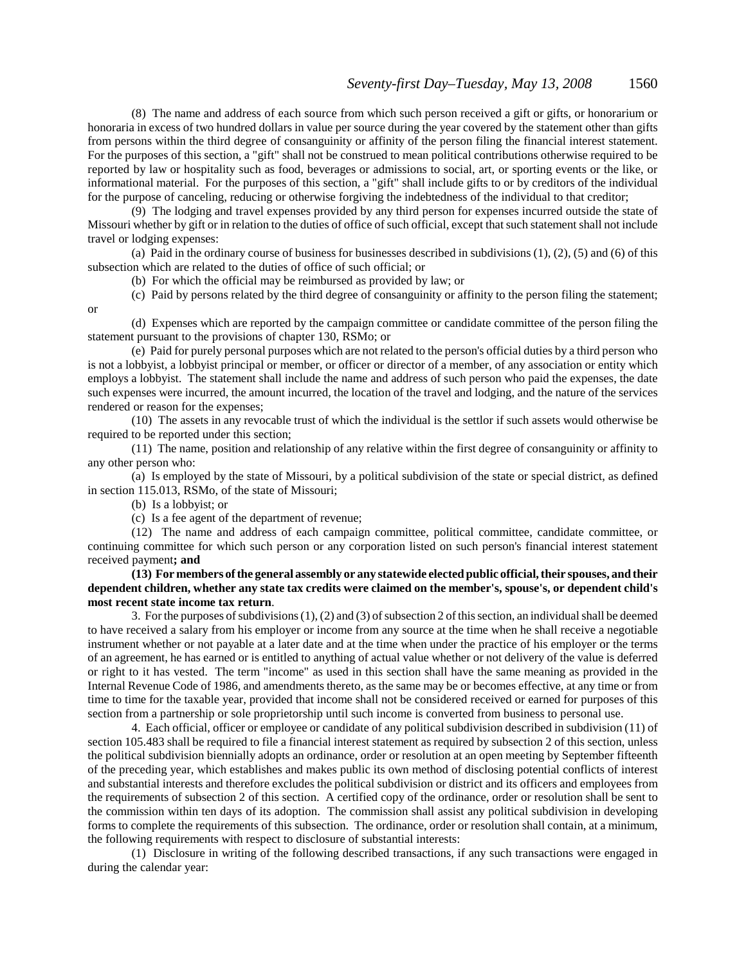(8) The name and address of each source from which such person received a gift or gifts, or honorarium or honoraria in excess of two hundred dollars in value per source during the year covered by the statement other than gifts from persons within the third degree of consanguinity or affinity of the person filing the financial interest statement. For the purposes of this section, a "gift" shall not be construed to mean political contributions otherwise required to be reported by law or hospitality such as food, beverages or admissions to social, art, or sporting events or the like, or informational material. For the purposes of this section, a "gift" shall include gifts to or by creditors of the individual for the purpose of canceling, reducing or otherwise forgiving the indebtedness of the individual to that creditor;

(9) The lodging and travel expenses provided by any third person for expenses incurred outside the state of Missouri whether by gift or in relation to the duties of office of such official, except that such statement shall not include travel or lodging expenses:

(a) Paid in the ordinary course of business for businesses described in subdivisions (1), (2), (5) and (6) of this subsection which are related to the duties of office of such official; or

(b) For which the official may be reimbursed as provided by law; or

(c) Paid by persons related by the third degree of consanguinity or affinity to the person filing the statement;

(d) Expenses which are reported by the campaign committee or candidate committee of the person filing the statement pursuant to the provisions of chapter 130, RSMo; or

(e) Paid for purely personal purposes which are not related to the person's official duties by a third person who is not a lobbyist, a lobbyist principal or member, or officer or director of a member, of any association or entity which employs a lobbyist. The statement shall include the name and address of such person who paid the expenses, the date such expenses were incurred, the amount incurred, the location of the travel and lodging, and the nature of the services rendered or reason for the expenses;

(10) The assets in any revocable trust of which the individual is the settlor if such assets would otherwise be required to be reported under this section;

(11) The name, position and relationship of any relative within the first degree of consanguinity or affinity to any other person who:

(a) Is employed by the state of Missouri, by a political subdivision of the state or special district, as defined in section 115.013, RSMo, of the state of Missouri;

(b) Is a lobbyist; or

or

(c) Is a fee agent of the department of revenue;

(12) The name and address of each campaign committee, political committee, candidate committee, or continuing committee for which such person or any corporation listed on such person's financial interest statement received payment**; and**

**(13) For members of the general assembly or any statewide elected public official, their spouses, and their dependent children, whether any state tax credits were claimed on the member's, spouse's, or dependent child's most recent state income tax return**.

3. For the purposes of subdivisions (1), (2) and (3) of subsection 2 of this section, an individual shall be deemed to have received a salary from his employer or income from any source at the time when he shall receive a negotiable instrument whether or not payable at a later date and at the time when under the practice of his employer or the terms of an agreement, he has earned or is entitled to anything of actual value whether or not delivery of the value is deferred or right to it has vested. The term "income" as used in this section shall have the same meaning as provided in the Internal Revenue Code of 1986, and amendments thereto, as the same may be or becomes effective, at any time or from time to time for the taxable year, provided that income shall not be considered received or earned for purposes of this section from a partnership or sole proprietorship until such income is converted from business to personal use.

4. Each official, officer or employee or candidate of any political subdivision described in subdivision (11) of section 105.483 shall be required to file a financial interest statement as required by subsection 2 of this section, unless the political subdivision biennially adopts an ordinance, order or resolution at an open meeting by September fifteenth of the preceding year, which establishes and makes public its own method of disclosing potential conflicts of interest and substantial interests and therefore excludes the political subdivision or district and its officers and employees from the requirements of subsection 2 of this section. A certified copy of the ordinance, order or resolution shall be sent to the commission within ten days of its adoption. The commission shall assist any political subdivision in developing forms to complete the requirements of this subsection. The ordinance, order or resolution shall contain, at a minimum, the following requirements with respect to disclosure of substantial interests:

(1) Disclosure in writing of the following described transactions, if any such transactions were engaged in during the calendar year: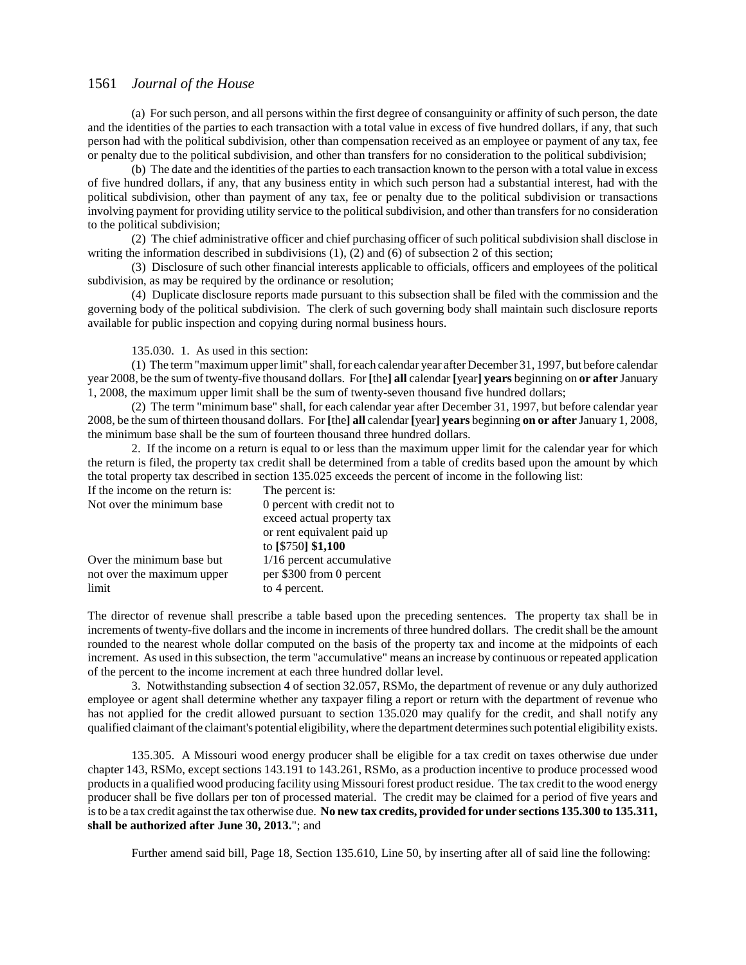(a) For such person, and all persons within the first degree of consanguinity or affinity of such person, the date and the identities of the parties to each transaction with a total value in excess of five hundred dollars, if any, that such person had with the political subdivision, other than compensation received as an employee or payment of any tax, fee or penalty due to the political subdivision, and other than transfers for no consideration to the political subdivision;

(b) The date and the identities of the parties to each transaction known to the person with a total value in excess of five hundred dollars, if any, that any business entity in which such person had a substantial interest, had with the political subdivision, other than payment of any tax, fee or penalty due to the political subdivision or transactions involving payment for providing utility service to the political subdivision, and other than transfers for no consideration to the political subdivision;

(2) The chief administrative officer and chief purchasing officer of such political subdivision shall disclose in writing the information described in subdivisions (1), (2) and (6) of subsection 2 of this section;

(3) Disclosure of such other financial interests applicable to officials, officers and employees of the political subdivision, as may be required by the ordinance or resolution;

(4) Duplicate disclosure reports made pursuant to this subsection shall be filed with the commission and the governing body of the political subdivision. The clerk of such governing body shall maintain such disclosure reports available for public inspection and copying during normal business hours.

135.030. 1. As used in this section:

(1) The term "maximum upper limit" shall, for each calendar year after December 31, 1997, but before calendar year 2008, be the sum of twenty-five thousand dollars. For **[**the**] all** calendar **[**year**] years** beginning on **or after** January 1, 2008, the maximum upper limit shall be the sum of twenty-seven thousand five hundred dollars;

(2) The term "minimum base" shall, for each calendar year after December 31, 1997, but before calendar year 2008, be the sum of thirteen thousand dollars. For **[**the**] all** calendar **[**year**] years** beginning **on or after** January 1, 2008, the minimum base shall be the sum of fourteen thousand three hundred dollars.

2. If the income on a return is equal to or less than the maximum upper limit for the calendar year for which the return is filed, the property tax credit shall be determined from a table of credits based upon the amount by which the total property tax described in section 135.025 exceeds the percent of income in the following list:

If the income on the return is: The percent is:<br>Not over the minimum base 0 percent with credit not to Not over the minimum base exceed actual property tax or rent equivalent paid up to **[**\$750**] \$1,100** Over the minimum base but  $1/16$  percent accumulative not over the maximum upper per \$300 from 0 percent

limit to 4 percent.

The director of revenue shall prescribe a table based upon the preceding sentences. The property tax shall be in increments of twenty-five dollars and the income in increments of three hundred dollars. The credit shall be the amount rounded to the nearest whole dollar computed on the basis of the property tax and income at the midpoints of each increment. As used in this subsection, the term "accumulative" means an increase by continuous or repeated application of the percent to the income increment at each three hundred dollar level.

3. Notwithstanding subsection 4 of section 32.057, RSMo, the department of revenue or any duly authorized employee or agent shall determine whether any taxpayer filing a report or return with the department of revenue who has not applied for the credit allowed pursuant to section 135.020 may qualify for the credit, and shall notify any qualified claimant of the claimant's potential eligibility, where the department determines such potential eligibility exists.

135.305. A Missouri wood energy producer shall be eligible for a tax credit on taxes otherwise due under chapter 143, RSMo, except sections 143.191 to 143.261, RSMo, as a production incentive to produce processed wood products in a qualified wood producing facility using Missouri forest product residue. The tax credit to the wood energy producer shall be five dollars per ton of processed material. The credit may be claimed for a period of five years and is to be a tax credit against the tax otherwise due. **No new tax credits, provided for under sections 135.300 to 135.311, shall be authorized after June 30, 2013.**"; and

Further amend said bill, Page 18, Section 135.610, Line 50, by inserting after all of said line the following: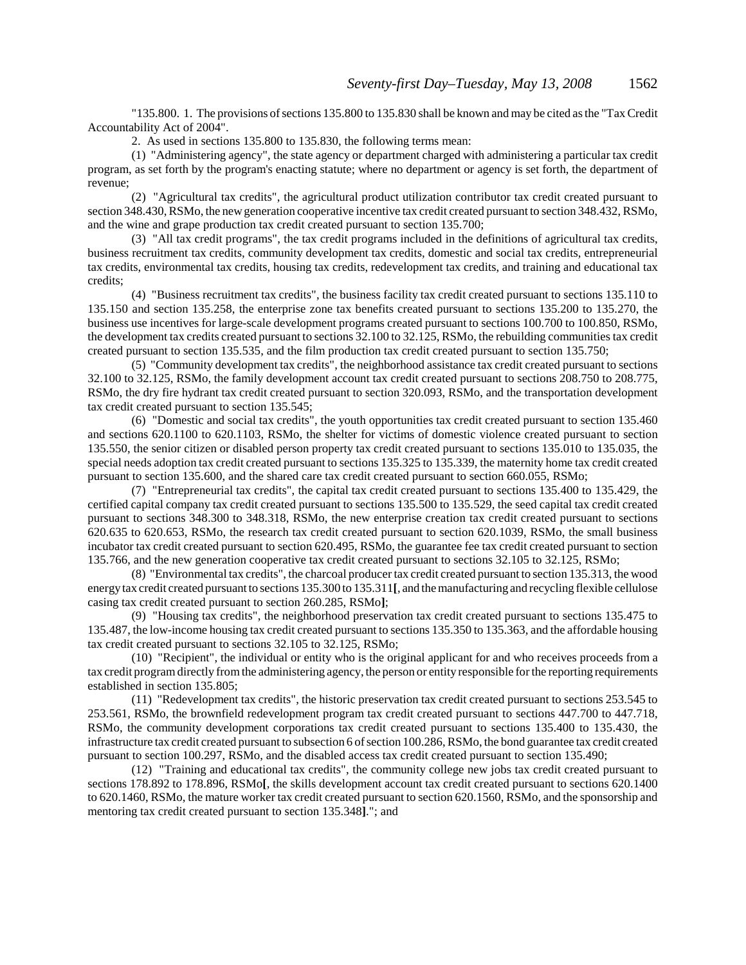"135.800. 1. The provisions of sections 135.800 to 135.830 shall be known and may be cited as the "Tax Credit Accountability Act of 2004".

2. As used in sections 135.800 to 135.830, the following terms mean:

(1) "Administering agency", the state agency or department charged with administering a particular tax credit program, as set forth by the program's enacting statute; where no department or agency is set forth, the department of revenue;

(2) "Agricultural tax credits", the agricultural product utilization contributor tax credit created pursuant to section 348.430, RSMo, the new generation cooperative incentive tax credit created pursuant to section 348.432, RSMo, and the wine and grape production tax credit created pursuant to section 135.700;

(3) "All tax credit programs", the tax credit programs included in the definitions of agricultural tax credits, business recruitment tax credits, community development tax credits, domestic and social tax credits, entrepreneurial tax credits, environmental tax credits, housing tax credits, redevelopment tax credits, and training and educational tax credits;

(4) "Business recruitment tax credits", the business facility tax credit created pursuant to sections 135.110 to 135.150 and section 135.258, the enterprise zone tax benefits created pursuant to sections 135.200 to 135.270, the business use incentives for large-scale development programs created pursuant to sections 100.700 to 100.850, RSMo, the development tax credits created pursuant to sections 32.100 to 32.125, RSMo, the rebuilding communities tax credit created pursuant to section 135.535, and the film production tax credit created pursuant to section 135.750;

(5) "Community development tax credits", the neighborhood assistance tax credit created pursuant to sections 32.100 to 32.125, RSMo, the family development account tax credit created pursuant to sections 208.750 to 208.775, RSMo, the dry fire hydrant tax credit created pursuant to section 320.093, RSMo, and the transportation development tax credit created pursuant to section 135.545;

(6) "Domestic and social tax credits", the youth opportunities tax credit created pursuant to section 135.460 and sections 620.1100 to 620.1103, RSMo, the shelter for victims of domestic violence created pursuant to section 135.550, the senior citizen or disabled person property tax credit created pursuant to sections 135.010 to 135.035, the special needs adoption tax credit created pursuant to sections 135.325 to 135.339, the maternity home tax credit created pursuant to section 135.600, and the shared care tax credit created pursuant to section 660.055, RSMo;

(7) "Entrepreneurial tax credits", the capital tax credit created pursuant to sections 135.400 to 135.429, the certified capital company tax credit created pursuant to sections 135.500 to 135.529, the seed capital tax credit created pursuant to sections 348.300 to 348.318, RSMo, the new enterprise creation tax credit created pursuant to sections 620.635 to 620.653, RSMo, the research tax credit created pursuant to section 620.1039, RSMo, the small business incubator tax credit created pursuant to section 620.495, RSMo, the guarantee fee tax credit created pursuant to section 135.766, and the new generation cooperative tax credit created pursuant to sections 32.105 to 32.125, RSMo;

(8) "Environmental tax credits", the charcoal producer tax credit created pursuant to section 135.313, the wood energy tax credit created pursuant to sections 135.300 to 135.311**[**, and the manufacturing and recycling flexible cellulose casing tax credit created pursuant to section 260.285, RSMo**]**;

(9) "Housing tax credits", the neighborhood preservation tax credit created pursuant to sections 135.475 to 135.487, the low-income housing tax credit created pursuant to sections 135.350 to 135.363, and the affordable housing tax credit created pursuant to sections 32.105 to 32.125, RSMo;

(10) "Recipient", the individual or entity who is the original applicant for and who receives proceeds from a tax credit program directly from the administering agency, the person or entity responsible for the reporting requirements established in section 135.805;

(11) "Redevelopment tax credits", the historic preservation tax credit created pursuant to sections 253.545 to 253.561, RSMo, the brownfield redevelopment program tax credit created pursuant to sections 447.700 to 447.718, RSMo, the community development corporations tax credit created pursuant to sections 135.400 to 135.430, the infrastructure tax credit created pursuant to subsection 6 of section 100.286, RSMo, the bond guarantee tax credit created pursuant to section 100.297, RSMo, and the disabled access tax credit created pursuant to section 135.490;

(12) "Training and educational tax credits", the community college new jobs tax credit created pursuant to sections 178.892 to 178.896, RSMo**[**, the skills development account tax credit created pursuant to sections 620.1400 to 620.1460, RSMo, the mature worker tax credit created pursuant to section 620.1560, RSMo, and the sponsorship and mentoring tax credit created pursuant to section 135.348**]**."; and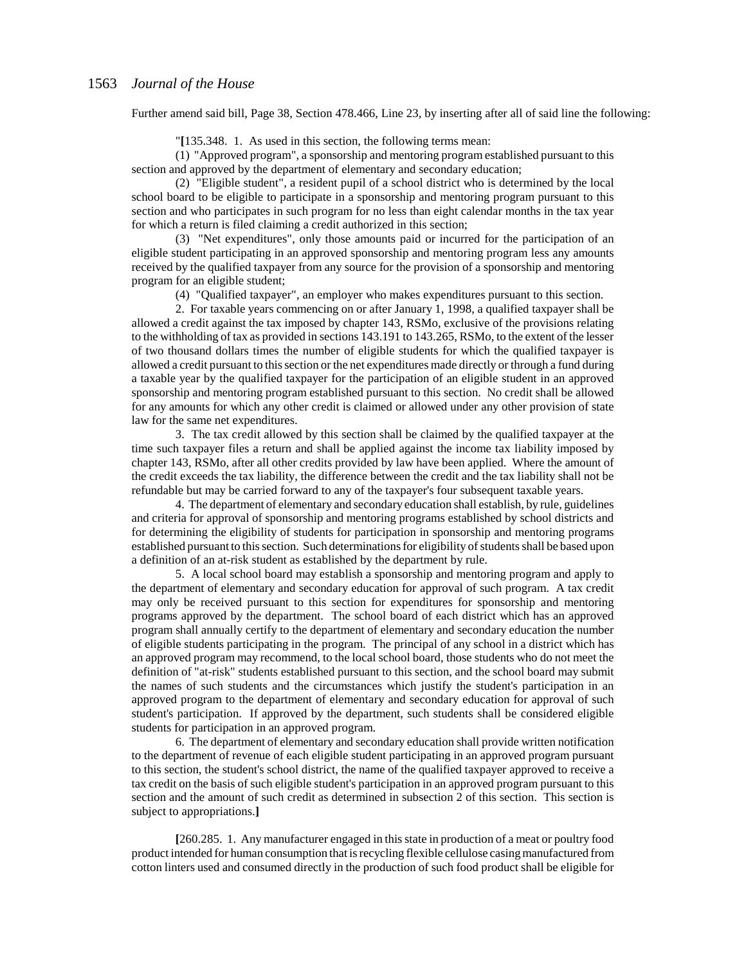Further amend said bill, Page 38, Section 478.466, Line 23, by inserting after all of said line the following:

"**[**135.348. 1. As used in this section, the following terms mean:

(1) "Approved program", a sponsorship and mentoring program established pursuant to this section and approved by the department of elementary and secondary education;

(2) "Eligible student", a resident pupil of a school district who is determined by the local school board to be eligible to participate in a sponsorship and mentoring program pursuant to this section and who participates in such program for no less than eight calendar months in the tax year for which a return is filed claiming a credit authorized in this section;

(3) "Net expenditures", only those amounts paid or incurred for the participation of an eligible student participating in an approved sponsorship and mentoring program less any amounts received by the qualified taxpayer from any source for the provision of a sponsorship and mentoring program for an eligible student;

(4) "Qualified taxpayer", an employer who makes expenditures pursuant to this section.

2. For taxable years commencing on or after January 1, 1998, a qualified taxpayer shall be allowed a credit against the tax imposed by chapter 143, RSMo, exclusive of the provisions relating to the withholding of tax as provided in sections 143.191 to 143.265, RSMo, to the extent of the lesser of two thousand dollars times the number of eligible students for which the qualified taxpayer is allowed a credit pursuant to this section or the net expenditures made directly or through a fund during a taxable year by the qualified taxpayer for the participation of an eligible student in an approved sponsorship and mentoring program established pursuant to this section. No credit shall be allowed for any amounts for which any other credit is claimed or allowed under any other provision of state law for the same net expenditures.

3. The tax credit allowed by this section shall be claimed by the qualified taxpayer at the time such taxpayer files a return and shall be applied against the income tax liability imposed by chapter 143, RSMo, after all other credits provided by law have been applied. Where the amount of the credit exceeds the tax liability, the difference between the credit and the tax liability shall not be refundable but may be carried forward to any of the taxpayer's four subsequent taxable years.

4. The department of elementary and secondary education shall establish, by rule, guidelines and criteria for approval of sponsorship and mentoring programs established by school districts and for determining the eligibility of students for participation in sponsorship and mentoring programs established pursuant to this section. Such determinations for eligibility of students shall be based upon a definition of an at-risk student as established by the department by rule.

5. A local school board may establish a sponsorship and mentoring program and apply to the department of elementary and secondary education for approval of such program. A tax credit may only be received pursuant to this section for expenditures for sponsorship and mentoring programs approved by the department. The school board of each district which has an approved program shall annually certify to the department of elementary and secondary education the number of eligible students participating in the program. The principal of any school in a district which has an approved program may recommend, to the local school board, those students who do not meet the definition of "at-risk" students established pursuant to this section, and the school board may submit the names of such students and the circumstances which justify the student's participation in an approved program to the department of elementary and secondary education for approval of such student's participation. If approved by the department, such students shall be considered eligible students for participation in an approved program.

6. The department of elementary and secondary education shall provide written notification to the department of revenue of each eligible student participating in an approved program pursuant to this section, the student's school district, the name of the qualified taxpayer approved to receive a tax credit on the basis of such eligible student's participation in an approved program pursuant to this section and the amount of such credit as determined in subsection 2 of this section. This section is subject to appropriations.**]**

**[**260.285. 1. Any manufacturer engaged in this state in production of a meat or poultry food product intended for human consumption that is recycling flexible cellulose casing manufactured from cotton linters used and consumed directly in the production of such food product shall be eligible for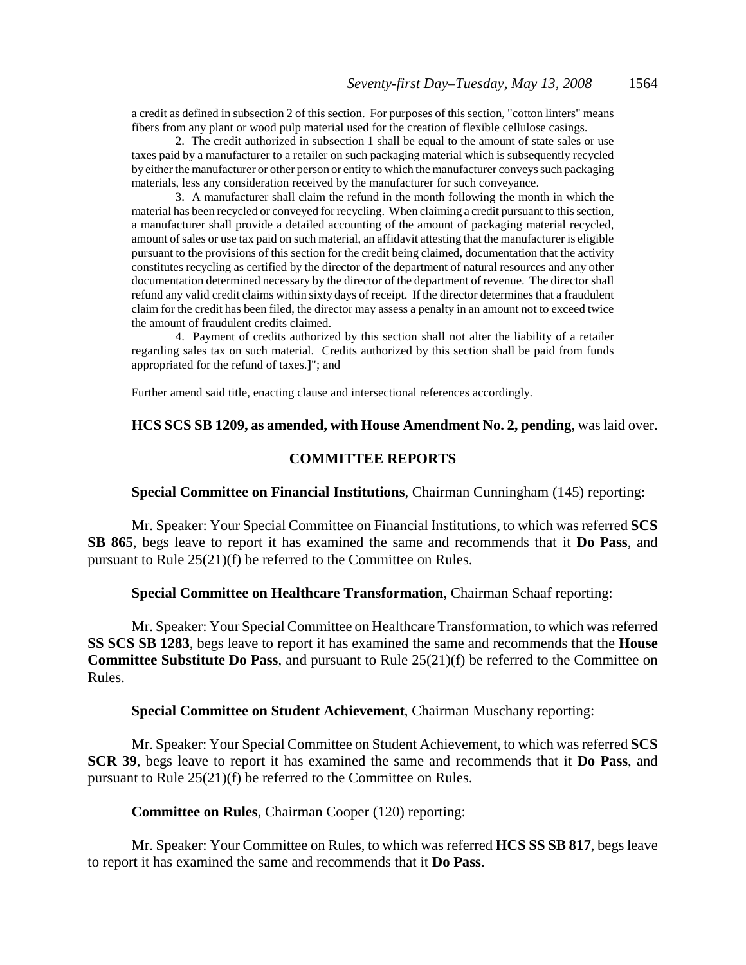a credit as defined in subsection 2 of this section. For purposes of this section, "cotton linters" means fibers from any plant or wood pulp material used for the creation of flexible cellulose casings.

2. The credit authorized in subsection 1 shall be equal to the amount of state sales or use taxes paid by a manufacturer to a retailer on such packaging material which is subsequently recycled by either the manufacturer or other person or entity to which the manufacturer conveys such packaging materials, less any consideration received by the manufacturer for such conveyance.

3. A manufacturer shall claim the refund in the month following the month in which the material has been recycled or conveyed for recycling. When claiming a credit pursuant to this section, a manufacturer shall provide a detailed accounting of the amount of packaging material recycled, amount of sales or use tax paid on such material, an affidavit attesting that the manufacturer is eligible pursuant to the provisions of this section for the credit being claimed, documentation that the activity constitutes recycling as certified by the director of the department of natural resources and any other documentation determined necessary by the director of the department of revenue. The director shall refund any valid credit claims within sixty days of receipt. If the director determines that a fraudulent claim for the credit has been filed, the director may assess a penalty in an amount not to exceed twice the amount of fraudulent credits claimed.

4. Payment of credits authorized by this section shall not alter the liability of a retailer regarding sales tax on such material. Credits authorized by this section shall be paid from funds appropriated for the refund of taxes.**]**"; and

Further amend said title, enacting clause and intersectional references accordingly.

## **HCS SCS SB 1209, as amended, with House Amendment No. 2, pending**, was laid over.

## **COMMITTEE REPORTS**

## **Special Committee on Financial Institutions**, Chairman Cunningham (145) reporting:

Mr. Speaker: Your Special Committee on Financial Institutions, to which was referred **SCS SB 865**, begs leave to report it has examined the same and recommends that it **Do Pass**, and pursuant to Rule 25(21)(f) be referred to the Committee on Rules.

## **Special Committee on Healthcare Transformation**, Chairman Schaaf reporting:

Mr. Speaker: Your Special Committee on Healthcare Transformation, to which was referred **SS SCS SB 1283**, begs leave to report it has examined the same and recommends that the **House Committee Substitute Do Pass**, and pursuant to Rule 25(21)(f) be referred to the Committee on Rules.

### **Special Committee on Student Achievement**, Chairman Muschany reporting:

Mr. Speaker: Your Special Committee on Student Achievement, to which was referred **SCS SCR 39**, begs leave to report it has examined the same and recommends that it **Do Pass**, and pursuant to Rule 25(21)(f) be referred to the Committee on Rules.

**Committee on Rules**, Chairman Cooper (120) reporting:

Mr. Speaker: Your Committee on Rules, to which was referred **HCS SS SB 817**, begs leave to report it has examined the same and recommends that it **Do Pass**.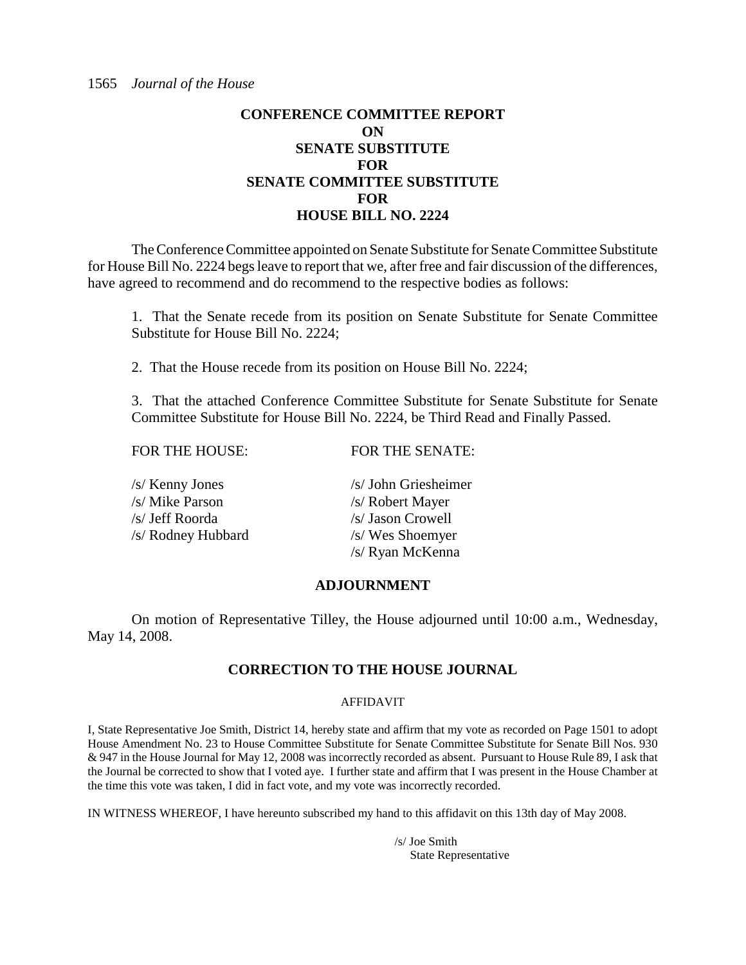## **CONFERENCE COMMITTEE REPORT ON SENATE SUBSTITUTE FOR SENATE COMMITTEE SUBSTITUTE FOR HOUSE BILL NO. 2224**

The Conference Committee appointed on Senate Substitute for Senate Committee Substitute for House Bill No. 2224 begs leave to report that we, after free and fair discussion of the differences, have agreed to recommend and do recommend to the respective bodies as follows:

1. That the Senate recede from its position on Senate Substitute for Senate Committee Substitute for House Bill No. 2224;

2. That the House recede from its position on House Bill No. 2224;

3. That the attached Conference Committee Substitute for Senate Substitute for Senate Committee Substitute for House Bill No. 2224, be Third Read and Finally Passed.

| <b>FOR THE HOUSE:</b> | <b>FOR THE SENATE:</b> |
|-----------------------|------------------------|
| /s/ Kenny Jones       | /s/ John Griesheimer   |
| /s/ Mike Parson       | /s/ Robert Mayer       |
| /s/ Jeff Roorda       | /s/ Jason Crowell      |
| /s/ Rodney Hubbard    | /s/ Wes Shoemyer       |
|                       | /s/ Ryan McKenna       |

## **ADJOURNMENT**

On motion of Representative Tilley, the House adjourned until 10:00 a.m., Wednesday, May 14, 2008.

## **CORRECTION TO THE HOUSE JOURNAL**

## AFFIDAVIT

I, State Representative Joe Smith, District 14, hereby state and affirm that my vote as recorded on Page 1501 to adopt House Amendment No. 23 to House Committee Substitute for Senate Committee Substitute for Senate Bill Nos. 930 & 947 in the House Journal for May 12, 2008 was incorrectly recorded as absent. Pursuant to House Rule 89, I ask that the Journal be corrected to show that I voted aye. I further state and affirm that I was present in the House Chamber at the time this vote was taken, I did in fact vote, and my vote was incorrectly recorded.

IN WITNESS WHEREOF, I have hereunto subscribed my hand to this affidavit on this 13th day of May 2008.

/s/ Joe Smith State Representative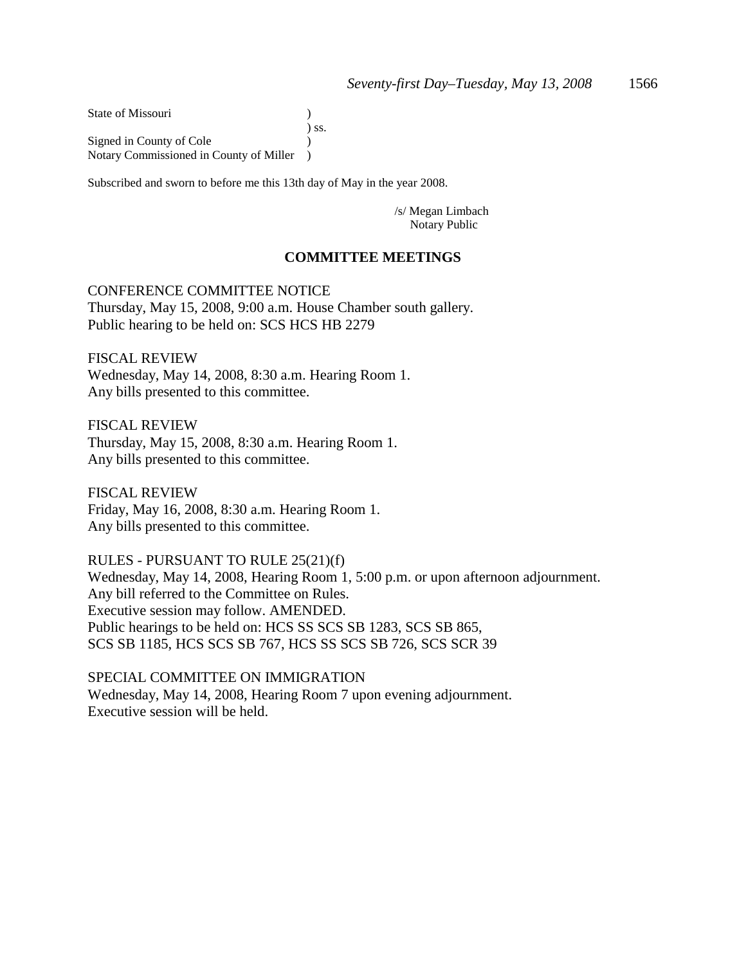State of Missouri (1988) ) ss. Signed in County of Cole  $\qquad \qquad$ ) Notary Commissioned in County of Miller )

Subscribed and sworn to before me this 13th day of May in the year 2008.

/s/ Megan Limbach Notary Public

## **COMMITTEE MEETINGS**

## CONFERENCE COMMITTEE NOTICE

Thursday, May 15, 2008, 9:00 a.m. House Chamber south gallery. Public hearing to be held on: SCS HCS HB 2279

FISCAL REVIEW Wednesday, May 14, 2008, 8:30 a.m. Hearing Room 1. Any bills presented to this committee.

FISCAL REVIEW Thursday, May 15, 2008, 8:30 a.m. Hearing Room 1. Any bills presented to this committee.

FISCAL REVIEW Friday, May 16, 2008, 8:30 a.m. Hearing Room 1. Any bills presented to this committee.

RULES - PURSUANT TO RULE 25(21)(f) Wednesday, May 14, 2008, Hearing Room 1, 5:00 p.m. or upon afternoon adjournment. Any bill referred to the Committee on Rules. Executive session may follow. AMENDED. Public hearings to be held on: HCS SS SCS SB 1283, SCS SB 865, SCS SB 1185, HCS SCS SB 767, HCS SS SCS SB 726, SCS SCR 39

SPECIAL COMMITTEE ON IMMIGRATION Wednesday, May 14, 2008, Hearing Room 7 upon evening adjournment. Executive session will be held.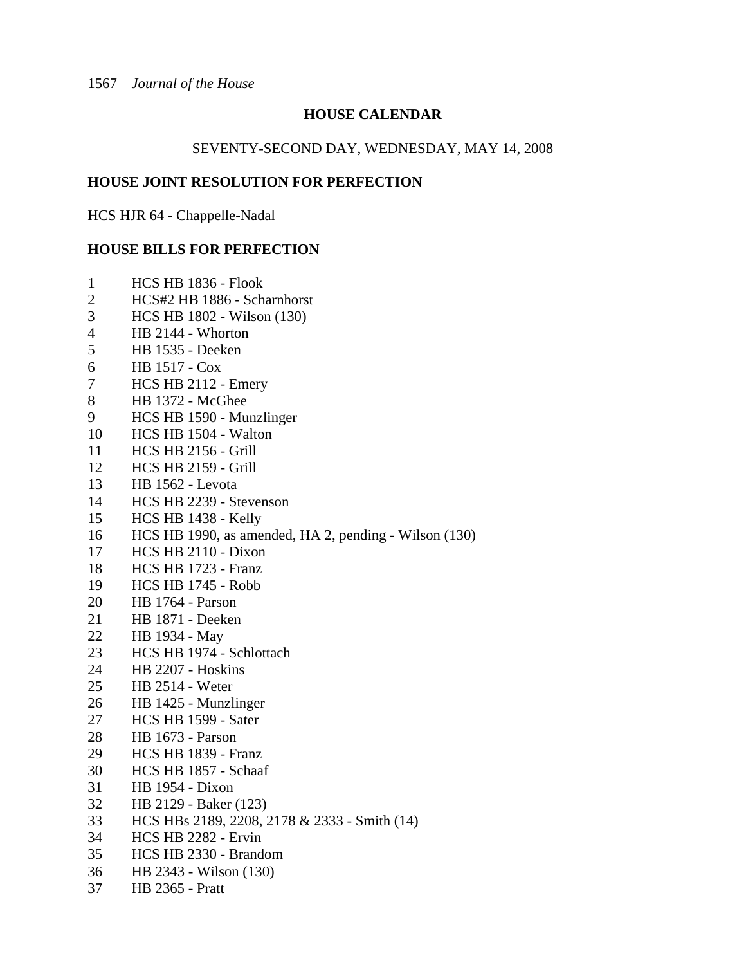## **HOUSE CALENDAR**

## SEVENTY-SECOND DAY, WEDNESDAY, MAY 14, 2008

## **HOUSE JOINT RESOLUTION FOR PERFECTION**

HCS HJR 64 - Chappelle-Nadal

## **HOUSE BILLS FOR PERFECTION**

| 1                        | HCS HB 1836 - Flook                                   |
|--------------------------|-------------------------------------------------------|
| $\overline{2}$           | HCS#2 HB 1886 - Scharnhorst                           |
| 3                        | HCS HB 1802 - Wilson (130)                            |
| $\overline{\mathcal{A}}$ | HB 2144 - Whorton                                     |
| 5                        | HB 1535 - Deeken                                      |
| 6                        | HB 1517 - Cox                                         |
| 7                        | HCS HB 2112 - Emery                                   |
| 8                        | HB 1372 - McGhee                                      |
| 9                        | HCS HB 1590 - Munzlinger                              |
| 10                       | HCS HB 1504 - Walton                                  |
| 11                       | <b>HCS HB 2156 - Grill</b>                            |
| 12                       | <b>HCS HB 2159 - Grill</b>                            |
| 13                       | <b>HB</b> 1562 - Levota                               |
| 14                       | HCS HB 2239 - Stevenson                               |
| 15                       | HCS HB 1438 - Kelly                                   |
| 16                       | HCS HB 1990, as amended, HA 2, pending - Wilson (130) |
| 17                       | HCS HB 2110 - Dixon                                   |
| 18                       | HCS HB 1723 - Franz                                   |
| 19                       | <b>HCS HB 1745 - Robb</b>                             |
| 20                       | HB 1764 - Parson                                      |
| 21                       | HB 1871 - Deeken                                      |
| 22                       | HB 1934 - May                                         |
| 23                       | HCS HB 1974 - Schlottach                              |
| 24                       | HB 2207 - Hoskins                                     |
| 25                       | <b>HB 2514 - Weter</b>                                |
| 26                       | HB 1425 - Munzlinger                                  |
| 27                       | HCS HB 1599 - Sater                                   |
| 28                       | <b>HB</b> 1673 - Parson                               |
| 29                       | HCS HB 1839 - Franz                                   |
| 30                       | HCS HB 1857 - Schaaf                                  |
| 31                       | <b>HB</b> 1954 - Dixon                                |
| 32                       | HB 2129 - Baker (123)                                 |
| 33                       | HCS HBs 2189, 2208, 2178 & 2333 - Smith (14)          |
| 34                       | HCS HB 2282 - Ervin                                   |
| 35                       | HCS HB 2330 - Brandom                                 |
| 36                       | HB 2343 - Wilson (130)                                |
| 37                       | <b>HB</b> 2365 - Pratt                                |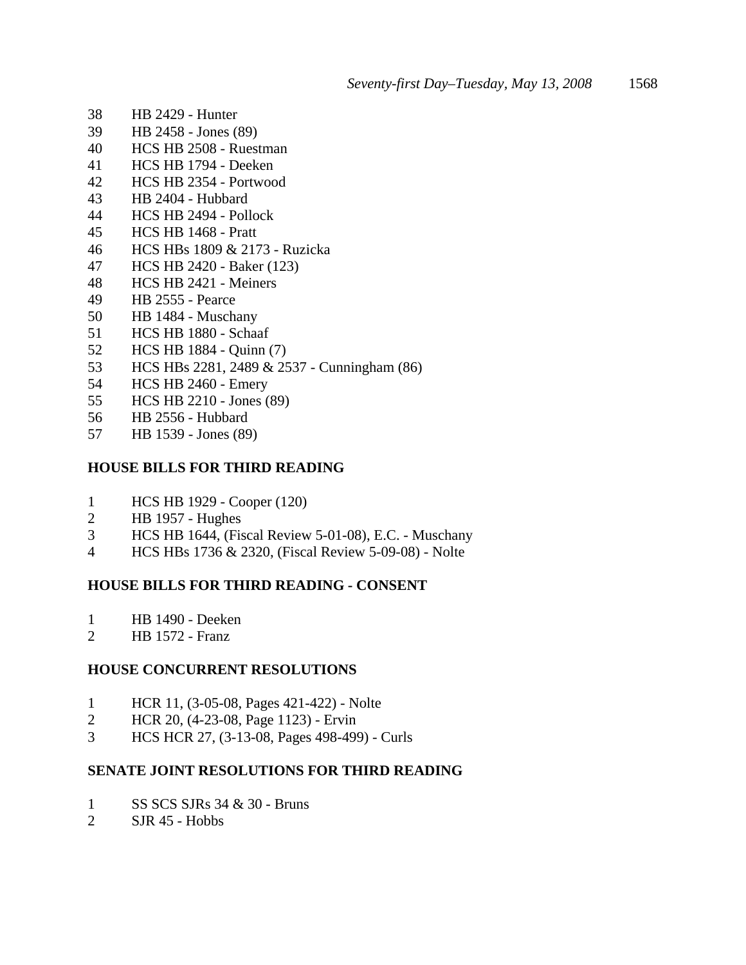- 38 HB 2429 Hunter
- 39 HB 2458 Jones (89)
- 40 HCS HB 2508 Ruestman
- 41 HCS HB 1794 Deeken
- 42 HCS HB 2354 Portwood
- 43 HB 2404 Hubbard
- 44 HCS HB 2494 Pollock
- 45 HCS HB 1468 Pratt
- 46 HCS HBs 1809 & 2173 Ruzicka
- 47 HCS HB 2420 Baker (123)
- 48 HCS HB 2421 Meiners
- 49 HB 2555 Pearce
- 50 HB 1484 Muschany
- 51 HCS HB 1880 Schaaf
- 52 HCS HB 1884 Quinn (7)
- 53 HCS HBs 2281, 2489 & 2537 Cunningham (86)
- 54 HCS HB 2460 Emery
- 55 HCS HB 2210 Jones (89)
- 56 HB 2556 Hubbard
- 57 HB 1539 Jones (89)

## **HOUSE BILLS FOR THIRD READING**

- 1 HCS HB 1929 Cooper (120)
- 2 HB 1957 Hughes
- 3 HCS HB 1644, (Fiscal Review 5-01-08), E.C. Muschany
- 4 HCS HBs 1736 & 2320, (Fiscal Review 5-09-08) Nolte

## **HOUSE BILLS FOR THIRD READING - CONSENT**

- 1 HB 1490 Deeken
- 2 HB 1572 Franz

## **HOUSE CONCURRENT RESOLUTIONS**

- 1 HCR 11, (3-05-08, Pages 421-422) Nolte
- 2 HCR 20, (4-23-08, Page 1123) Ervin
- 3 HCS HCR 27, (3-13-08, Pages 498-499) Curls

## **SENATE JOINT RESOLUTIONS FOR THIRD READING**

- 1 SS SCS SJRs 34 & 30 Bruns
- 2 SJR 45 Hobbs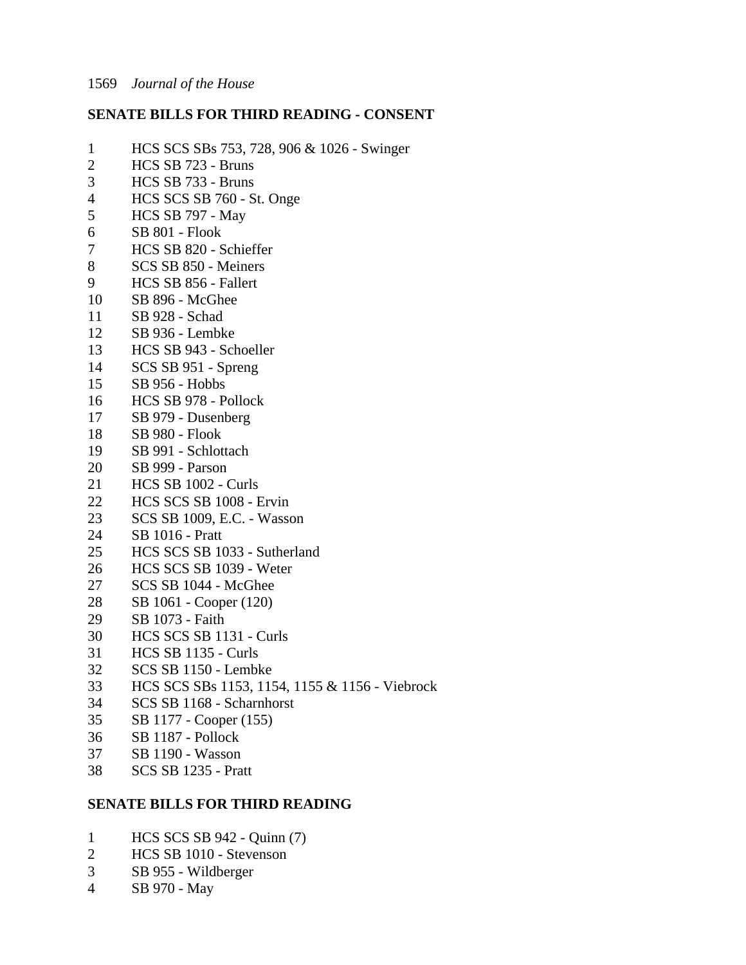## **SENATE BILLS FOR THIRD READING - CONSENT**

- 1 HCS SCS SBs 753, 728, 906 & 1026 Swinger
- 2 HCS SB 723 Bruns
- 3 HCS SB 733 Bruns
- 4 HCS SCS SB 760 St. Onge<br>5 HCS SB 797 May
- 5 HCS SB 797 May
- 6 SB 801 Flook
- 7 HCS SB 820 Schieffer
- 8 SCS SB 850 Meiners
- 9 HCS SB 856 Fallert
- 10 SB 896 McGhee
- 11 SB 928 Schad
- 12 SB 936 Lembke
- 13 HCS SB 943 Schoeller
- 14 SCS SB 951 Spreng
- 15 SB 956 Hobbs
- 16 HCS SB 978 Pollock
- 17 SB 979 Dusenberg
- 18 SB 980 Flook
- 19 SB 991 Schlottach
- 20 SB 999 Parson
- 21 HCS SB 1002 Curls
- 22 HCS SCS SB 1008 Ervin
- 23 SCS SB 1009, E.C. Wasson
- 24 SB 1016 Pratt
- 25 HCS SCS SB 1033 Sutherland
- 26 HCS SCS SB 1039 Weter
- 27 SCS SB 1044 McGhee
- 28 SB 1061 Cooper (120)
- 29 SB 1073 Faith
- 30 HCS SCS SB 1131 Curls
- 31 HCS SB 1135 Curls
- 32 SCS SB 1150 Lembke
- 33 HCS SCS SBs 1153, 1154, 1155 & 1156 Viebrock
- 34 SCS SB 1168 Scharnhorst
- 35 SB 1177 Cooper (155)
- 36 SB 1187 Pollock
- 37 SB 1190 Wasson
- 38 SCS SB 1235 Pratt

## **SENATE BILLS FOR THIRD READING**

- 1 HCS SCS SB 942 Quinn (7)
- 2 HCS SB 1010 Stevenson
- 3 SB 955 Wildberger
- 4 SB 970 May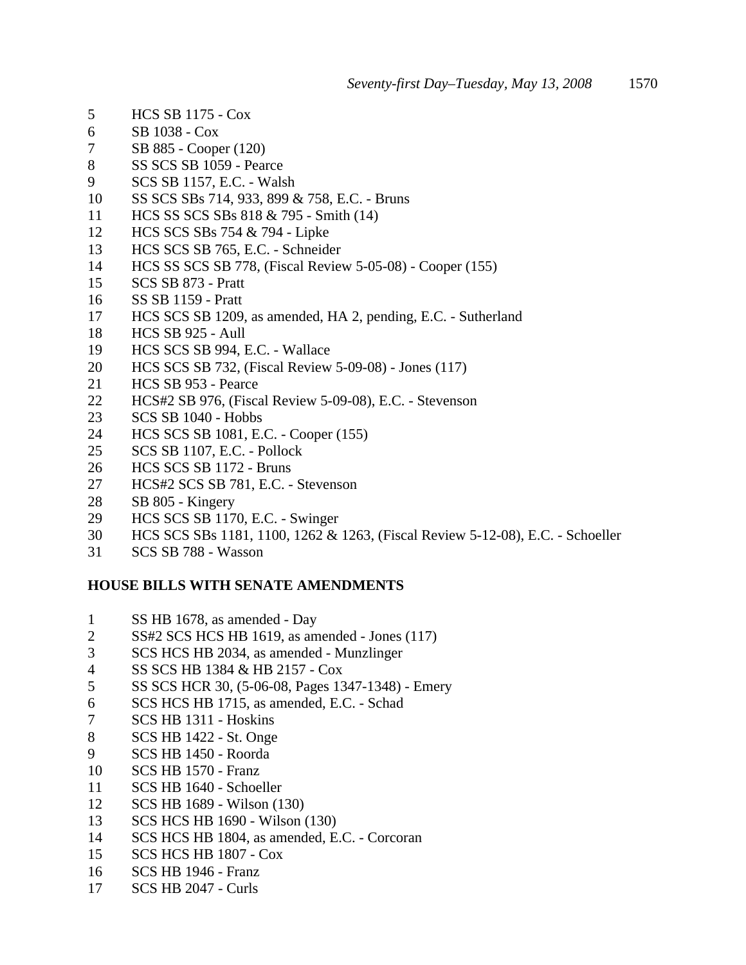- 5 HCS SB 1175 Cox
- 6 SB 1038 Cox
- 7 SB 885 Cooper (120)
- 8 SS SCS SB 1059 Pearce
- 9 SCS SB 1157, E.C. Walsh
- 10 SS SCS SBs 714, 933, 899 & 758, E.C. Bruns
- 11 HCS SS SCS SBs 818 & 795 Smith (14)
- 12 HCS SCS SBs 754 & 794 Lipke
- 13 HCS SCS SB 765, E.C. Schneider
- 14 HCS SS SCS SB 778, (Fiscal Review 5-05-08) Cooper (155)<br>15 SCS SB 873 Pratt
- 15 SCS SB 873 Pratt
- 16 SS SB 1159 Pratt
- 17 HCS SCS SB 1209, as amended, HA 2, pending, E.C. Sutherland
- 18 HCS SB 925 Aull
- 19 HCS SCS SB 994, E.C. Wallace
- 20 HCS SCS SB 732, (Fiscal Review 5-09-08) Jones (117)
- 21 HCS SB 953 Pearce
- 22 HCS#2 SB 976, (Fiscal Review 5-09-08), E.C. Stevenson
- 23 SCS SB 1040 Hobbs
- 24 HCS SCS SB 1081, E.C. Cooper (155)
- 25 SCS SB 1107, E.C. Pollock
- 26 HCS SCS SB 1172 Bruns
- 27 HCS#2 SCS SB 781, E.C. Stevenson
- 28 SB 805 Kingery
- 29 HCS SCS SB 1170, E.C. Swinger
- 30 HCS SCS SBs 1181, 1100, 1262 & 1263, (Fiscal Review 5-12-08), E.C. Schoeller
- 31 SCS SB 788 Wasson

## **HOUSE BILLS WITH SENATE AMENDMENTS**

- 1 SS HB 1678, as amended Day
- 2 SS#2 SCS HCS HB 1619, as amended Jones (117)
- 3 SCS HCS HB 2034, as amended Munzlinger
- 4 SS SCS HB 1384 & HB 2157 Cox
- 5 SS SCS HCR 30, (5-06-08, Pages 1347-1348) Emery
- 6 SCS HCS HB 1715, as amended, E.C. Schad
- 7 SCS HB 1311 Hoskins
- 8 SCS HB 1422 St. Onge
- 9 SCS HB 1450 Roorda
- 10 SCS HB 1570 Franz
- 11 SCS HB 1640 Schoeller
- 12 SCS HB 1689 Wilson (130)
- 13 SCS HCS HB 1690 Wilson (130)
- 14 SCS HCS HB 1804, as amended, E.C. Corcoran
- 15 SCS HCS HB 1807 Cox
- 16 SCS HB 1946 Franz
- 17 SCS HB 2047 Curls